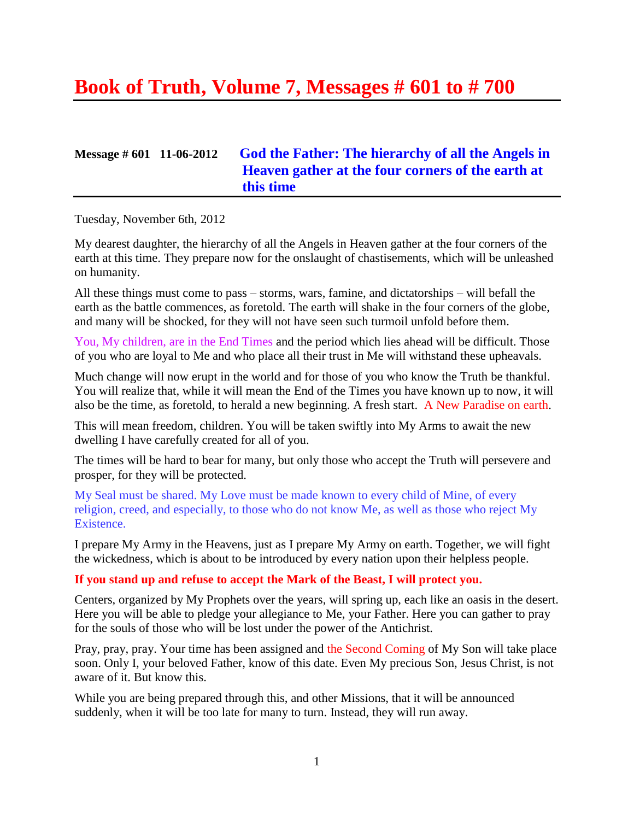# **Book of Truth, Volume 7, Messages # 601 to # 700**

# **Message # 601 11-06-2012 [God the Father: The hierarchy of all the Angels in](http://www.thewarningsecondcoming.com/god-the-father-the-hierarchy-of-all-the-angels-in-heaven-gather-at-the-four-corners-of-the-earth-at-this-time/)  [Heaven gather at the four corners of the earth at](http://www.thewarningsecondcoming.com/god-the-father-the-hierarchy-of-all-the-angels-in-heaven-gather-at-the-four-corners-of-the-earth-at-this-time/)  [this time](http://www.thewarningsecondcoming.com/god-the-father-the-hierarchy-of-all-the-angels-in-heaven-gather-at-the-four-corners-of-the-earth-at-this-time/)**

Tuesday, November 6th, 2012

My dearest daughter, the hierarchy of all the Angels in Heaven gather at the four corners of the earth at this time. They prepare now for the onslaught of chastisements, which will be unleashed on humanity.

All these things must come to pass – storms, wars, famine, and dictatorships – will befall the earth as the battle commences, as foretold. The earth will shake in the four corners of the globe, and many will be shocked, for they will not have seen such turmoil unfold before them.

You, My children, are in the End Times and the period which lies ahead will be difficult. Those of you who are loyal to Me and who place all their trust in Me will withstand these upheavals.

Much change will now erupt in the world and for those of you who know the Truth be thankful. You will realize that, while it will mean the End of the Times you have known up to now, it will also be the time, as foretold, to herald a new beginning. A fresh start. A New Paradise on earth.

This will mean freedom, children. You will be taken swiftly into My Arms to await the new dwelling I have carefully created for all of you.

The times will be hard to bear for many, but only those who accept the Truth will persevere and prosper, for they will be protected.

My Seal must be shared. My Love must be made known to every child of Mine, of every religion, creed, and especially, to those who do not know Me, as well as those who reject My Existence.

I prepare My Army in the Heavens, just as I prepare My Army on earth. Together, we will fight the wickedness, which is about to be introduced by every nation upon their helpless people.

#### **If you stand up and refuse to accept the Mark of the Beast, I will protect you.**

Centers, organized by My Prophets over the years, will spring up, each like an oasis in the desert. Here you will be able to pledge your allegiance to Me, your Father. Here you can gather to pray for the souls of those who will be lost under the power of the Antichrist.

Pray, pray, pray. Your time has been assigned and the Second Coming of My Son will take place soon. Only I, your beloved Father, know of this date. Even My precious Son, Jesus Christ, is not aware of it. But know this.

While you are being prepared through this, and other Missions, that it will be announced suddenly, when it will be too late for many to turn. Instead, they will run away.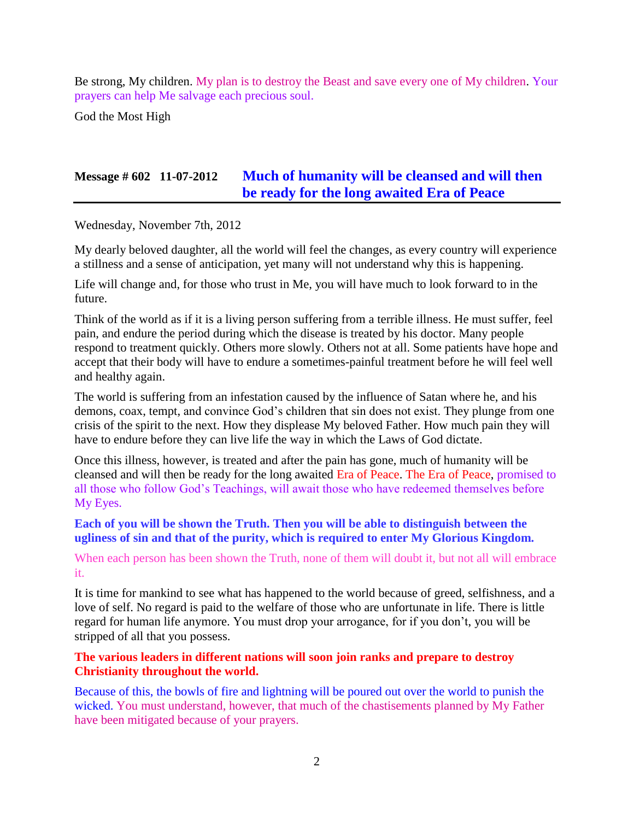Be strong, My children. My plan is to destroy the Beast and save every one of My children. Your prayers can help Me salvage each precious soul.

God the Most High

# **Message # 602 11-07-2012 [Much of humanity will be cleansed and will then](http://www.thewarningsecondcoming.com/much-of-humanity-will-be-cleansed-and-will-then-be-ready-for-the-long-awaited-era-of-peace/)  [be ready for the long awaited Era of Peace](http://www.thewarningsecondcoming.com/much-of-humanity-will-be-cleansed-and-will-then-be-ready-for-the-long-awaited-era-of-peace/)**

Wednesday, November 7th, 2012

My dearly beloved daughter, all the world will feel the changes, as every country will experience a stillness and a sense of anticipation, yet many will not understand why this is happening.

Life will change and, for those who trust in Me, you will have much to look forward to in the future.

Think of the world as if it is a living person suffering from a terrible illness. He must suffer, feel pain, and endure the period during which the disease is treated by his doctor. Many people respond to treatment quickly. Others more slowly. Others not at all. Some patients have hope and accept that their body will have to endure a sometimes-painful treatment before he will feel well and healthy again.

The world is suffering from an infestation caused by the influence of Satan where he, and his demons, coax, tempt, and convince God's children that sin does not exist. They plunge from one crisis of the spirit to the next. How they displease My beloved Father. How much pain they will have to endure before they can live life the way in which the Laws of God dictate.

Once this illness, however, is treated and after the pain has gone, much of humanity will be cleansed and will then be ready for the long awaited Era of Peace. The Era of Peace, promised to all those who follow God's Teachings, will await those who have redeemed themselves before My Eyes.

### **Each of you will be shown the Truth. Then you will be able to distinguish between the ugliness of sin and that of the purity, which is required to enter My Glorious Kingdom.**

When each person has been shown the Truth, none of them will doubt it, but not all will embrace it.

It is time for mankind to see what has happened to the world because of greed, selfishness, and a love of self. No regard is paid to the welfare of those who are unfortunate in life. There is little regard for human life anymore. You must drop your arrogance, for if you don't, you will be stripped of all that you possess.

### **The various leaders in different nations will soon join ranks and prepare to destroy Christianity throughout the world.**

Because of this, the bowls of fire and lightning will be poured out over the world to punish the wicked. You must understand, however, that much of the chastisements planned by My Father have been mitigated because of your prayers.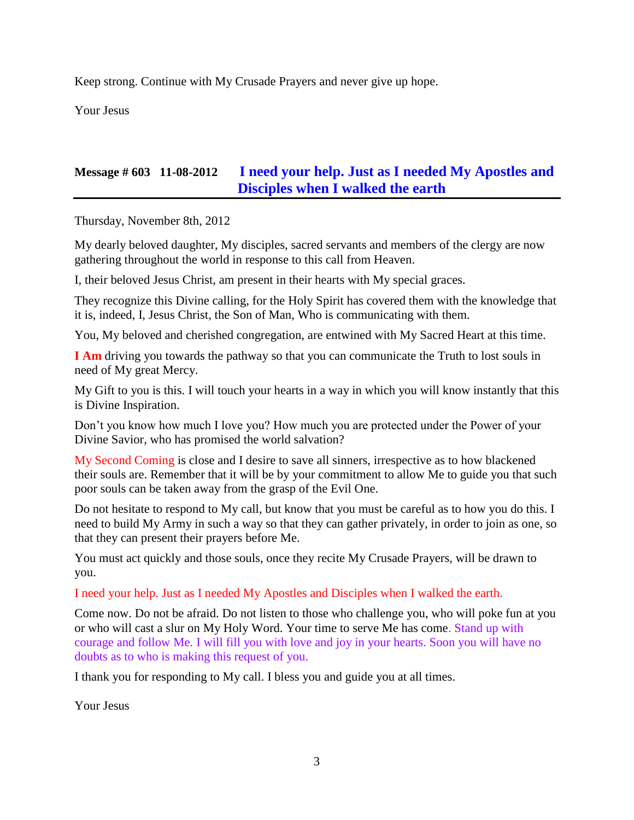Keep strong. Continue with My Crusade Prayers and never give up hope.

Your Jesus

# **Message # 603 11-08-2012 I need your help. [Just as I needed My Apostles and](http://www.thewarningsecondcoming.com/i-need-your-help-just-as-i-needed-my-apostles-and-disciples-when-i-walked-the-earth-2/)  [Disciples when I walked the earth](http://www.thewarningsecondcoming.com/i-need-your-help-just-as-i-needed-my-apostles-and-disciples-when-i-walked-the-earth-2/)**

Thursday, November 8th, 2012

My dearly beloved daughter, My disciples, sacred servants and members of the clergy are now gathering throughout the world in response to this call from Heaven.

I, their beloved Jesus Christ, am present in their hearts with My special graces.

They recognize this Divine calling, for the Holy Spirit has covered them with the knowledge that it is, indeed, I, Jesus Christ, the Son of Man, Who is communicating with them.

You, My beloved and cherished congregation, are entwined with My Sacred Heart at this time.

**I Am** driving you towards the pathway so that you can communicate the Truth to lost souls in need of My great Mercy.

My Gift to you is this. I will touch your hearts in a way in which you will know instantly that this is Divine Inspiration.

Don't you know how much I love you? How much you are protected under the Power of your Divine Savior, who has promised the world salvation?

My Second Coming is close and I desire to save all sinners, irrespective as to how blackened their souls are. Remember that it will be by your commitment to allow Me to guide you that such poor souls can be taken away from the grasp of the Evil One.

Do not hesitate to respond to My call, but know that you must be careful as to how you do this. I need to build My Army in such a way so that they can gather privately, in order to join as one, so that they can present their prayers before Me.

You must act quickly and those souls, once they recite My Crusade Prayers, will be drawn to you.

I need your help. Just as I needed My Apostles and Disciples when I walked the earth.

Come now. Do not be afraid. Do not listen to those who challenge you, who will poke fun at you or who will cast a slur on My Holy Word. Your time to serve Me has come. Stand up with courage and follow Me. I will fill you with love and joy in your hearts. Soon you will have no doubts as to who is making this request of you.

I thank you for responding to My call. I bless you and guide you at all times.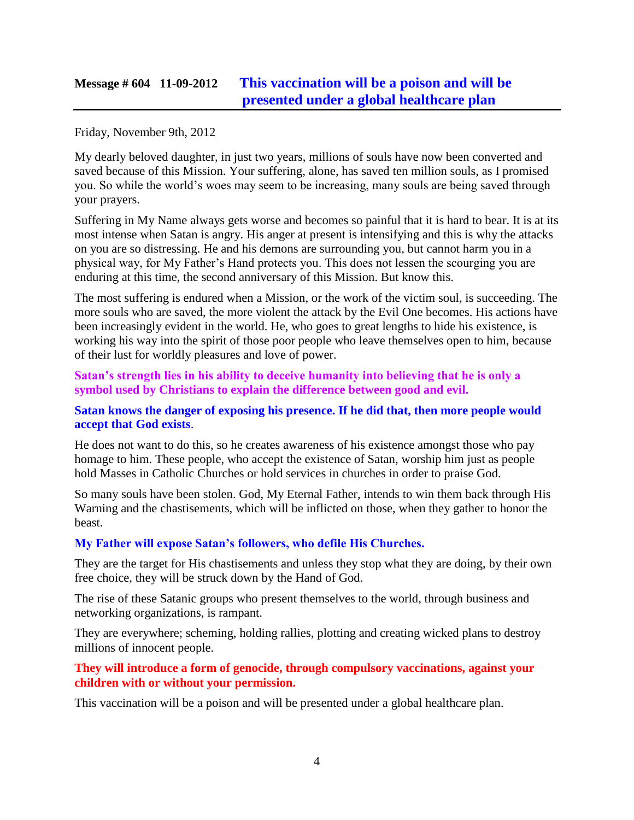# **Message # 604 11-09-2012 [This vaccination will be a poison and will be](http://www.thewarningsecondcoming.com/this-vaccination-will-be-a-poison-and-will-be-presented-under-a-global-healthcare-plan/)  [presented under a global healthcare plan](http://www.thewarningsecondcoming.com/this-vaccination-will-be-a-poison-and-will-be-presented-under-a-global-healthcare-plan/)**

#### Friday, November 9th, 2012

My dearly beloved daughter, in just two years, millions of souls have now been converted and saved because of this Mission. Your suffering, alone, has saved ten million souls, as I promised you. So while the world's woes may seem to be increasing, many souls are being saved through your prayers.

Suffering in My Name always gets worse and becomes so painful that it is hard to bear. It is at its most intense when Satan is angry. His anger at present is intensifying and this is why the attacks on you are so distressing. He and his demons are surrounding you, but cannot harm you in a physical way, for My Father's Hand protects you. This does not lessen the scourging you are enduring at this time, the second anniversary of this Mission. But know this.

The most suffering is endured when a Mission, or the work of the victim soul, is succeeding. The more souls who are saved, the more violent the attack by the Evil One becomes. His actions have been increasingly evident in the world. He, who goes to great lengths to hide his existence, is working his way into the spirit of those poor people who leave themselves open to him, because of their lust for worldly pleasures and love of power.

**Satan's strength lies in his ability to deceive humanity into believing that he is only a symbol used by Christians to explain the difference between good and evil.**

#### **Satan knows the danger of exposing his presence. If he did that, then more people would accept that God exists**.

He does not want to do this, so he creates awareness of his existence amongst those who pay homage to him. These people, who accept the existence of Satan, worship him just as people hold Masses in Catholic Churches or hold services in churches in order to praise God.

So many souls have been stolen. God, My Eternal Father, intends to win them back through His Warning and the chastisements, which will be inflicted on those, when they gather to honor the beast.

#### **My Father will expose Satan's followers, who defile His Churches.**

They are the target for His chastisements and unless they stop what they are doing, by their own free choice, they will be struck down by the Hand of God.

The rise of these Satanic groups who present themselves to the world, through business and networking organizations, is rampant.

They are everywhere; scheming, holding rallies, plotting and creating wicked plans to destroy millions of innocent people.

### **They will introduce a form of genocide, through compulsory vaccinations, against your children with or without your permission.**

This vaccination will be a poison and will be presented under a global healthcare plan.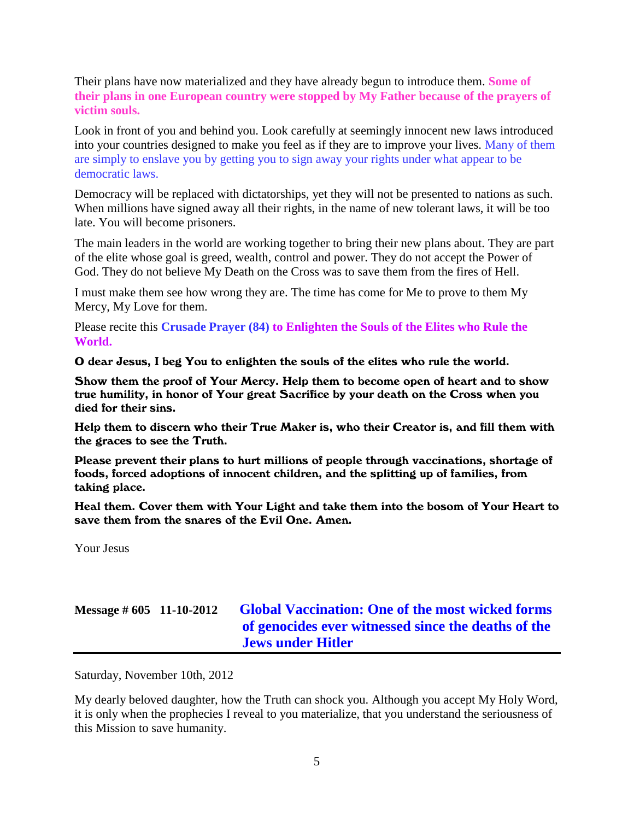Their plans have now materialized and they have already begun to introduce them. **Some of their plans in one European country were stopped by My Father because of the prayers of victim souls.**

Look in front of you and behind you. Look carefully at seemingly innocent new laws introduced into your countries designed to make you feel as if they are to improve your lives. Many of them are simply to enslave you by getting you to sign away your rights under what appear to be democratic laws.

Democracy will be replaced with dictatorships, yet they will not be presented to nations as such. When millions have signed away all their rights, in the name of new tolerant laws, it will be too late. You will become prisoners.

The main leaders in the world are working together to bring their new plans about. They are part of the elite whose goal is greed, wealth, control and power. They do not accept the Power of God. They do not believe My Death on the Cross was to save them from the fires of Hell.

I must make them see how wrong they are. The time has come for Me to prove to them My Mercy, My Love for them.

Please recite this **Crusade Prayer (84) to Enlighten the Souls of the Elites who Rule the World.**

O dear Jesus, I beg You to enlighten the souls of the elites who rule the world.

Show them the proof of Your Mercy. Help them to become open of heart and to show true humility, in honor of Your great Sacrifice by your death on the Cross when you died for their sins.

Help them to discern who their True Maker is, who their Creator is, and fill them with the graces to see the Truth.

Please prevent their plans to hurt millions of people through vaccinations, shortage of foods, forced adoptions of innocent children, and the splitting up of families, from taking place.

Heal them. Cover them with Your Light and take them into the bosom of Your Heart to save them from the snares of the Evil One. Amen.

Your Jesus

# **Message # 605 11-10-2012 [Global Vaccination: One of the most wicked forms](http://www.thewarningsecondcoming.com/global-vaccination-one-of-the-most-wicked-forms-of-genocides-ever-witnessed-since-the-deaths-of-the-jews-under-hitler/)  of [genocides ever witnessed since the deaths of the](http://www.thewarningsecondcoming.com/global-vaccination-one-of-the-most-wicked-forms-of-genocides-ever-witnessed-since-the-deaths-of-the-jews-under-hitler/)  [Jews under Hitler](http://www.thewarningsecondcoming.com/global-vaccination-one-of-the-most-wicked-forms-of-genocides-ever-witnessed-since-the-deaths-of-the-jews-under-hitler/)**

Saturday, November 10th, 2012

My dearly beloved daughter, how the Truth can shock you. Although you accept My Holy Word, it is only when the prophecies I reveal to you materialize, that you understand the seriousness of this Mission to save humanity.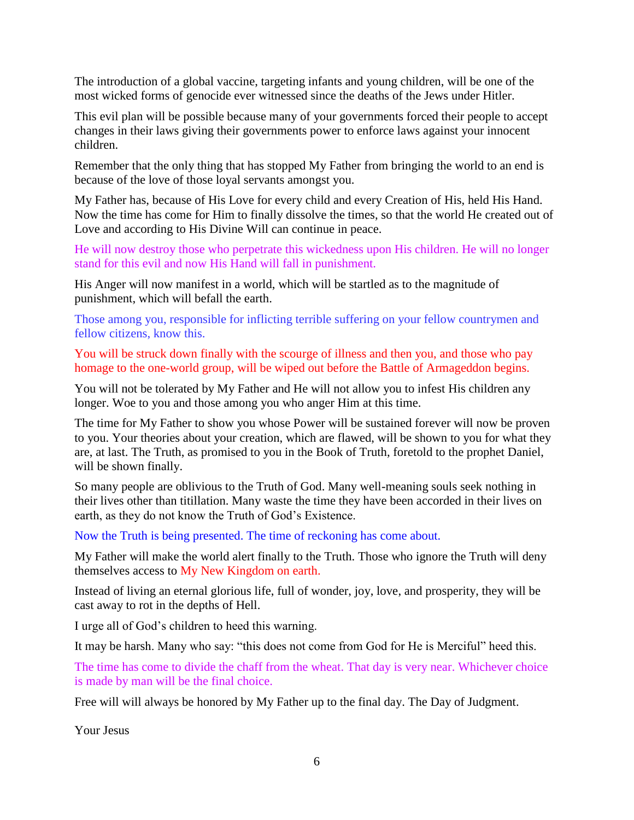The introduction of a global vaccine, targeting infants and young children, will be one of the most wicked forms of genocide ever witnessed since the deaths of the Jews under Hitler.

This evil plan will be possible because many of your governments forced their people to accept changes in their laws giving their governments power to enforce laws against your innocent children.

Remember that the only thing that has stopped My Father from bringing the world to an end is because of the love of those loyal servants amongst you.

My Father has, because of His Love for every child and every Creation of His, held His Hand. Now the time has come for Him to finally dissolve the times, so that the world He created out of Love and according to His Divine Will can continue in peace.

He will now destroy those who perpetrate this wickedness upon His children. He will no longer stand for this evil and now His Hand will fall in punishment.

His Anger will now manifest in a world, which will be startled as to the magnitude of punishment, which will befall the earth.

Those among you, responsible for inflicting terrible suffering on your fellow countrymen and fellow citizens, know this.

You will be struck down finally with the scourge of illness and then you, and those who pay homage to the one-world group, will be wiped out before the Battle of Armageddon begins.

You will not be tolerated by My Father and He will not allow you to infest His children any longer. Woe to you and those among you who anger Him at this time.

The time for My Father to show you whose Power will be sustained forever will now be proven to you. Your theories about your creation, which are flawed, will be shown to you for what they are, at last. The Truth, as promised to you in the Book of Truth, foretold to the prophet Daniel, will be shown finally.

So many people are oblivious to the Truth of God. Many well-meaning souls seek nothing in their lives other than titillation. Many waste the time they have been accorded in their lives on earth, as they do not know the Truth of God's Existence.

Now the Truth is being presented. The time of reckoning has come about.

My Father will make the world alert finally to the Truth. Those who ignore the Truth will deny themselves access to My New Kingdom on earth.

Instead of living an eternal glorious life, full of wonder, joy, love, and prosperity, they will be cast away to rot in the depths of Hell.

I urge all of God's children to heed this warning.

It may be harsh. Many who say: "this does not come from God for He is Merciful" heed this.

The time has come to divide the chaff from the wheat. That day is very near. Whichever choice is made by man will be the final choice.

Free will will always be honored by My Father up to the final day. The Day of Judgment.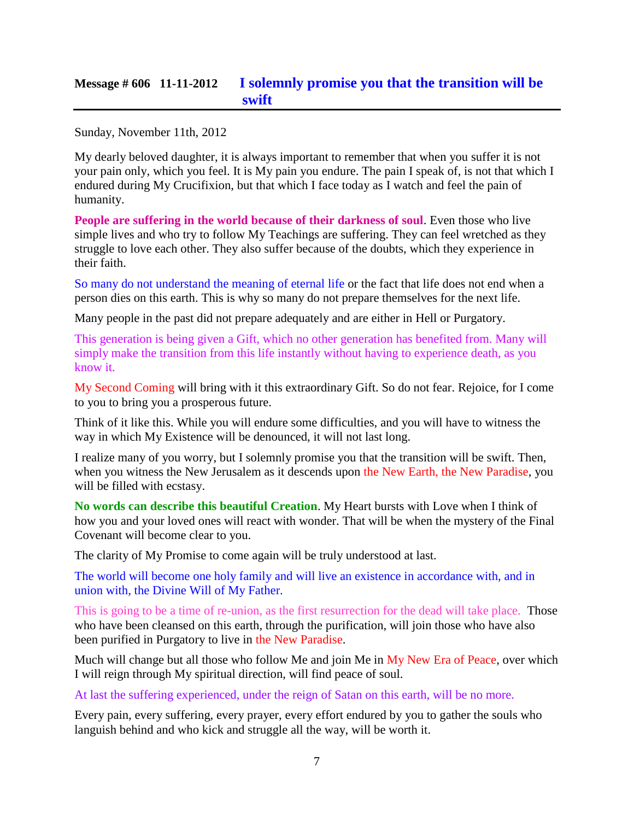### **Message # 606 11-11-2012 [I solemnly promise you that the transition will be](http://www.thewarningsecondcoming.com/i-solemnly-promise-you-that-the-transition-will-be-swift/)  [swift](http://www.thewarningsecondcoming.com/i-solemnly-promise-you-that-the-transition-will-be-swift/)**

Sunday, November 11th, 2012

My dearly beloved daughter, it is always important to remember that when you suffer it is not your pain only, which you feel. It is My pain you endure. The pain I speak of, is not that which I endured during My Crucifixion, but that which I face today as I watch and feel the pain of humanity.

**People are suffering in the world because of their darkness of soul**. Even those who live simple lives and who try to follow My Teachings are suffering. They can feel wretched as they struggle to love each other. They also suffer because of the doubts, which they experience in their faith.

So many do not understand the meaning of eternal life or the fact that life does not end when a person dies on this earth. This is why so many do not prepare themselves for the next life.

Many people in the past did not prepare adequately and are either in Hell or Purgatory.

This generation is being given a Gift, which no other generation has benefited from. Many will simply make the transition from this life instantly without having to experience death, as you know it.

My Second Coming will bring with it this extraordinary Gift. So do not fear. Rejoice, for I come to you to bring you a prosperous future.

Think of it like this. While you will endure some difficulties, and you will have to witness the way in which My Existence will be denounced, it will not last long.

I realize many of you worry, but I solemnly promise you that the transition will be swift. Then, when you witness the New Jerusalem as it descends upon the New Earth, the New Paradise, you will be filled with ecstasy.

**No words can describe this beautiful Creation**. My Heart bursts with Love when I think of how you and your loved ones will react with wonder. That will be when the mystery of the Final Covenant will become clear to you.

The clarity of My Promise to come again will be truly understood at last.

The world will become one holy family and will live an existence in accordance with, and in union with, the Divine Will of My Father.

This is going to be a time of re-union, as the first resurrection for the dead will take place. Those who have been cleansed on this earth, through the purification, will join those who have also been purified in Purgatory to live in the New Paradise.

Much will change but all those who follow Me and join Me in My New Era of Peace, over which I will reign through My spiritual direction, will find peace of soul.

At last the suffering experienced, under the reign of Satan on this earth, will be no more.

Every pain, every suffering, every prayer, every effort endured by you to gather the souls who languish behind and who kick and struggle all the way, will be worth it.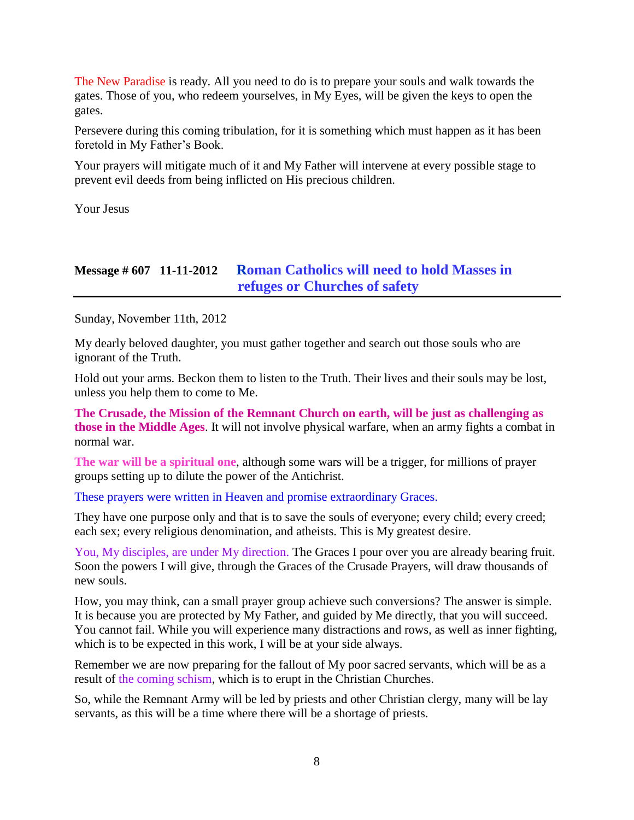The New Paradise is ready. All you need to do is to prepare your souls and walk towards the gates. Those of you, who redeem yourselves, in My Eyes, will be given the keys to open the gates.

Persevere during this coming tribulation, for it is something which must happen as it has been foretold in My Father's Book.

Your prayers will mitigate much of it and My Father will intervene at every possible stage to prevent evil deeds from being inflicted on His precious children.

Your Jesus

### **Message # 607 11-11-2012 [Roman Catholics will need to hold Masses in](http://www.thewarningsecondcoming.com/roman-catholics-will-need-to-hold-masses-in-refuges-or-churches-of-safety/)  [refuges or Churches of safety](http://www.thewarningsecondcoming.com/roman-catholics-will-need-to-hold-masses-in-refuges-or-churches-of-safety/)**

Sunday, November 11th, 2012

My dearly beloved daughter, you must gather together and search out those souls who are ignorant of the Truth.

Hold out your arms. Beckon them to listen to the Truth. Their lives and their souls may be lost, unless you help them to come to Me.

**The Crusade, the Mission of the Remnant Church on earth, will be just as challenging as those in the Middle Ages**. It will not involve physical warfare, when an army fights a combat in normal war.

**The war will be a spiritual one**, although some wars will be a trigger, for millions of prayer groups setting up to dilute the power of the Antichrist.

These prayers were written in Heaven and promise extraordinary Graces.

They have one purpose only and that is to save the souls of everyone; every child; every creed; each sex; every religious denomination, and atheists. This is My greatest desire.

You, My disciples, are under My direction. The Graces I pour over you are already bearing fruit. Soon the powers I will give, through the Graces of the Crusade Prayers, will draw thousands of new souls.

How, you may think, can a small prayer group achieve such conversions? The answer is simple. It is because you are protected by My Father, and guided by Me directly, that you will succeed. You cannot fail. While you will experience many distractions and rows, as well as inner fighting, which is to be expected in this work, I will be at your side always.

Remember we are now preparing for the fallout of My poor sacred servants, which will be as a result of the coming schism, which is to erupt in the Christian Churches.

So, while the Remnant Army will be led by priests and other Christian clergy, many will be lay servants, as this will be a time where there will be a shortage of priests.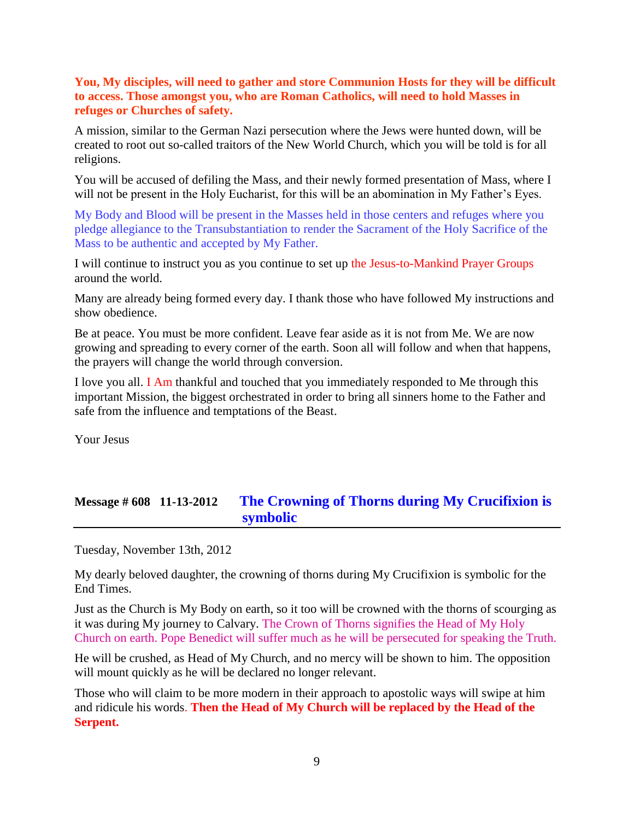### **You, My disciples, will need to gather and store Communion Hosts for they will be difficult to access. Those amongst you, who are Roman Catholics, will need to hold Masses in refuges or Churches of safety.**

A mission, similar to the German Nazi persecution where the Jews were hunted down, will be created to root out so-called traitors of the New World Church, which you will be told is for all religions.

You will be accused of defiling the Mass, and their newly formed presentation of Mass, where I will not be present in the Holy Eucharist, for this will be an abomination in My Father's Eyes.

My Body and Blood will be present in the Masses held in those centers and refuges where you pledge allegiance to the Transubstantiation to render the Sacrament of the Holy Sacrifice of the Mass to be authentic and accepted by My Father.

I will continue to instruct you as you continue to set up the Jesus-to-Mankind Prayer Groups around the world.

Many are already being formed every day. I thank those who have followed My instructions and show obedience.

Be at peace. You must be more confident. Leave fear aside as it is not from Me. We are now growing and spreading to every corner of the earth. Soon all will follow and when that happens, the prayers will change the world through conversion.

I love you all. I Am thankful and touched that you immediately responded to Me through this important Mission, the biggest orchestrated in order to bring all sinners home to the Father and safe from the influence and temptations of the Beast.

Your Jesus

# **Message # 608 11-13-2012 [The Crowning of Thorns during My Crucifixion is](http://www.thewarningsecondcoming.com/the-crowning-of-thorns-during-my-crucifixion-is-symbolic/)  [symbolic](http://www.thewarningsecondcoming.com/the-crowning-of-thorns-during-my-crucifixion-is-symbolic/)**

Tuesday, November 13th, 2012

My dearly beloved daughter, the crowning of thorns during My Crucifixion is symbolic for the End Times.

Just as the Church is My Body on earth, so it too will be crowned with the thorns of scourging as it was during My journey to Calvary. The Crown of Thorns signifies the Head of My Holy Church on earth. Pope Benedict will suffer much as he will be persecuted for speaking the Truth.

He will be crushed, as Head of My Church, and no mercy will be shown to him. The opposition will mount quickly as he will be declared no longer relevant.

Those who will claim to be more modern in their approach to apostolic ways will swipe at him and ridicule his words. **Then the Head of My Church will be replaced by the Head of the Serpent.**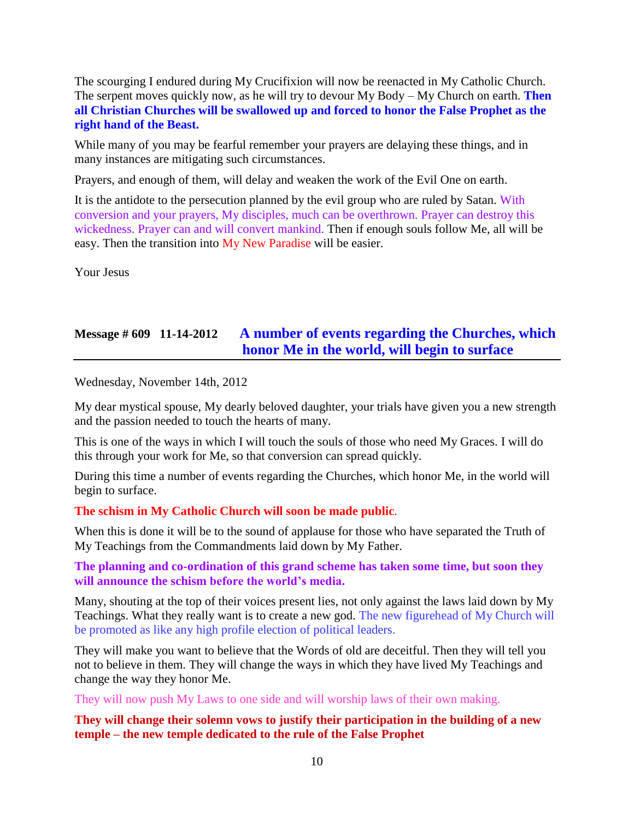The scourging I endured during My Crucifixion will now be reenacted in My Catholic Church. The serpent moves quickly now, as he will try to devour My Body – My Church on earth. **Then all Christian Churches will be swallowed up and forced to honor the False Prophet as the right hand of the Beast.**

While many of you may be fearful remember your prayers are delaying these things, and in many instances are mitigating such circumstances.

Prayers, and enough of them, will delay and weaken the work of the Evil One on earth.

It is the antidote to the persecution planned by the evil group who are ruled by Satan. With conversion and your prayers, My disciples, much can be overthrown. Prayer can destroy this wickedness. Prayer can and will convert mankind. Then if enough souls follow Me, all will be easy. Then the transition into My New Paradise will be easier.

Your Jesus

# **Message # 609 11-14-2012 [A number of events regarding the Churches, which](http://www.thewarningsecondcoming.com/a-number-of-events-regarding-the-churches-which-honor-me-in-the-world-will-begin-to-surface/)  [honor Me in the world, will begin to surface](http://www.thewarningsecondcoming.com/a-number-of-events-regarding-the-churches-which-honor-me-in-the-world-will-begin-to-surface/)**

Wednesday, November 14th, 2012

My dear mystical spouse, My dearly beloved daughter, your trials have given you a new strength and the passion needed to touch the hearts of many.

This is one of the ways in which I will touch the souls of those who need My Graces. I will do this through your work for Me, so that conversion can spread quickly.

During this time a number of events regarding the Churches, which honor Me, in the world will begin to surface.

**The schism in My Catholic Church will soon be made public**.

When this is done it will be to the sound of applause for those who have separated the Truth of My Teachings from the Commandments laid down by My Father.

**The planning and co-ordination of this grand scheme has taken some time, but soon they will announce the schism before the world's media.**

Many, shouting at the top of their voices present lies, not only against the laws laid down by My Teachings. What they really want is to create a new god. The new figurehead of My Church will be promoted as like any high profile election of political leaders.

They will make you want to believe that the Words of old are deceitful. Then they will tell you not to believe in them. They will change the ways in which they have lived My Teachings and change the way they honor Me.

They will now push My Laws to one side and will worship laws of their own making.

**They will change their solemn vows to justify their participation in the building of a new temple – the new temple dedicated to the rule of the False Prophet**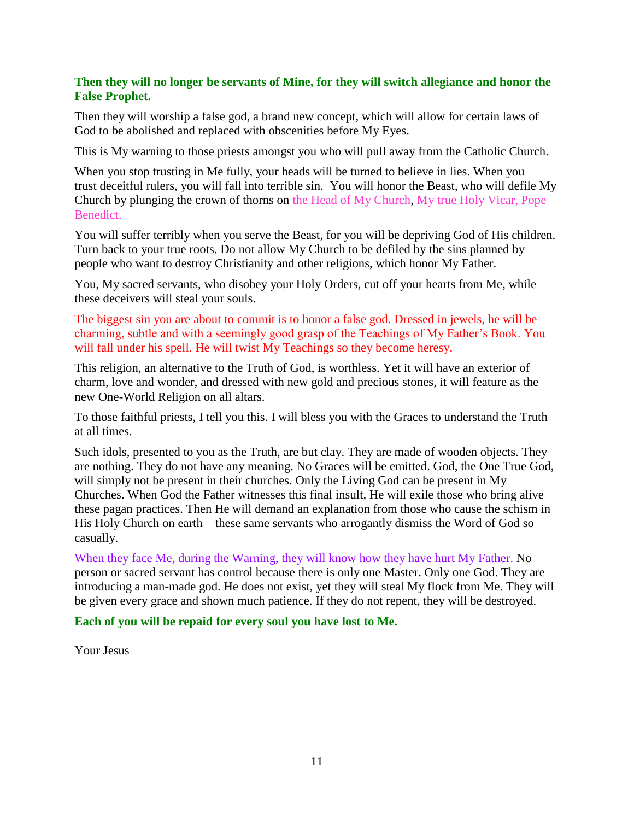### **Then they will no longer be servants of Mine, for they will switch allegiance and honor the False Prophet.**

Then they will worship a false god, a brand new concept, which will allow for certain laws of God to be abolished and replaced with obscenities before My Eyes.

This is My warning to those priests amongst you who will pull away from the Catholic Church.

When you stop trusting in Me fully, your heads will be turned to believe in lies. When you trust deceitful rulers, you will fall into terrible sin. You will honor the Beast, who will defile My Church by plunging the crown of thorns on the Head of My Church, My true Holy Vicar, Pope Benedict.

You will suffer terribly when you serve the Beast, for you will be depriving God of His children. Turn back to your true roots. Do not allow My Church to be defiled by the sins planned by people who want to destroy Christianity and other religions, which honor My Father.

You, My sacred servants, who disobey your Holy Orders, cut off your hearts from Me, while these deceivers will steal your souls.

The biggest sin you are about to commit is to honor a false god. Dressed in jewels, he will be charming, subtle and with a seemingly good grasp of the Teachings of My Father's Book. You will fall under his spell. He will twist My Teachings so they become heresy.

This religion, an alternative to the Truth of God, is worthless. Yet it will have an exterior of charm, love and wonder, and dressed with new gold and precious stones, it will feature as the new One-World Religion on all altars.

To those faithful priests, I tell you this. I will bless you with the Graces to understand the Truth at all times.

Such idols, presented to you as the Truth, are but clay. They are made of wooden objects. They are nothing. They do not have any meaning. No Graces will be emitted. God, the One True God, will simply not be present in their churches. Only the Living God can be present in My Churches. When God the Father witnesses this final insult, He will exile those who bring alive these pagan practices. Then He will demand an explanation from those who cause the schism in His Holy Church on earth – these same servants who arrogantly dismiss the Word of God so casually.

When they face Me, during the Warning, they will know how they have hurt My Father. No person or sacred servant has control because there is only one Master. Only one God. They are introducing a man-made god. He does not exist, yet they will steal My flock from Me. They will be given every grace and shown much patience. If they do not repent, they will be destroyed.

**Each of you will be repaid for every soul you have lost to Me.**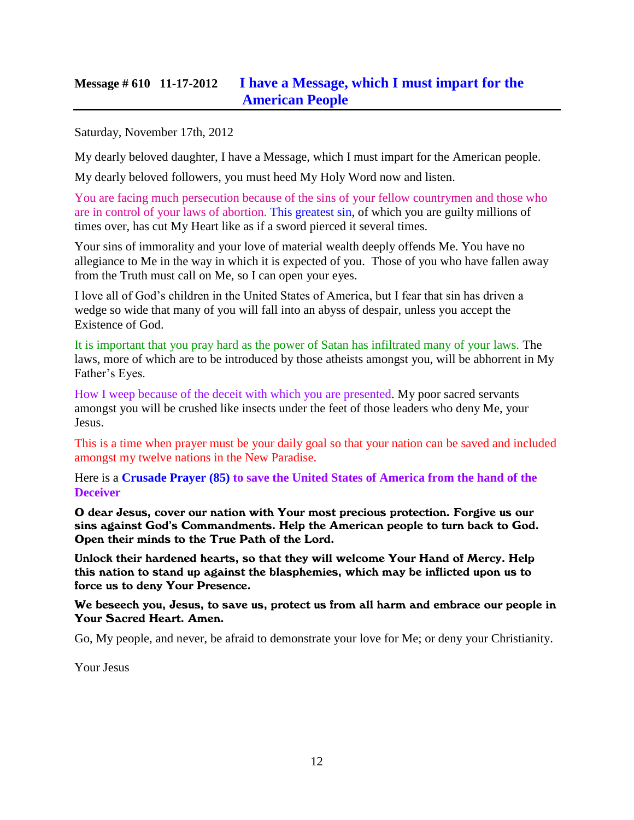# **Message # 610 11-17-2012 [I have a Message, which I must impart for the](http://www.thewarningsecondcoming.com/i-have-a-message-which-i-must-impart-for-the-american-people/)  [American People](http://www.thewarningsecondcoming.com/i-have-a-message-which-i-must-impart-for-the-american-people/)**

Saturday, November 17th, 2012

My dearly beloved daughter, I have a Message, which I must impart for the American people.

My dearly beloved followers, you must heed My Holy Word now and listen.

You are facing much persecution because of the sins of your fellow countrymen and those who are in control of your laws of abortion. This greatest sin, of which you are guilty millions of times over, has cut My Heart like as if a sword pierced it several times.

Your sins of immorality and your love of material wealth deeply offends Me. You have no allegiance to Me in the way in which it is expected of you. Those of you who have fallen away from the Truth must call on Me, so I can open your eyes.

I love all of God's children in the United States of America, but I fear that sin has driven a wedge so wide that many of you will fall into an abyss of despair, unless you accept the Existence of God.

It is important that you pray hard as the power of Satan has infiltrated many of your laws. The laws, more of which are to be introduced by those atheists amongst you, will be abhorrent in My Father's Eyes.

How I weep because of the deceit with which you are presented. My poor sacred servants amongst you will be crushed like insects under the feet of those leaders who deny Me, your Jesus.

This is a time when prayer must be your daily goal so that your nation can be saved and included amongst my twelve nations in the New Paradise.

Here is a **Crusade Prayer (85) to save the United States of America from the hand of the Deceiver**

O dear Jesus, cover our nation with Your most precious protection. Forgive us our sins against God's Commandments. Help the American people to turn back to God. Open their minds to the True Path of the Lord.

Unlock their hardened hearts, so that they will welcome Your Hand of Mercy. Help this nation to stand up against the blasphemies, which may be inflicted upon us to force us to deny Your Presence.

We beseech you, Jesus, to save us, protect us from all harm and embrace our people in Your Sacred Heart. Amen.

Go, My people, and never, be afraid to demonstrate your love for Me; or deny your Christianity.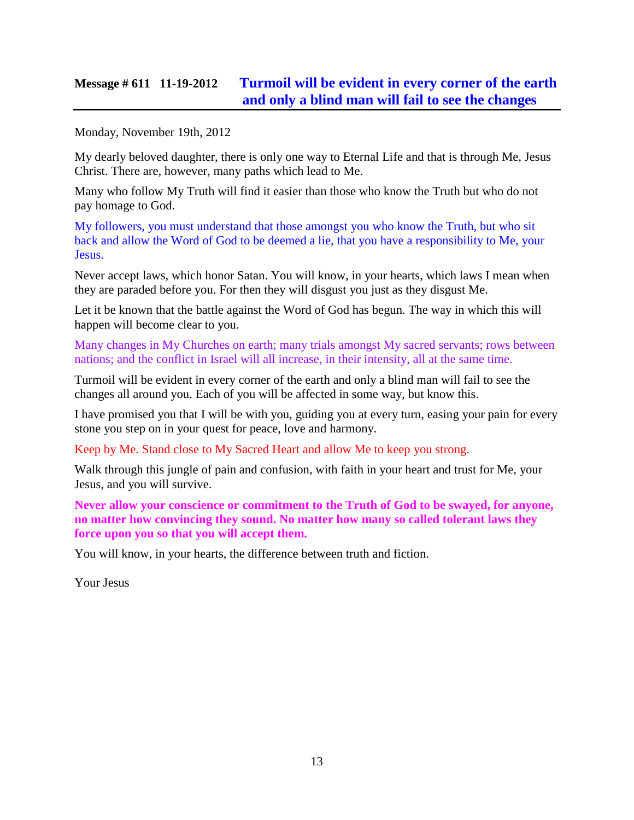# **Message # 611 11-19-2012 [Turmoil will be evident in every corner of the earth](http://www.thewarningsecondcoming.com/turmoil-will-be-evident-in-every-corner-of-the-earth-and-only-a-blind-man-will-fail-to-see-the-changes/)  [and only a blind man will fail to see the changes](http://www.thewarningsecondcoming.com/turmoil-will-be-evident-in-every-corner-of-the-earth-and-only-a-blind-man-will-fail-to-see-the-changes/)**

Monday, November 19th, 2012

My dearly beloved daughter, there is only one way to Eternal Life and that is through Me, Jesus Christ. There are, however, many paths which lead to Me.

Many who follow My Truth will find it easier than those who know the Truth but who do not pay homage to God.

My followers, you must understand that those amongst you who know the Truth, but who sit back and allow the Word of God to be deemed a lie, that you have a responsibility to Me, your Jesus.

Never accept laws, which honor Satan. You will know, in your hearts, which laws I mean when they are paraded before you. For then they will disgust you just as they disgust Me.

Let it be known that the battle against the Word of God has begun. The way in which this will happen will become clear to you.

Many changes in My Churches on earth; many trials amongst My sacred servants; rows between nations; and the conflict in Israel will all increase, in their intensity, all at the same time.

Turmoil will be evident in every corner of the earth and only a blind man will fail to see the changes all around you. Each of you will be affected in some way, but know this.

I have promised you that I will be with you, guiding you at every turn, easing your pain for every stone you step on in your quest for peace, love and harmony.

Keep by Me. Stand close to My Sacred Heart and allow Me to keep you strong.

Walk through this jungle of pain and confusion, with faith in your heart and trust for Me, your Jesus, and you will survive.

**Never allow your conscience or commitment to the Truth of God to be swayed, for anyone, no matter how convincing they sound. No matter how many so called tolerant laws they force upon you so that you will accept them.**

You will know, in your hearts, the difference between truth and fiction.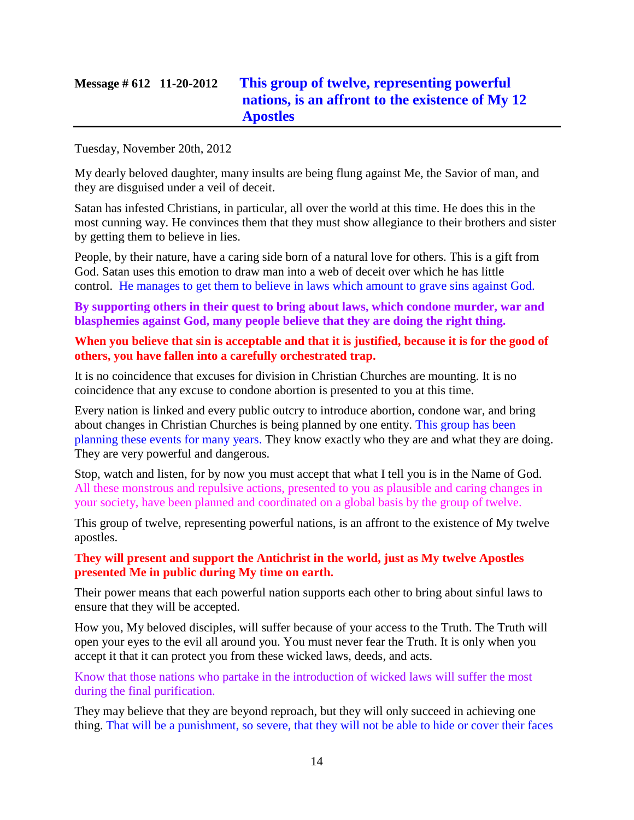# **Message # 612 11-20-2012 [This group of twelve, representing powerful](http://www.thewarningsecondcoming.com/this-group-of-twelve-representing-powerful-nations-is-an-affront-to-the-existence-of-my-12-apostles/)  [nations, is an affront to the existence of My 12](http://www.thewarningsecondcoming.com/this-group-of-twelve-representing-powerful-nations-is-an-affront-to-the-existence-of-my-12-apostles/)  [Apostles](http://www.thewarningsecondcoming.com/this-group-of-twelve-representing-powerful-nations-is-an-affront-to-the-existence-of-my-12-apostles/)**

Tuesday, November 20th, 2012

My dearly beloved daughter, many insults are being flung against Me, the Savior of man, and they are disguised under a veil of deceit.

Satan has infested Christians, in particular, all over the world at this time. He does this in the most cunning way. He convinces them that they must show allegiance to their brothers and sister by getting them to believe in lies.

People, by their nature, have a caring side born of a natural love for others. This is a gift from God. Satan uses this emotion to draw man into a web of deceit over which he has little control. He manages to get them to believe in laws which amount to grave sins against God.

**By supporting others in their quest to bring about laws, which condone murder, war and blasphemies against God, many people believe that they are doing the right thing.**

#### **When you believe that sin is acceptable and that it is justified, because it is for the good of others, you have fallen into a carefully orchestrated trap.**

It is no coincidence that excuses for division in Christian Churches are mounting. It is no coincidence that any excuse to condone abortion is presented to you at this time.

Every nation is linked and every public outcry to introduce abortion, condone war, and bring about changes in Christian Churches is being planned by one entity. This group has been planning these events for many years. They know exactly who they are and what they are doing. They are very powerful and dangerous.

Stop, watch and listen, for by now you must accept that what I tell you is in the Name of God. All these monstrous and repulsive actions, presented to you as plausible and caring changes in your society, have been planned and coordinated on a global basis by the group of twelve.

This group of twelve, representing powerful nations, is an affront to the existence of My twelve apostles.

### **They will present and support the Antichrist in the world, just as My twelve Apostles presented Me in public during My time on earth.**

Their power means that each powerful nation supports each other to bring about sinful laws to ensure that they will be accepted.

How you, My beloved disciples, will suffer because of your access to the Truth. The Truth will open your eyes to the evil all around you. You must never fear the Truth. It is only when you accept it that it can protect you from these wicked laws, deeds, and acts.

Know that those nations who partake in the introduction of wicked laws will suffer the most during the final purification.

They may believe that they are beyond reproach, but they will only succeed in achieving one thing. That will be a punishment, so severe, that they will not be able to hide or cover their faces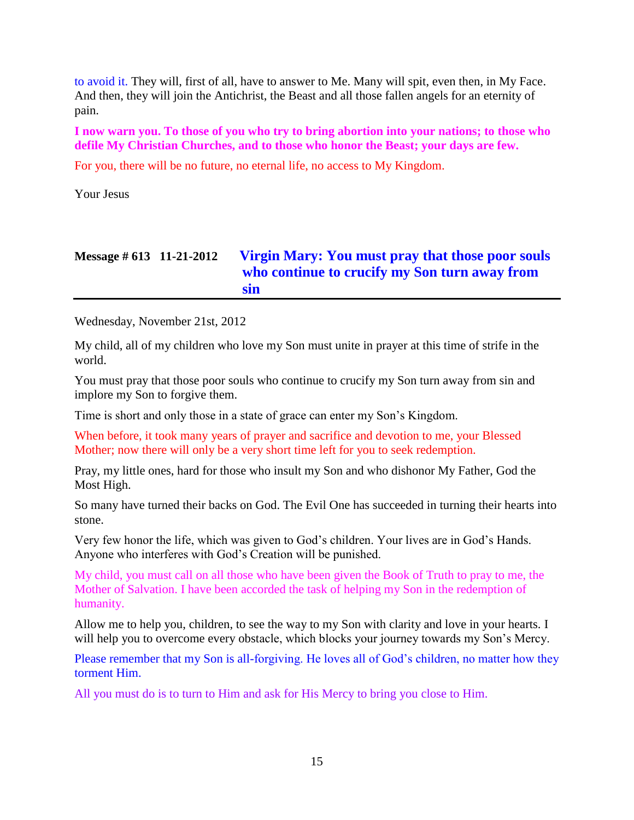to avoid it. They will, first of all, have to answer to Me. Many will spit, even then, in My Face. And then, they will join the Antichrist, the Beast and all those fallen angels for an eternity of pain.

**I now warn you. To those of you who try to bring abortion into your nations; to those who defile My Christian Churches, and to those who honor the Beast; your days are few.**

For you, there will be no future, no eternal life, no access to My Kingdom.

Your Jesus

# **Message # 613 11-21-2012 [Virgin Mary: You must pray that those poor souls](http://www.thewarningsecondcoming.com/virgin-mary-you-must-pray-that-those-poor-souls-who-continue-to-crucify-my-son-turn-away-from-sin/)  [who continue to crucify my Son turn away from](http://www.thewarningsecondcoming.com/virgin-mary-you-must-pray-that-those-poor-souls-who-continue-to-crucify-my-son-turn-away-from-sin/)  [sin](http://www.thewarningsecondcoming.com/virgin-mary-you-must-pray-that-those-poor-souls-who-continue-to-crucify-my-son-turn-away-from-sin/)**

Wednesday, November 21st, 2012

My child, all of my children who love my Son must unite in prayer at this time of strife in the world.

You must pray that those poor souls who continue to crucify my Son turn away from sin and implore my Son to forgive them.

Time is short and only those in a state of grace can enter my Son's Kingdom.

When before, it took many years of prayer and sacrifice and devotion to me, your Blessed Mother; now there will only be a very short time left for you to seek redemption.

Pray, my little ones, hard for those who insult my Son and who dishonor My Father, God the Most High.

So many have turned their backs on God. The Evil One has succeeded in turning their hearts into stone.

Very few honor the life, which was given to God's children. Your lives are in God's Hands. Anyone who interferes with God's Creation will be punished.

My child, you must call on all those who have been given the Book of Truth to pray to me, the Mother of Salvation. I have been accorded the task of helping my Son in the redemption of humanity.

Allow me to help you, children, to see the way to my Son with clarity and love in your hearts. I will help you to overcome every obstacle, which blocks your journey towards my Son's Mercy.

Please remember that my Son is all-forgiving. He loves all of God's children, no matter how they torment Him.

All you must do is to turn to Him and ask for His Mercy to bring you close to Him.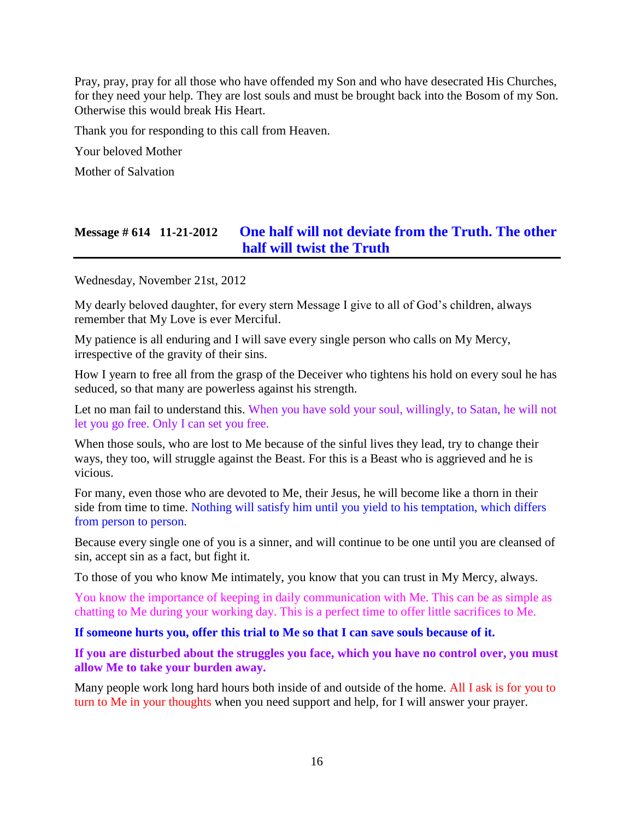Pray, pray, pray for all those who have offended my Son and who have desecrated His Churches, for they need your help. They are lost souls and must be brought back into the Bosom of my Son. Otherwise this would break His Heart.

Thank you for responding to this call from Heaven.

Your beloved Mother

Mother of Salvation

# **Message # 614 11-21-2012 [One half will not deviate from the Truth. The other](http://www.thewarningsecondcoming.com/one-half-will-not-deviate-from-the-truth-the-other-halve-will-twist-the-truth/)  [half will twist the Truth](http://www.thewarningsecondcoming.com/one-half-will-not-deviate-from-the-truth-the-other-halve-will-twist-the-truth/)**

Wednesday, November 21st, 2012

My dearly beloved daughter, for every stern Message I give to all of God's children, always remember that My Love is ever Merciful.

My patience is all enduring and I will save every single person who calls on My Mercy, irrespective of the gravity of their sins.

How I yearn to free all from the grasp of the Deceiver who tightens his hold on every soul he has seduced, so that many are powerless against his strength.

Let no man fail to understand this. When you have sold your soul, willingly, to Satan, he will not let you go free. Only I can set you free.

When those souls, who are lost to Me because of the sinful lives they lead, try to change their ways, they too, will struggle against the Beast. For this is a Beast who is aggrieved and he is vicious.

For many, even those who are devoted to Me, their Jesus, he will become like a thorn in their side from time to time. Nothing will satisfy him until you yield to his temptation, which differs from person to person.

Because every single one of you is a sinner, and will continue to be one until you are cleansed of sin, accept sin as a fact, but fight it.

To those of you who know Me intimately, you know that you can trust in My Mercy, always.

You know the importance of keeping in daily communication with Me. This can be as simple as chatting to Me during your working day. This is a perfect time to offer little sacrifices to Me.

**If someone hurts you, offer this trial to Me so that I can save souls because of it.**

**If you are disturbed about the struggles you face, which you have no control over, you must allow Me to take your burden away.**

Many people work long hard hours both inside of and outside of the home. All I ask is for you to turn to Me in your thoughts when you need support and help, for I will answer your prayer.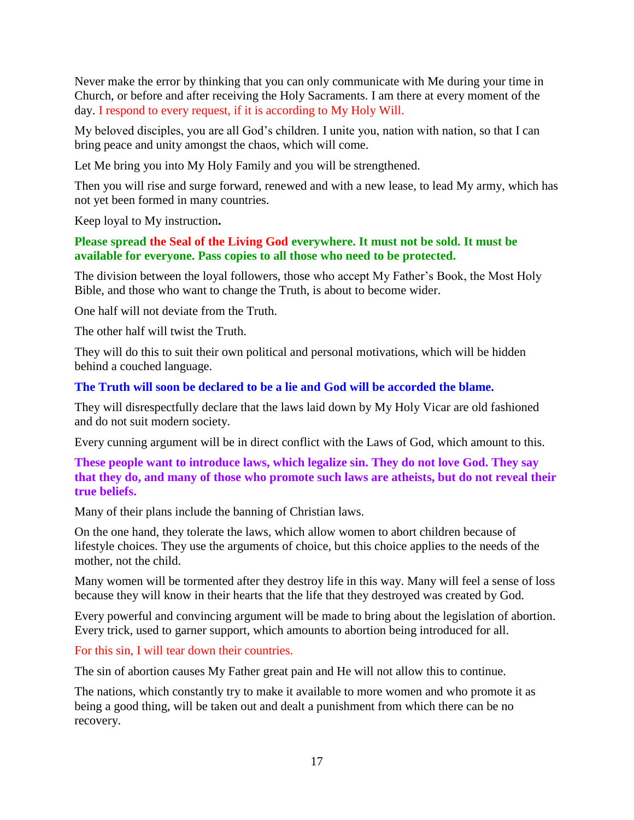Never make the error by thinking that you can only communicate with Me during your time in Church, or before and after receiving the Holy Sacraments. I am there at every moment of the day. I respond to every request, if it is according to My Holy Will.

My beloved disciples, you are all God's children. I unite you, nation with nation, so that I can bring peace and unity amongst the chaos, which will come.

Let Me bring you into My Holy Family and you will be strengthened.

Then you will rise and surge forward, renewed and with a new lease, to lead My army, which has not yet been formed in many countries.

Keep loyal to My instruction**.**

### **Please spread the Seal of the Living God everywhere. It must not be sold. It must be available for everyone. Pass copies to all those who need to be protected.**

The division between the loyal followers, those who accept My Father's Book, the Most Holy Bible, and those who want to change the Truth, is about to become wider.

One half will not deviate from the Truth.

The other half will twist the Truth.

They will do this to suit their own political and personal motivations, which will be hidden behind a couched language.

### **The Truth will soon be declared to be a lie and God will be accorded the blame.**

They will disrespectfully declare that the laws laid down by My Holy Vicar are old fashioned and do not suit modern society.

Every cunning argument will be in direct conflict with the Laws of God, which amount to this.

**These people want to introduce laws, which legalize sin. They do not love God. They say that they do, and many of those who promote such laws are atheists, but do not reveal their true beliefs.**

Many of their plans include the banning of Christian laws.

On the one hand, they tolerate the laws, which allow women to abort children because of lifestyle choices. They use the arguments of choice, but this choice applies to the needs of the mother, not the child.

Many women will be tormented after they destroy life in this way. Many will feel a sense of loss because they will know in their hearts that the life that they destroyed was created by God.

Every powerful and convincing argument will be made to bring about the legislation of abortion. Every trick, used to garner support, which amounts to abortion being introduced for all.

For this sin, I will tear down their countries.

The sin of abortion causes My Father great pain and He will not allow this to continue.

The nations, which constantly try to make it available to more women and who promote it as being a good thing, will be taken out and dealt a punishment from which there can be no recovery.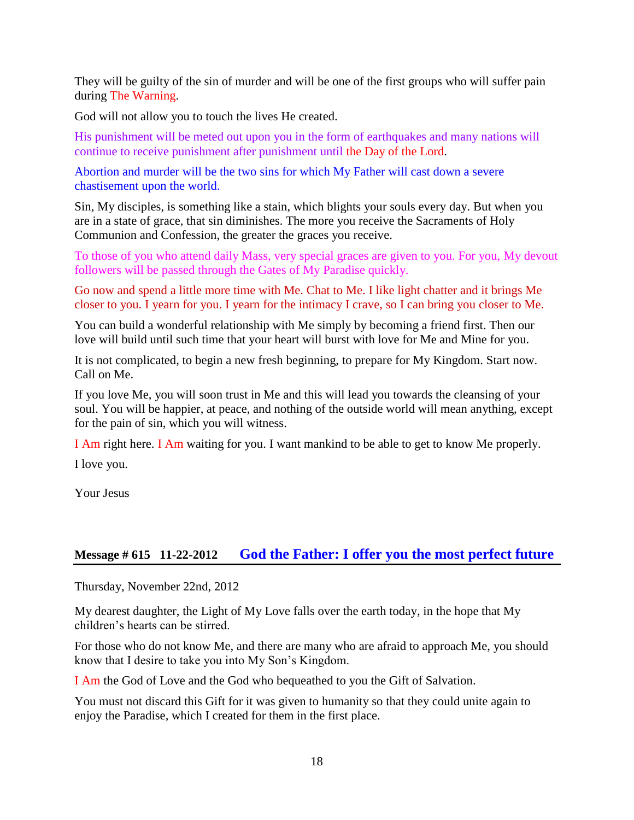They will be guilty of the sin of murder and will be one of the first groups who will suffer pain during The Warning.

God will not allow you to touch the lives He created.

His punishment will be meted out upon you in the form of earthquakes and many nations will continue to receive punishment after punishment until the Day of the Lord.

Abortion and murder will be the two sins for which My Father will cast down a severe chastisement upon the world.

Sin, My disciples, is something like a stain, which blights your souls every day. But when you are in a state of grace, that sin diminishes. The more you receive the Sacraments of Holy Communion and Confession, the greater the graces you receive.

To those of you who attend daily Mass, very special graces are given to you. For you, My devout followers will be passed through the Gates of My Paradise quickly.

Go now and spend a little more time with Me. Chat to Me. I like light chatter and it brings Me closer to you. I yearn for you. I yearn for the intimacy I crave, so I can bring you closer to Me.

You can build a wonderful relationship with Me simply by becoming a friend first. Then our love will build until such time that your heart will burst with love for Me and Mine for you.

It is not complicated, to begin a new fresh beginning, to prepare for My Kingdom. Start now. Call on Me.

If you love Me, you will soon trust in Me and this will lead you towards the cleansing of your soul. You will be happier, at peace, and nothing of the outside world will mean anything, except for the pain of sin, which you will witness.

I Am right here. I Am waiting for you. I want mankind to be able to get to know Me properly.

I love you.

Your Jesus

### **Message # 615 11-22-2012 [God the Father: I offer you the most perfect future](http://www.thewarningsecondcoming.com/god-the-father-i-offer-you-the-most-perfect-future/)**

Thursday, November 22nd, 2012

My dearest daughter, the Light of My Love falls over the earth today, in the hope that My children's hearts can be stirred.

For those who do not know Me, and there are many who are afraid to approach Me, you should know that I desire to take you into My Son's Kingdom.

I Am the God of Love and the God who bequeathed to you the Gift of Salvation.

You must not discard this Gift for it was given to humanity so that they could unite again to enjoy the Paradise, which I created for them in the first place.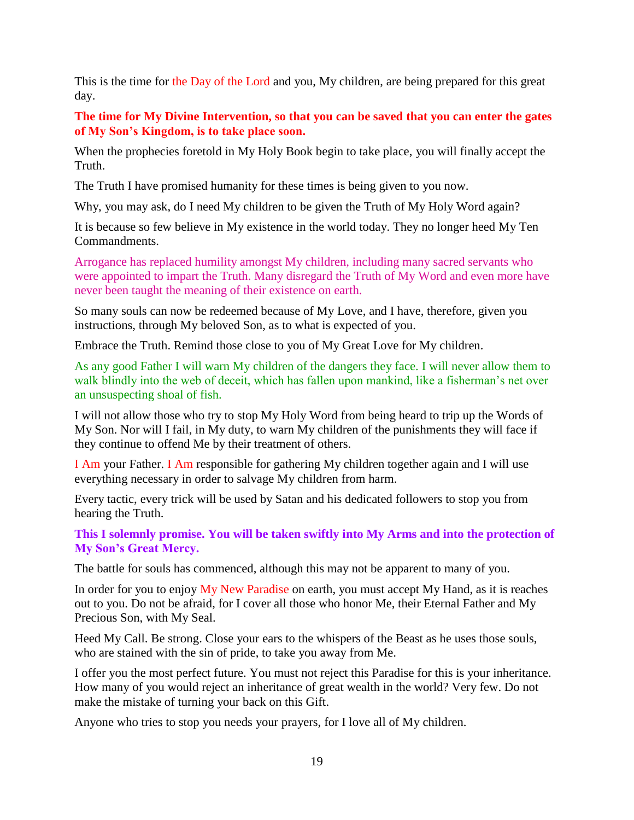This is the time for the Day of the Lord and you, My children, are being prepared for this great day.

**The time for My Divine Intervention, so that you can be saved that you can enter the gates of My Son's Kingdom, is to take place soon.**

When the prophecies foretold in My Holy Book begin to take place, you will finally accept the Truth.

The Truth I have promised humanity for these times is being given to you now.

Why, you may ask, do I need My children to be given the Truth of My Holy Word again?

It is because so few believe in My existence in the world today. They no longer heed My Ten Commandments.

Arrogance has replaced humility amongst My children, including many sacred servants who were appointed to impart the Truth. Many disregard the Truth of My Word and even more have never been taught the meaning of their existence on earth.

So many souls can now be redeemed because of My Love, and I have, therefore, given you instructions, through My beloved Son, as to what is expected of you.

Embrace the Truth. Remind those close to you of My Great Love for My children.

As any good Father I will warn My children of the dangers they face. I will never allow them to walk blindly into the web of deceit, which has fallen upon mankind, like a fisherman's net over an unsuspecting shoal of fish.

I will not allow those who try to stop My Holy Word from being heard to trip up the Words of My Son. Nor will I fail, in My duty, to warn My children of the punishments they will face if they continue to offend Me by their treatment of others.

I Am your Father. I Am responsible for gathering My children together again and I will use everything necessary in order to salvage My children from harm.

Every tactic, every trick will be used by Satan and his dedicated followers to stop you from hearing the Truth.

**This I solemnly promise. You will be taken swiftly into My Arms and into the protection of My Son's Great Mercy.**

The battle for souls has commenced, although this may not be apparent to many of you.

In order for you to enjoy My New Paradise on earth, you must accept My Hand, as it is reaches out to you. Do not be afraid, for I cover all those who honor Me, their Eternal Father and My Precious Son, with My Seal.

Heed My Call. Be strong. Close your ears to the whispers of the Beast as he uses those souls, who are stained with the sin of pride, to take you away from Me.

I offer you the most perfect future. You must not reject this Paradise for this is your inheritance. How many of you would reject an inheritance of great wealth in the world? Very few. Do not make the mistake of turning your back on this Gift.

Anyone who tries to stop you needs your prayers, for I love all of My children.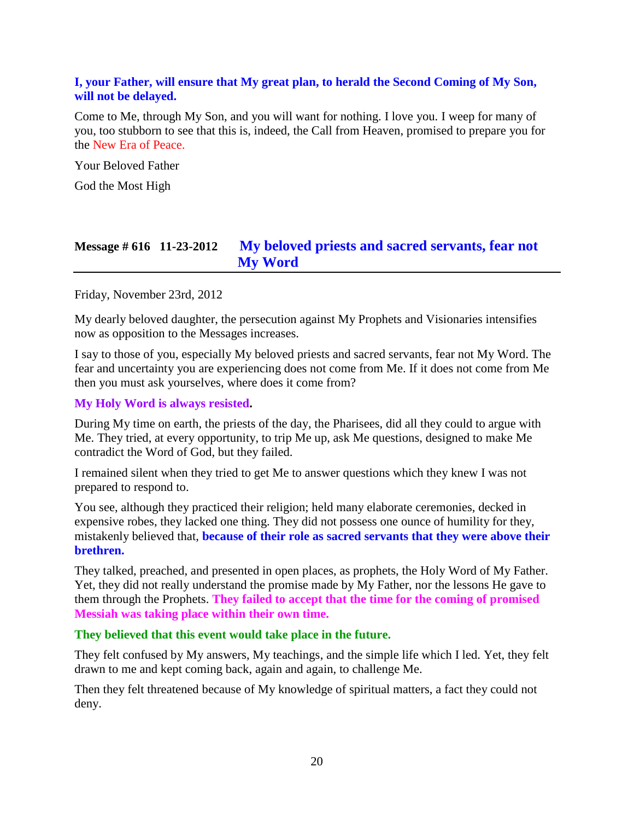### **I, your Father, will ensure that My great plan, to herald the Second Coming of My Son, will not be delayed.**

Come to Me, through My Son, and you will want for nothing. I love you. I weep for many of you, too stubborn to see that this is, indeed, the Call from Heaven, promised to prepare you for the New Era of Peace.

Your Beloved Father

God the Most High

### **Message # 616 11-23-2012 [My beloved priests and sacred servants, fear not](http://www.thewarningsecondcoming.com/my-beloved-priests-and-sacred-servants-fear-not-my-word/)  [My Word](http://www.thewarningsecondcoming.com/my-beloved-priests-and-sacred-servants-fear-not-my-word/)**

#### Friday, November 23rd, 2012

My dearly beloved daughter, the persecution against My Prophets and Visionaries intensifies now as opposition to the Messages increases.

I say to those of you, especially My beloved priests and sacred servants, fear not My Word. The fear and uncertainty you are experiencing does not come from Me. If it does not come from Me then you must ask yourselves, where does it come from?

#### **My Holy Word is always resisted.**

During My time on earth, the priests of the day, the Pharisees, did all they could to argue with Me. They tried, at every opportunity, to trip Me up, ask Me questions, designed to make Me contradict the Word of God, but they failed.

I remained silent when they tried to get Me to answer questions which they knew I was not prepared to respond to.

You see, although they practiced their religion; held many elaborate ceremonies, decked in expensive robes, they lacked one thing. They did not possess one ounce of humility for they, mistakenly believed that, **because of their role as sacred servants that they were above their brethren.**

They talked, preached, and presented in open places, as prophets, the Holy Word of My Father. Yet, they did not really understand the promise made by My Father, nor the lessons He gave to them through the Prophets. **They failed to accept that the time for the coming of promised Messiah was taking place within their own time.**

#### **They believed that this event would take place in the future.**

They felt confused by My answers, My teachings, and the simple life which I led. Yet, they felt drawn to me and kept coming back, again and again, to challenge Me.

Then they felt threatened because of My knowledge of spiritual matters, a fact they could not deny.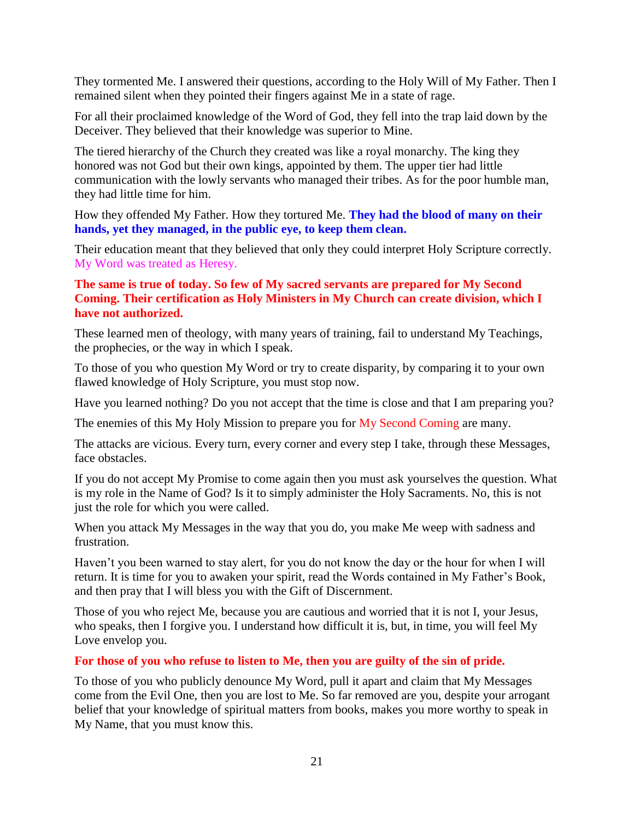They tormented Me. I answered their questions, according to the Holy Will of My Father. Then I remained silent when they pointed their fingers against Me in a state of rage.

For all their proclaimed knowledge of the Word of God, they fell into the trap laid down by the Deceiver. They believed that their knowledge was superior to Mine.

The tiered hierarchy of the Church they created was like a royal monarchy. The king they honored was not God but their own kings, appointed by them. The upper tier had little communication with the lowly servants who managed their tribes. As for the poor humble man, they had little time for him.

How they offended My Father. How they tortured Me. **They had the blood of many on their hands, yet they managed, in the public eye, to keep them clean.**

Their education meant that they believed that only they could interpret Holy Scripture correctly. My Word was treated as Heresy.

### **The same is true of today. So few of My sacred servants are prepared for My Second Coming. Their certification as Holy Ministers in My Church can create division, which I have not authorized.**

These learned men of theology, with many years of training, fail to understand My Teachings, the prophecies, or the way in which I speak.

To those of you who question My Word or try to create disparity, by comparing it to your own flawed knowledge of Holy Scripture, you must stop now.

Have you learned nothing? Do you not accept that the time is close and that I am preparing you?

The enemies of this My Holy Mission to prepare you for My Second Coming are many.

The attacks are vicious. Every turn, every corner and every step I take, through these Messages, face obstacles.

If you do not accept My Promise to come again then you must ask yourselves the question. What is my role in the Name of God? Is it to simply administer the Holy Sacraments. No, this is not just the role for which you were called.

When you attack My Messages in the way that you do, you make Me weep with sadness and frustration.

Haven't you been warned to stay alert, for you do not know the day or the hour for when I will return. It is time for you to awaken your spirit, read the Words contained in My Father's Book, and then pray that I will bless you with the Gift of Discernment.

Those of you who reject Me, because you are cautious and worried that it is not I, your Jesus, who speaks, then I forgive you. I understand how difficult it is, but, in time, you will feel My Love envelop you.

### **For those of you who refuse to listen to Me, then you are guilty of the sin of pride.**

To those of you who publicly denounce My Word, pull it apart and claim that My Messages come from the Evil One, then you are lost to Me. So far removed are you, despite your arrogant belief that your knowledge of spiritual matters from books, makes you more worthy to speak in My Name, that you must know this.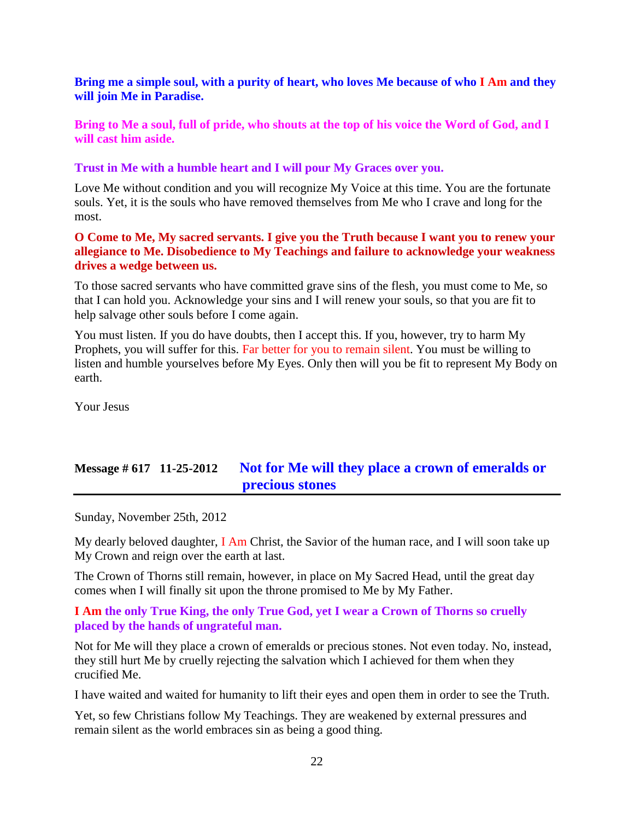### **Bring me a simple soul, with a purity of heart, who loves Me because of who I Am and they will join Me in Paradise.**

**Bring to Me a soul, full of pride, who shouts at the top of his voice the Word of God, and I will cast him aside.**

**Trust in Me with a humble heart and I will pour My Graces over you.**

Love Me without condition and you will recognize My Voice at this time. You are the fortunate souls. Yet, it is the souls who have removed themselves from Me who I crave and long for the most.

#### **O Come to Me, My sacred servants. I give you the Truth because I want you to renew your allegiance to Me. Disobedience to My Teachings and failure to acknowledge your weakness drives a wedge between us.**

To those sacred servants who have committed grave sins of the flesh, you must come to Me, so that I can hold you. Acknowledge your sins and I will renew your souls, so that you are fit to help salvage other souls before I come again.

You must listen. If you do have doubts, then I accept this. If you, however, try to harm My Prophets, you will suffer for this. Far better for you to remain silent. You must be willing to listen and humble yourselves before My Eyes. Only then will you be fit to represent My Body on earth.

Your Jesus

# **Message # 617 11-25-2012 [Not for Me will they place a crown of emeralds or](http://www.thewarningsecondcoming.com/not-for-me-will-they-place-a-crown-of-emeralds-or-precious-stones/)  [precious stones](http://www.thewarningsecondcoming.com/not-for-me-will-they-place-a-crown-of-emeralds-or-precious-stones/)**

Sunday, November 25th, 2012

My dearly beloved daughter,  $I$  Am Christ, the Savior of the human race, and I will soon take up My Crown and reign over the earth at last.

The Crown of Thorns still remain, however, in place on My Sacred Head, until the great day comes when I will finally sit upon the throne promised to Me by My Father.

### **I Am the only True King, the only True God, yet I wear a Crown of Thorns so cruelly placed by the hands of ungrateful man.**

Not for Me will they place a crown of emeralds or precious stones. Not even today. No, instead, they still hurt Me by cruelly rejecting the salvation which I achieved for them when they crucified Me.

I have waited and waited for humanity to lift their eyes and open them in order to see the Truth.

Yet, so few Christians follow My Teachings. They are weakened by external pressures and remain silent as the world embraces sin as being a good thing.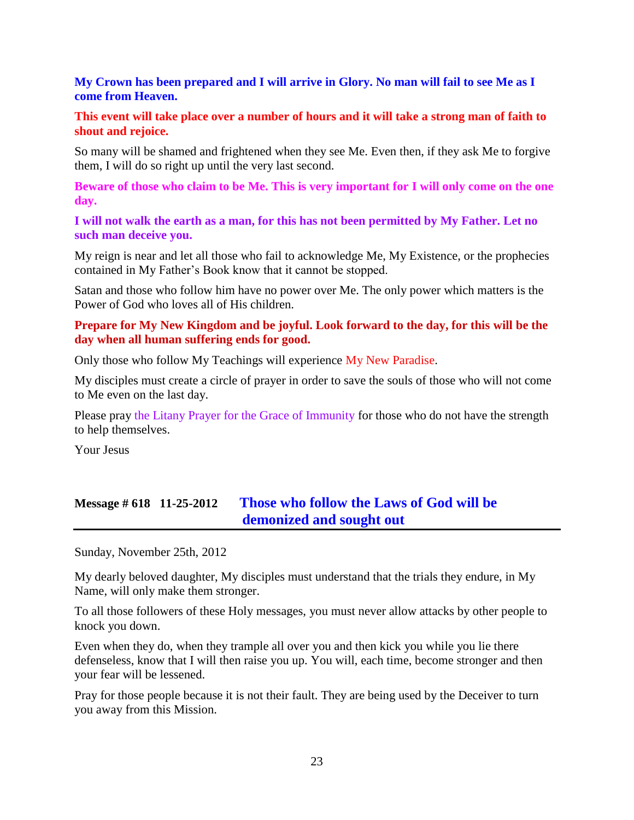### **My Crown has been prepared and I will arrive in Glory. No man will fail to see Me as I come from Heaven.**

#### **This event will take place over a number of hours and it will take a strong man of faith to shout and rejoice.**

So many will be shamed and frightened when they see Me. Even then, if they ask Me to forgive them, I will do so right up until the very last second.

**Beware of those who claim to be Me. This is very important for I will only come on the one day.**

**I will not walk the earth as a man, for this has not been permitted by My Father. Let no such man deceive you.**

My reign is near and let all those who fail to acknowledge Me, My Existence, or the prophecies contained in My Father's Book know that it cannot be stopped.

Satan and those who follow him have no power over Me. The only power which matters is the Power of God who loves all of His children.

### **Prepare for My New Kingdom and be joyful. Look forward to the day, for this will be the day when all human suffering ends for good.**

Only those who follow My Teachings will experience My New Paradise.

My disciples must create a circle of prayer in order to save the souls of those who will not come to Me even on the last day.

Please pray the Litany Prayer for the Grace of Immunity for those who do not have the strength to help themselves.

Your Jesus

# **Message # 618 11-25-2012 [Those who follow the Laws of God will be](http://www.thewarningsecondcoming.com/those-who-follow-the-laws-of-god-will-be-demonised-and-sought-out/)  [demonized and sought out](http://www.thewarningsecondcoming.com/those-who-follow-the-laws-of-god-will-be-demonised-and-sought-out/)**

Sunday, November 25th, 2012

My dearly beloved daughter, My disciples must understand that the trials they endure, in My Name, will only make them stronger.

To all those followers of these Holy messages, you must never allow attacks by other people to knock you down.

Even when they do, when they trample all over you and then kick you while you lie there defenseless, know that I will then raise you up. You will, each time, become stronger and then your fear will be lessened.

Pray for those people because it is not their fault. They are being used by the Deceiver to turn you away from this Mission.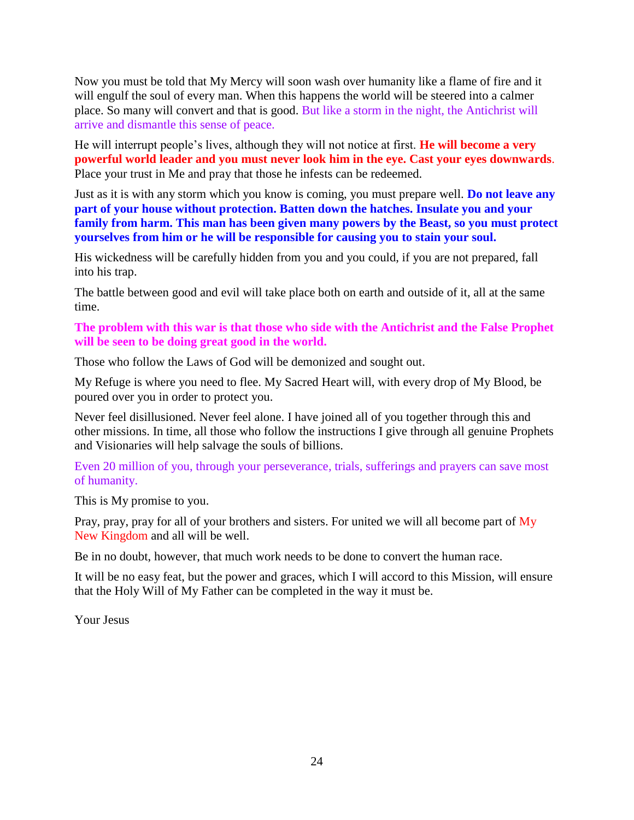Now you must be told that My Mercy will soon wash over humanity like a flame of fire and it will engulf the soul of every man. When this happens the world will be steered into a calmer place. So many will convert and that is good. But like a storm in the night, the Antichrist will arrive and dismantle this sense of peace.

He will interrupt people's lives, although they will not notice at first. **He will become a very powerful world leader and you must never look him in the eye. Cast your eyes downwards**. Place your trust in Me and pray that those he infests can be redeemed.

Just as it is with any storm which you know is coming, you must prepare well. **Do not leave any part of your house without protection. Batten down the hatches. Insulate you and your family from harm. This man has been given many powers by the Beast, so you must protect yourselves from him or he will be responsible for causing you to stain your soul.**

His wickedness will be carefully hidden from you and you could, if you are not prepared, fall into his trap.

The battle between good and evil will take place both on earth and outside of it, all at the same time.

**The problem with this war is that those who side with the Antichrist and the False Prophet will be seen to be doing great good in the world.**

Those who follow the Laws of God will be demonized and sought out.

My Refuge is where you need to flee. My Sacred Heart will, with every drop of My Blood, be poured over you in order to protect you.

Never feel disillusioned. Never feel alone. I have joined all of you together through this and other missions. In time, all those who follow the instructions I give through all genuine Prophets and Visionaries will help salvage the souls of billions.

Even 20 million of you, through your perseverance, trials, sufferings and prayers can save most of humanity.

This is My promise to you.

Pray, pray, pray for all of your brothers and sisters. For united we will all become part of My New Kingdom and all will be well.

Be in no doubt, however, that much work needs to be done to convert the human race.

It will be no easy feat, but the power and graces, which I will accord to this Mission, will ensure that the Holy Will of My Father can be completed in the way it must be.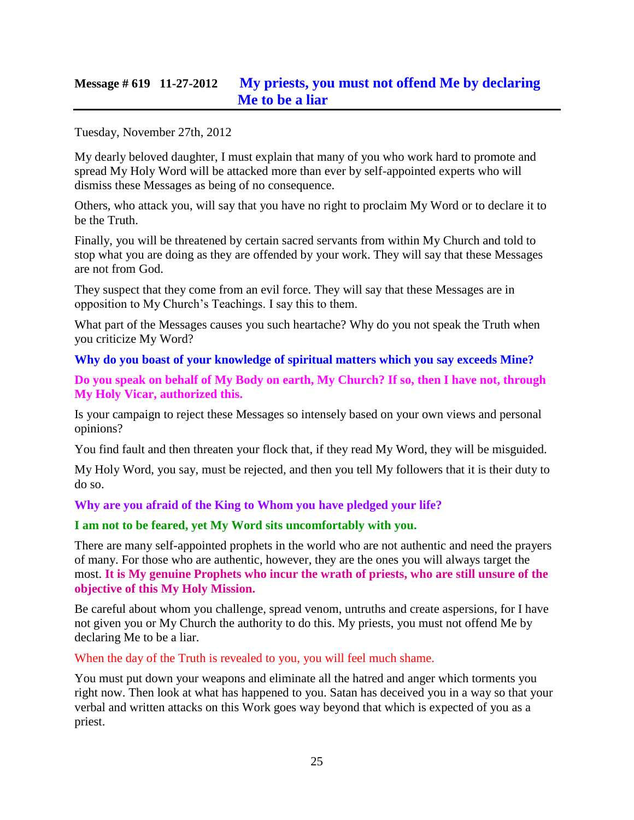# **Message # 619 11-27-2012 [My priests, you must not offend Me by declaring](http://www.thewarningsecondcoming.com/my-priests-you-must-not-offend-me-by-declaring-me-to-be-a-liar/)  [Me to be a liar](http://www.thewarningsecondcoming.com/my-priests-you-must-not-offend-me-by-declaring-me-to-be-a-liar/)**

Tuesday, November 27th, 2012

My dearly beloved daughter, I must explain that many of you who work hard to promote and spread My Holy Word will be attacked more than ever by self-appointed experts who will dismiss these Messages as being of no consequence.

Others, who attack you, will say that you have no right to proclaim My Word or to declare it to be the Truth.

Finally, you will be threatened by certain sacred servants from within My Church and told to stop what you are doing as they are offended by your work. They will say that these Messages are not from God.

They suspect that they come from an evil force. They will say that these Messages are in opposition to My Church's Teachings. I say this to them.

What part of the Messages causes you such heartache? Why do you not speak the Truth when you criticize My Word?

### **Why do you boast of your knowledge of spiritual matters which you say exceeds Mine?**

**Do you speak on behalf of My Body on earth, My Church? If so, then I have not, through My Holy Vicar, authorized this.**

Is your campaign to reject these Messages so intensely based on your own views and personal opinions?

You find fault and then threaten your flock that, if they read My Word, they will be misguided.

My Holy Word, you say, must be rejected, and then you tell My followers that it is their duty to do so.

**Why are you afraid of the King to Whom you have pledged your life?**

#### **I am not to be feared, yet My Word sits uncomfortably with you.**

There are many self-appointed prophets in the world who are not authentic and need the prayers of many. For those who are authentic, however, they are the ones you will always target the most. **It is My genuine Prophets who incur the wrath of priests, who are still unsure of the objective of this My Holy Mission.**

Be careful about whom you challenge, spread venom, untruths and create aspersions, for I have not given you or My Church the authority to do this. My priests, you must not offend Me by declaring Me to be a liar.

When the day of the Truth is revealed to you, you will feel much shame.

You must put down your weapons and eliminate all the hatred and anger which torments you right now. Then look at what has happened to you. Satan has deceived you in a way so that your verbal and written attacks on this Work goes way beyond that which is expected of you as a priest.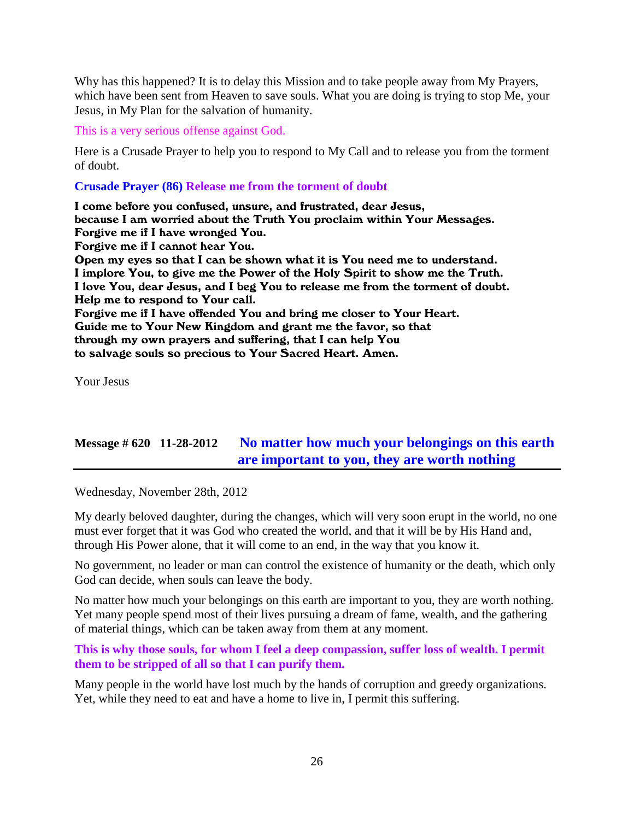Why has this happened? It is to delay this Mission and to take people away from My Prayers, which have been sent from Heaven to save souls. What you are doing is trying to stop Me, your Jesus, in My Plan for the salvation of humanity.

This is a very serious offense against God.

Here is a Crusade Prayer to help you to respond to My Call and to release you from the torment of doubt.

#### **Crusade Prayer (86) Release me from the torment of doubt**

I come before you confused, unsure, and frustrated, dear Jesus, because I am worried about the Truth You proclaim within Your Messages. Forgive me if I have wronged You. Forgive me if I cannot hear You. Open my eyes so that I can be shown what it is You need me to understand. I implore You, to give me the Power of the Holy Spirit to show me the Truth. I love You, dear Jesus, and I beg You to release me from the torment of doubt. Help me to respond to Your call. Forgive me if I have offended You and bring me closer to Your Heart. Guide me to Your New Kingdom and grant me the favor, so that through my own prayers and suffering, that I can help You to salvage souls so precious to Your Sacred Heart. Amen.

Your Jesus

# **Message # 620 11-28-2012 [No matter how much your belongings on this earth](http://www.thewarningsecondcoming.com/no-matter-how-much-your-belongings-on-this-earth-are-important-to-you-they-are-worth-nothing/)  [are important to you, they are worth nothing](http://www.thewarningsecondcoming.com/no-matter-how-much-your-belongings-on-this-earth-are-important-to-you-they-are-worth-nothing/)**

Wednesday, November 28th, 2012

My dearly beloved daughter, during the changes, which will very soon erupt in the world, no one must ever forget that it was God who created the world, and that it will be by His Hand and, through His Power alone, that it will come to an end, in the way that you know it.

No government, no leader or man can control the existence of humanity or the death, which only God can decide, when souls can leave the body.

No matter how much your belongings on this earth are important to you, they are worth nothing. Yet many people spend most of their lives pursuing a dream of fame, wealth, and the gathering of material things, which can be taken away from them at any moment.

**This is why those souls, for whom I feel a deep compassion, suffer loss of wealth. I permit them to be stripped of all so that I can purify them.**

Many people in the world have lost much by the hands of corruption and greedy organizations. Yet, while they need to eat and have a home to live in, I permit this suffering.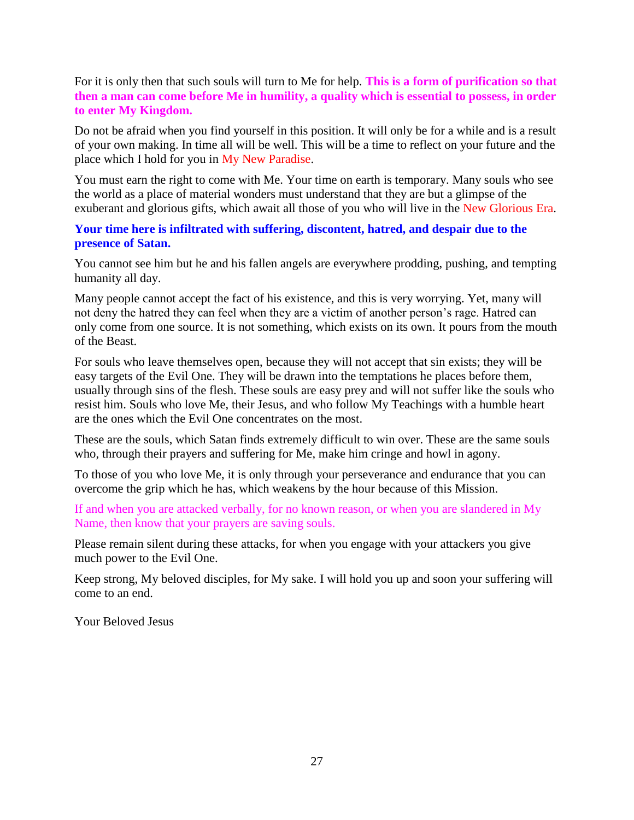For it is only then that such souls will turn to Me for help. **This is a form of purification so that then a man can come before Me in humility, a quality which is essential to possess, in order to enter My Kingdom.**

Do not be afraid when you find yourself in this position. It will only be for a while and is a result of your own making. In time all will be well. This will be a time to reflect on your future and the place which I hold for you in My New Paradise.

You must earn the right to come with Me. Your time on earth is temporary. Many souls who see the world as a place of material wonders must understand that they are but a glimpse of the exuberant and glorious gifts, which await all those of you who will live in the New Glorious Era.

### **Your time here is infiltrated with suffering, discontent, hatred, and despair due to the presence of Satan.**

You cannot see him but he and his fallen angels are everywhere prodding, pushing, and tempting humanity all day.

Many people cannot accept the fact of his existence, and this is very worrying. Yet, many will not deny the hatred they can feel when they are a victim of another person's rage. Hatred can only come from one source. It is not something, which exists on its own. It pours from the mouth of the Beast.

For souls who leave themselves open, because they will not accept that sin exists; they will be easy targets of the Evil One. They will be drawn into the temptations he places before them, usually through sins of the flesh. These souls are easy prey and will not suffer like the souls who resist him. Souls who love Me, their Jesus, and who follow My Teachings with a humble heart are the ones which the Evil One concentrates on the most.

These are the souls, which Satan finds extremely difficult to win over. These are the same souls who, through their prayers and suffering for Me, make him cringe and howl in agony.

To those of you who love Me, it is only through your perseverance and endurance that you can overcome the grip which he has, which weakens by the hour because of this Mission.

If and when you are attacked verbally, for no known reason, or when you are slandered in My Name, then know that your prayers are saving souls.

Please remain silent during these attacks, for when you engage with your attackers you give much power to the Evil One.

Keep strong, My beloved disciples, for My sake. I will hold you up and soon your suffering will come to an end.

Your Beloved Jesus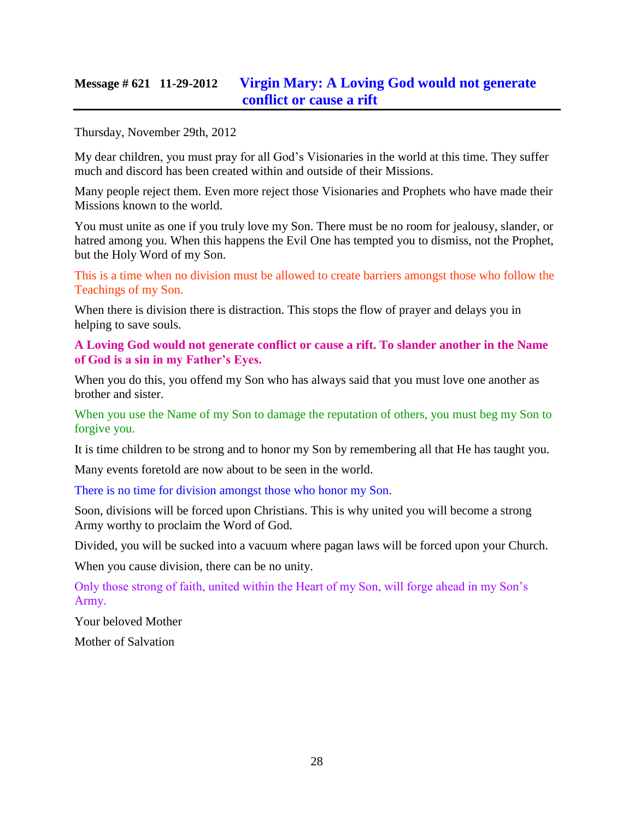# **Message # 621 11-29-2012 Virgin Mary: A Loving [God would not generate](http://www.thewarningsecondcoming.com/virgin-mary-a-loving-god-would-not-generate-conflict-or-cause-a-rift/)  [conflict or cause a rift](http://www.thewarningsecondcoming.com/virgin-mary-a-loving-god-would-not-generate-conflict-or-cause-a-rift/)**

Thursday, November 29th, 2012

My dear children, you must pray for all God's Visionaries in the world at this time. They suffer much and discord has been created within and outside of their Missions.

Many people reject them. Even more reject those Visionaries and Prophets who have made their Missions known to the world.

You must unite as one if you truly love my Son. There must be no room for jealousy, slander, or hatred among you. When this happens the Evil One has tempted you to dismiss, not the Prophet, but the Holy Word of my Son.

This is a time when no division must be allowed to create barriers amongst those who follow the Teachings of my Son.

When there is division there is distraction. This stops the flow of prayer and delays you in helping to save souls.

**A Loving God would not generate conflict or cause a rift. To slander another in the Name of God is a sin in my Father's Eyes.**

When you do this, you offend my Son who has always said that you must love one another as brother and sister.

When you use the Name of my Son to damage the reputation of others, you must beg my Son to forgive you.

It is time children to be strong and to honor my Son by remembering all that He has taught you.

Many events foretold are now about to be seen in the world.

There is no time for division amongst those who honor my Son.

Soon, divisions will be forced upon Christians. This is why united you will become a strong Army worthy to proclaim the Word of God.

Divided, you will be sucked into a vacuum where pagan laws will be forced upon your Church.

When you cause division, there can be no unity.

Only those strong of faith, united within the Heart of my Son, will forge ahead in my Son's Army.

Your beloved Mother

Mother of Salvation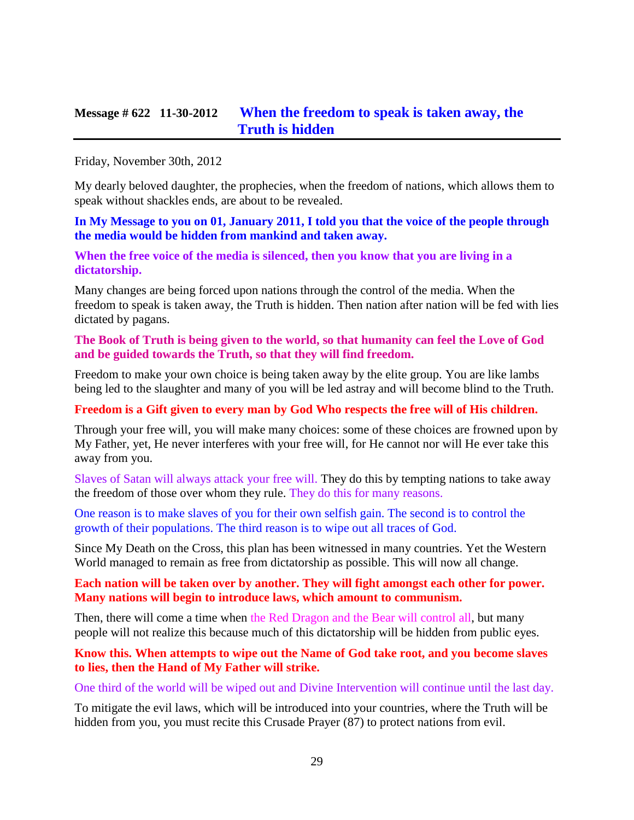### **Message # 622 11-30-2012 [When the freedom to speak is taken away, the](http://www.thewarningsecondcoming.com/when-the-freedom-to-speak-is-taken-away-the-truth-is-hidden/)  [Truth is hidden](http://www.thewarningsecondcoming.com/when-the-freedom-to-speak-is-taken-away-the-truth-is-hidden/)**

#### Friday, November 30th, 2012

My dearly beloved daughter, the prophecies, when the freedom of nations, which allows them to speak without shackles ends, are about to be revealed.

**[In My Message to you on 01, January 2011, I told you that the voice of the people through](http://www.thewarningsecondcoming.com/media-and-other-censorships-to-come/)  [the media would be hidden from mankind and taken away.](http://www.thewarningsecondcoming.com/media-and-other-censorships-to-come/)**

**When the free voice of the media is silenced, then you know that you are living in a dictatorship.**

Many changes are being forced upon nations through the control of the media. When the freedom to speak is taken away, the Truth is hidden. Then nation after nation will be fed with lies dictated by pagans.

#### **The Book of Truth is being given to the world, so that humanity can feel the Love of God and be guided towards the Truth, so that they will find freedom.**

Freedom to make your own choice is being taken away by the elite group. You are like lambs being led to the slaughter and many of you will be led astray and will become blind to the Truth.

#### **Freedom is a Gift given to every man by God Who respects the free will of His children.**

Through your free will, you will make many choices: some of these choices are frowned upon by My Father, yet, He never interferes with your free will, for He cannot nor will He ever take this away from you.

Slaves of Satan will always attack your free will. They do this by tempting nations to take away the freedom of those over whom they rule. They do this for many reasons.

One reason is to make slaves of you for their own selfish gain. The second is to control the growth of their populations. The third reason is to wipe out all traces of God.

Since My Death on the Cross, this plan has been witnessed in many countries. Yet the Western World managed to remain as free from dictatorship as possible. This will now all change.

#### **Each nation will be taken over by another. They will fight amongst each other for power. Many nations will begin to introduce laws, which amount to communism.**

Then, there will come a time when the Red Dragon and the Bear will control all, but many people will not realize this because much of this dictatorship will be hidden from public eyes.

#### **Know this. When attempts to wipe out the Name of God take root, and you become slaves to lies, then the Hand of My Father will strike.**

One third of the world will be wiped out and Divine Intervention will continue until the last day.

To mitigate the evil laws, which will be introduced into your countries, where the Truth will be hidden from you, you must recite this Crusade Prayer (87) to protect nations from evil.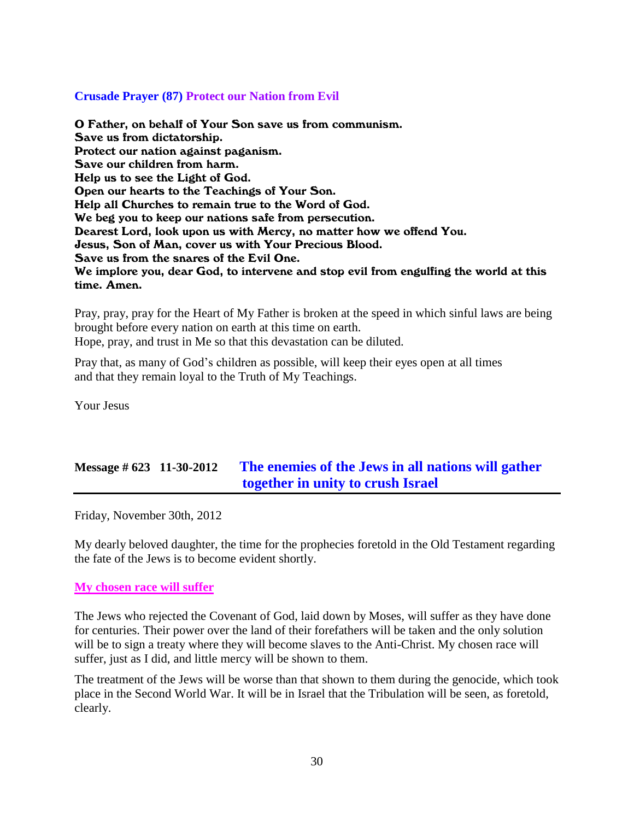### **Crusade Prayer (87) Protect our Nation from Evil**

O Father, on behalf of Your Son save us from communism. Save us from dictatorship. Protect our nation against paganism. Save our children from harm. Help us to see the Light of God. Open our hearts to the Teachings of Your Son. Help all Churches to remain true to the Word of God. We beg you to keep our nations safe from persecution. Dearest Lord, look upon us with Mercy, no matter how we offend You. Jesus, Son of Man, cover us with Your Precious Blood. Save us from the snares of the Evil One. We implore you, dear God, to intervene and stop evil from engulfing the world at this time. Amen.

Pray, pray, pray for the Heart of My Father is broken at the speed in which sinful laws are being brought before every nation on earth at this time on earth. Hope, pray, and trust in Me so that this devastation can be diluted.

Pray that, as many of God's children as possible, will keep their eyes open at all times and that they remain loyal to the Truth of My Teachings.

Your Jesus

# **Message # 623 11-30-2012 [The enemies of the Jews in all nations will gather](http://www.thewarningsecondcoming.com/the-enemies-of-the-jews-in-all-nations-will-gather-together-in-unity-to-crush-israel-2/)  [together in unity to crush Israel](http://www.thewarningsecondcoming.com/the-enemies-of-the-jews-in-all-nations-will-gather-together-in-unity-to-crush-israel-2/)**

Friday, November 30th, 2012

My dearly beloved daughter, the time for the prophecies foretold in the Old Testament regarding the fate of the Jews is to become evident shortly.

#### **My chosen race will suffer**

The Jews who rejected the Covenant of God, laid down by Moses, will suffer as they have done for centuries. Their power over the land of their forefathers will be taken and the only solution will be to sign a treaty where they will become slaves to the Anti-Christ. My chosen race will suffer, just as I did, and little mercy will be shown to them.

The treatment of the Jews will be worse than that shown to them during the genocide, which took place in the Second World War. It will be in Israel that the Tribulation will be seen, as foretold, clearly.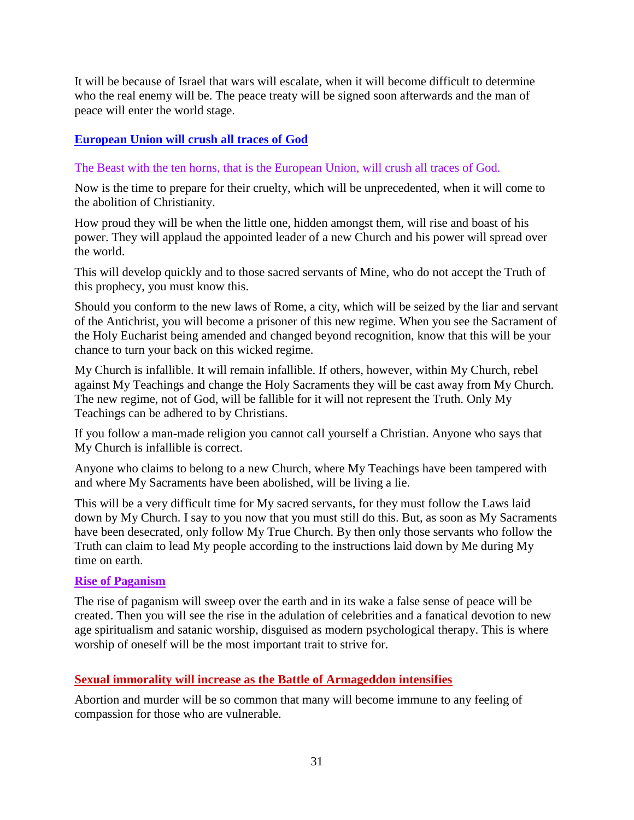It will be because of Israel that wars will escalate, when it will become difficult to determine who the real enemy will be. The peace treaty will be signed soon afterwards and the man of peace will enter the world stage.

### **European Union will crush all traces of God**

### The Beast with the ten horns, that is the European Union, will crush all traces of God.

Now is the time to prepare for their cruelty, which will be unprecedented, when it will come to the abolition of Christianity.

How proud they will be when the little one, hidden amongst them, will rise and boast of his power. They will applaud the appointed leader of a new Church and his power will spread over the world.

This will develop quickly and to those sacred servants of Mine, who do not accept the Truth of this prophecy, you must know this.

Should you conform to the new laws of Rome, a city, which will be seized by the liar and servant of the Antichrist, you will become a prisoner of this new regime. When you see the Sacrament of the Holy Eucharist being amended and changed beyond recognition, know that this will be your chance to turn your back on this wicked regime.

My Church is infallible. It will remain infallible. If others, however, within My Church, rebel against My Teachings and change the Holy Sacraments they will be cast away from My Church. The new regime, not of God, will be fallible for it will not represent the Truth. Only My Teachings can be adhered to by Christians.

If you follow a man-made religion you cannot call yourself a Christian. Anyone who says that My Church is infallible is correct.

Anyone who claims to belong to a new Church, where My Teachings have been tampered with and where My Sacraments have been abolished, will be living a lie.

This will be a very difficult time for My sacred servants, for they must follow the Laws laid down by My Church. I say to you now that you must still do this. But, as soon as My Sacraments have been desecrated, only follow My True Church. By then only those servants who follow the Truth can claim to lead My people according to the instructions laid down by Me during My time on earth.

#### **Rise of Paganism**

The rise of paganism will sweep over the earth and in its wake a false sense of peace will be created. Then you will see the rise in the adulation of celebrities and a fanatical devotion to new age spiritualism and satanic worship, disguised as modern psychological therapy. This is where worship of oneself will be the most important trait to strive for.

### **Sexual immorality will increase as the Battle of Armageddon intensifies**

Abortion and murder will be so common that many will become immune to any feeling of compassion for those who are vulnerable.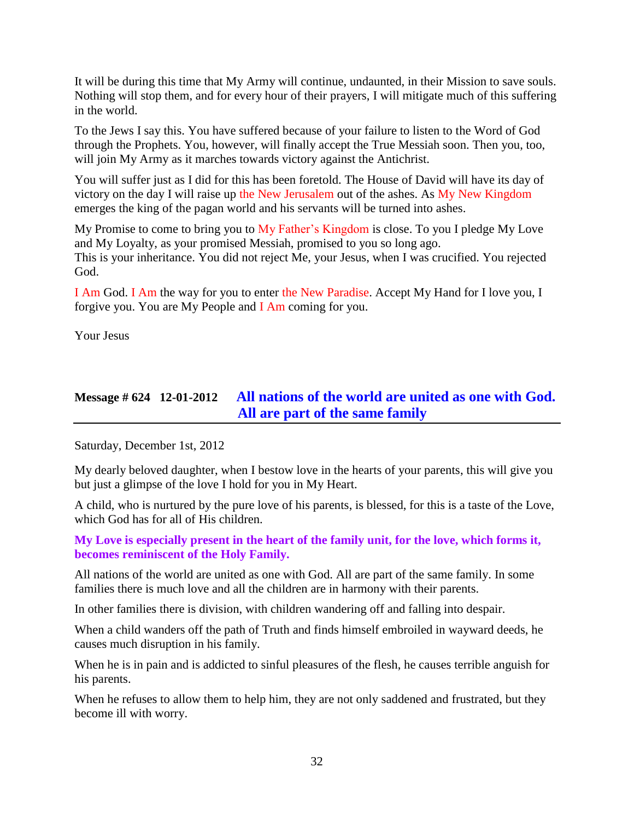It will be during this time that My Army will continue, undaunted, in their Mission to save souls. Nothing will stop them, and for every hour of their prayers, I will mitigate much of this suffering in the world.

To the Jews I say this. You have suffered because of your failure to listen to the Word of God through the Prophets. You, however, will finally accept the True Messiah soon. Then you, too, will join My Army as it marches towards victory against the Antichrist.

You will suffer just as I did for this has been foretold. The House of David will have its day of victory on the day I will raise up the New Jerusalem out of the ashes. As My New Kingdom emerges the king of the pagan world and his servants will be turned into ashes.

My Promise to come to bring you to My Father's Kingdom is close. To you I pledge My Love and My Loyalty, as your promised Messiah, promised to you so long ago. This is your inheritance. You did not reject Me, your Jesus, when I was crucified. You rejected God.

I Am God. I Am the way for you to enter the New Paradise. Accept My Hand for I love you, I forgive you. You are My People and I Am coming for you.

Your Jesus

# **Message # 624 12-01-2012 [All nations of the world are united as one with God.](http://www.thewarningsecondcoming.com/all-nations-of-the-world-are-united-as-one-with-god-all-are-part-of-the-same-family/)  [All are part of the same family](http://www.thewarningsecondcoming.com/all-nations-of-the-world-are-united-as-one-with-god-all-are-part-of-the-same-family/)**

Saturday, December 1st, 2012

My dearly beloved daughter, when I bestow love in the hearts of your parents, this will give you but just a glimpse of the love I hold for you in My Heart.

A child, who is nurtured by the pure love of his parents, is blessed, for this is a taste of the Love, which God has for all of His children.

**My Love is especially present in the heart of the family unit, for the love, which forms it, becomes reminiscent of the Holy Family.**

All nations of the world are united as one with God. All are part of the same family. In some families there is much love and all the children are in harmony with their parents.

In other families there is division, with children wandering off and falling into despair.

When a child wanders off the path of Truth and finds himself embroiled in wayward deeds, he causes much disruption in his family.

When he is in pain and is addicted to sinful pleasures of the flesh, he causes terrible anguish for his parents.

When he refuses to allow them to help him, they are not only saddened and frustrated, but they become ill with worry.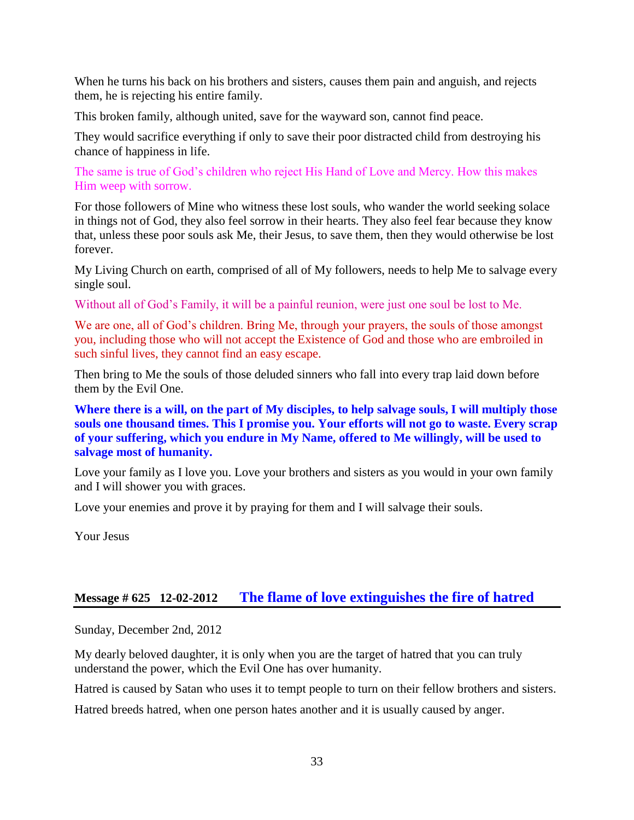When he turns his back on his brothers and sisters, causes them pain and anguish, and rejects them, he is rejecting his entire family.

This broken family, although united, save for the wayward son, cannot find peace.

They would sacrifice everything if only to save their poor distracted child from destroying his chance of happiness in life.

The same is true of God's children who reject His Hand of Love and Mercy. How this makes Him weep with sorrow.

For those followers of Mine who witness these lost souls, who wander the world seeking solace in things not of God, they also feel sorrow in their hearts. They also feel fear because they know that, unless these poor souls ask Me, their Jesus, to save them, then they would otherwise be lost forever.

My Living Church on earth, comprised of all of My followers, needs to help Me to salvage every single soul.

Without all of God's Family, it will be a painful reunion, were just one soul be lost to Me.

We are one, all of God's children. Bring Me, through your prayers, the souls of those amongst you, including those who will not accept the Existence of God and those who are embroiled in such sinful lives, they cannot find an easy escape.

Then bring to Me the souls of those deluded sinners who fall into every trap laid down before them by the Evil One.

**Where there is a will, on the part of My disciples, to help salvage souls, I will multiply those souls one thousand times. This I promise you. Your efforts will not go to waste. Every scrap of your suffering, which you endure in My Name, offered to Me willingly, will be used to salvage most of humanity.**

Love your family as I love you. Love your brothers and sisters as you would in your own family and I will shower you with graces.

Love your enemies and prove it by praying for them and I will salvage their souls.

Your Jesus

### **Message # 625 12-02-2012 [The flame of love extinguishes the fire of hatred](http://www.thewarningsecondcoming.com/the-flame-of-love-extinguishes-the-fire-of-hatred/)**

Sunday, December 2nd, 2012

My dearly beloved daughter, it is only when you are the target of hatred that you can truly understand the power, which the Evil One has over humanity.

Hatred is caused by Satan who uses it to tempt people to turn on their fellow brothers and sisters.

Hatred breeds hatred, when one person hates another and it is usually caused by anger.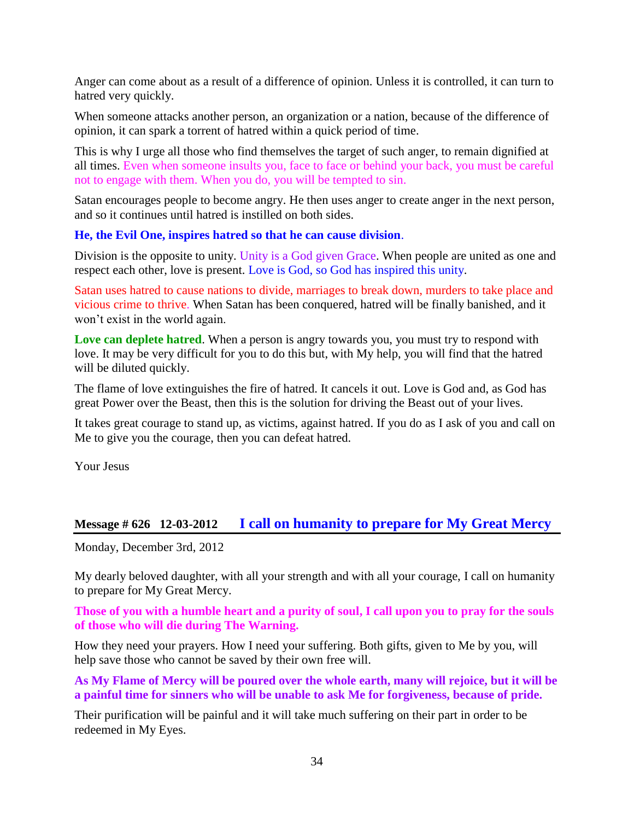Anger can come about as a result of a difference of opinion. Unless it is controlled, it can turn to hatred very quickly.

When someone attacks another person, an organization or a nation, because of the difference of opinion, it can spark a torrent of hatred within a quick period of time.

This is why I urge all those who find themselves the target of such anger, to remain dignified at all times. Even when someone insults you, face to face or behind your back, you must be careful not to engage with them. When you do, you will be tempted to sin.

Satan encourages people to become angry. He then uses anger to create anger in the next person, and so it continues until hatred is instilled on both sides.

### **He, the Evil One, inspires hatred so that he can cause division**.

Division is the opposite to unity. Unity is a God given Grace. When people are united as one and respect each other, love is present. Love is God, so God has inspired this unity.

Satan uses hatred to cause nations to divide, marriages to break down, murders to take place and vicious crime to thrive. When Satan has been conquered, hatred will be finally banished, and it won't exist in the world again.

Love can deplete hatred. When a person is angry towards you, you must try to respond with love. It may be very difficult for you to do this but, with My help, you will find that the hatred will be diluted quickly.

The flame of love extinguishes the fire of hatred. It cancels it out. Love is God and, as God has great Power over the Beast, then this is the solution for driving the Beast out of your lives.

It takes great courage to stand up, as victims, against hatred. If you do as I ask of you and call on Me to give you the courage, then you can defeat hatred.

Your Jesus

### **Message # 626 12-03-2012 [I call on humanity to prepare for My Great Mercy](http://www.thewarningsecondcoming.com/i-call-on-humanity-to-prepare-for-my-great-mercy/)**

Monday, December 3rd, 2012

My dearly beloved daughter, with all your strength and with all your courage, I call on humanity to prepare for My Great Mercy.

**Those of you with a humble heart and a purity of soul, I call upon you to pray for the souls of those who will die during The Warning.**

How they need your prayers. How I need your suffering. Both gifts, given to Me by you, will help save those who cannot be saved by their own free will.

**As My Flame of Mercy will be poured over the whole earth, many will rejoice, but it will be a painful time for sinners who will be unable to ask Me for forgiveness, because of pride.**

Their purification will be painful and it will take much suffering on their part in order to be redeemed in My Eyes.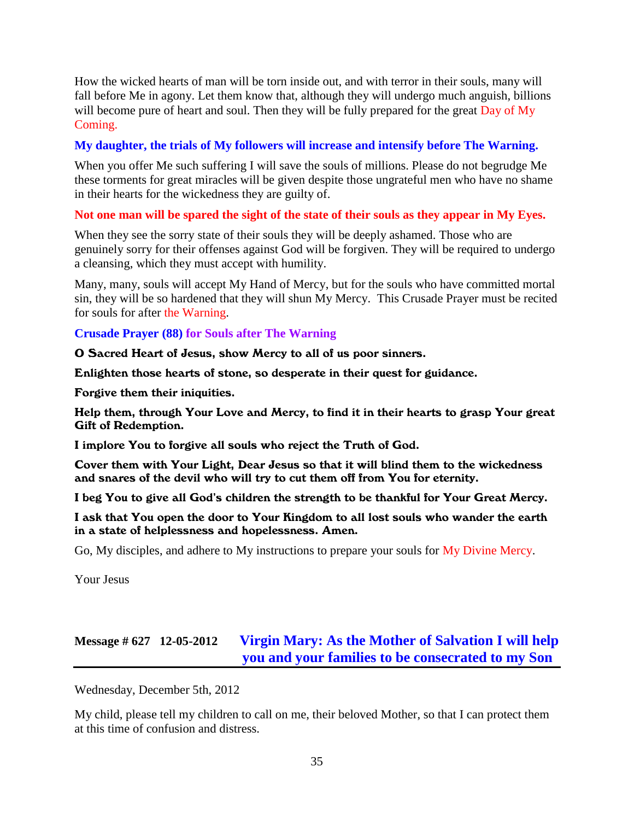How the wicked hearts of man will be torn inside out, and with terror in their souls, many will fall before Me in agony. Let them know that, although they will undergo much anguish, billions will become pure of heart and soul. Then they will be fully prepared for the great Day of My Coming.

### **My daughter, the trials of My followers will increase and intensify before The Warning.**

When you offer Me such suffering I will save the souls of millions. Please do not begrudge Me these torments for great miracles will be given despite those ungrateful men who have no shame in their hearts for the wickedness they are guilty of.

### **Not one man will be spared the sight of the state of their souls as they appear in My Eyes.**

When they see the sorry state of their souls they will be deeply ashamed. Those who are genuinely sorry for their offenses against God will be forgiven. They will be required to undergo a cleansing, which they must accept with humility.

Many, many, souls will accept My Hand of Mercy, but for the souls who have committed mortal sin, they will be so hardened that they will shun My Mercy. This Crusade Prayer must be recited for souls for after the Warning.

### **Crusade Prayer (88) for Souls after The Warning**

O Sacred Heart of Jesus, show Mercy to all of us poor sinners.

Enlighten those hearts of stone, so desperate in their quest for guidance.

Forgive them their iniquities.

Help them, through Your Love and Mercy, to find it in their hearts to grasp Your great Gift of Redemption.

I implore You to forgive all souls who reject the Truth of God.

Cover them with Your Light, Dear Jesus so that it will blind them to the wickedness and snares of the devil who will try to cut them off from You for eternity.

I beg You to give all God's children the strength to be thankful for Your Great Mercy.

I ask that You open the door to Your Kingdom to all lost souls who wander the earth in a state of helplessness and hopelessness. Amen.

Go, My disciples, and adhere to My instructions to prepare your souls for My Divine Mercy.

Your Jesus

# **Message # 627 12-05-2012 [Virgin Mary: As the Mother of Salvation I will help](http://www.thewarningsecondcoming.com/virgin-mary-as-the-mother-of-salvation-i-will-help-you-and-your-families-to-be-consecrated-to-my-son/)  [you and your families to be consecrated to my Son](http://www.thewarningsecondcoming.com/virgin-mary-as-the-mother-of-salvation-i-will-help-you-and-your-families-to-be-consecrated-to-my-son/)**

Wednesday, December 5th, 2012

My child, please tell my children to call on me, their beloved Mother, so that I can protect them at this time of confusion and distress.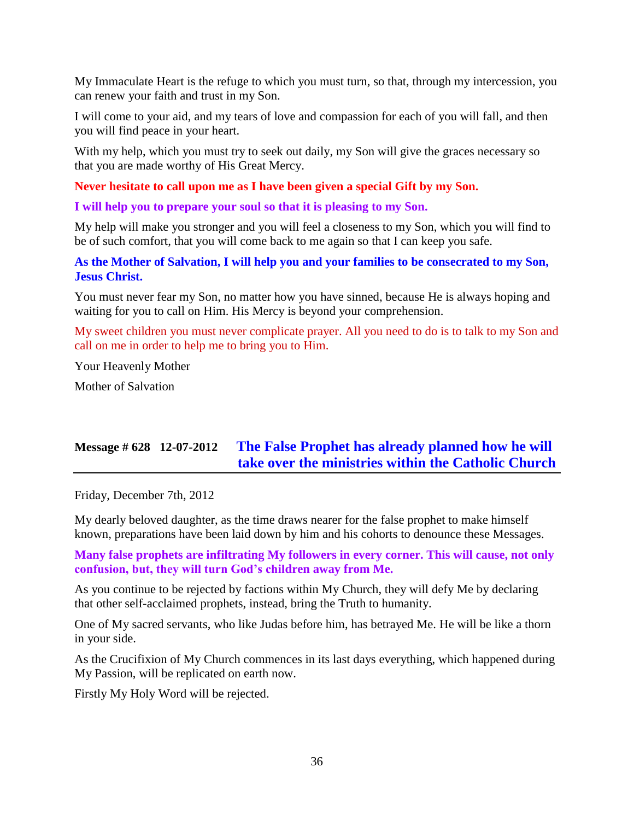My Immaculate Heart is the refuge to which you must turn, so that, through my intercession, you can renew your faith and trust in my Son.

I will come to your aid, and my tears of love and compassion for each of you will fall, and then you will find peace in your heart.

With my help, which you must try to seek out daily, my Son will give the graces necessary so that you are made worthy of His Great Mercy.

**Never hesitate to call upon me as I have been given a special Gift by my Son.**

**I will help you to prepare your soul so that it is pleasing to my Son.**

My help will make you stronger and you will feel a closeness to my Son, which you will find to be of such comfort, that you will come back to me again so that I can keep you safe.

**As the Mother of Salvation, I will help you and your families to be consecrated to my Son, Jesus Christ.**

You must never fear my Son, no matter how you have sinned, because He is always hoping and waiting for you to call on Him. His Mercy is beyond your comprehension.

My sweet children you must never complicate prayer. All you need to do is to talk to my Son and call on me in order to help me to bring you to Him.

Your Heavenly Mother

Mother of Salvation

# **Message # 628 12-07-2012 [The False Prophet has already planned how he will](http://www.thewarningsecondcoming.com/the-false-prophet-has-already-planned-how-he-will-take-over-the-ministries-within-the-catholic-church/)  [take over the ministries within the Catholic Church](http://www.thewarningsecondcoming.com/the-false-prophet-has-already-planned-how-he-will-take-over-the-ministries-within-the-catholic-church/)**

Friday, December 7th, 2012

My dearly beloved daughter, as the time draws nearer for the false prophet to make himself known, preparations have been laid down by him and his cohorts to denounce these Messages.

**Many false prophets are infiltrating My followers in every corner. This will cause, not only confusion, but, they will turn God's children away from Me.**

As you continue to be rejected by factions within My Church, they will defy Me by declaring that other self-acclaimed prophets, instead, bring the Truth to humanity.

One of My sacred servants, who like Judas before him, has betrayed Me. He will be like a thorn in your side.

As the Crucifixion of My Church commences in its last days everything, which happened during My Passion, will be replicated on earth now.

Firstly My Holy Word will be rejected.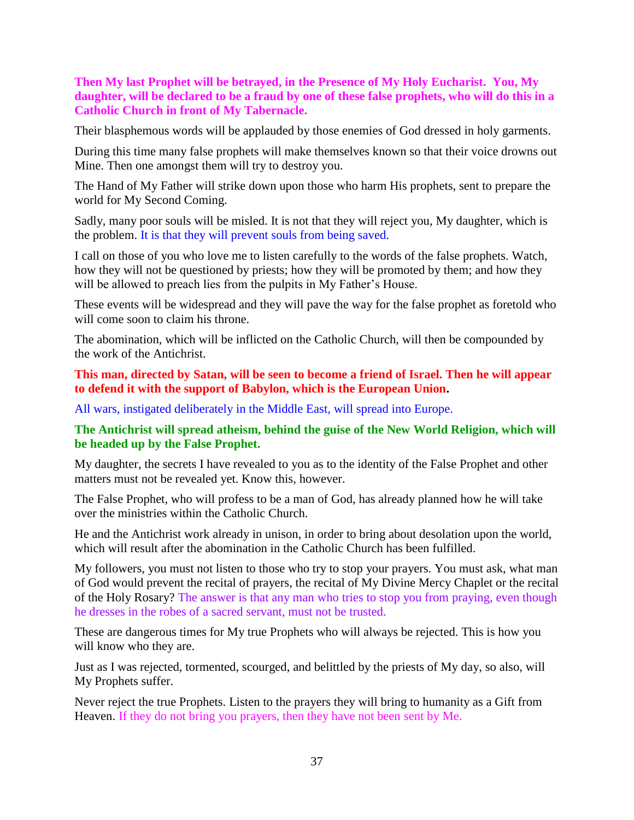**Then My last Prophet will be betrayed, in the Presence of My Holy Eucharist. You, My daughter, will be declared to be a fraud by one of these false prophets, who will do this in a Catholic Church in front of My Tabernacle.**

Their blasphemous words will be applauded by those enemies of God dressed in holy garments.

During this time many false prophets will make themselves known so that their voice drowns out Mine. Then one amongst them will try to destroy you.

The Hand of My Father will strike down upon those who harm His prophets, sent to prepare the world for My Second Coming.

Sadly, many poor souls will be misled. It is not that they will reject you, My daughter, which is the problem. It is that they will prevent souls from being saved.

I call on those of you who love me to listen carefully to the words of the false prophets. Watch, how they will not be questioned by priests; how they will be promoted by them; and how they will be allowed to preach lies from the pulpits in My Father's House.

These events will be widespread and they will pave the way for the false prophet as foretold who will come soon to claim his throne.

The abomination, which will be inflicted on the Catholic Church, will then be compounded by the work of the Antichrist.

**This man, directed by Satan, will be seen to become a friend of Israel. Then he will appear to defend it with the support of Babylon, which is the European Union.**

All wars, instigated deliberately in the Middle East, will spread into Europe.

#### **The Antichrist will spread atheism, behind the guise of the New World Religion, which will be headed up by the False Prophet.**

My daughter, the secrets I have revealed to you as to the identity of the False Prophet and other matters must not be revealed yet. Know this, however.

The False Prophet, who will profess to be a man of God, has already planned how he will take over the ministries within the Catholic Church.

He and the Antichrist work already in unison, in order to bring about desolation upon the world, which will result after the abomination in the Catholic Church has been fulfilled.

My followers, you must not listen to those who try to stop your prayers. You must ask, what man of God would prevent the recital of prayers, the recital of My Divine Mercy Chaplet or the recital of the Holy Rosary? The answer is that any man who tries to stop you from praying, even though he dresses in the robes of a sacred servant, must not be trusted.

These are dangerous times for My true Prophets who will always be rejected. This is how you will know who they are.

Just as I was rejected, tormented, scourged, and belittled by the priests of My day, so also, will My Prophets suffer.

Never reject the true Prophets. Listen to the prayers they will bring to humanity as a Gift from Heaven. If they do not bring you prayers, then they have not been sent by Me.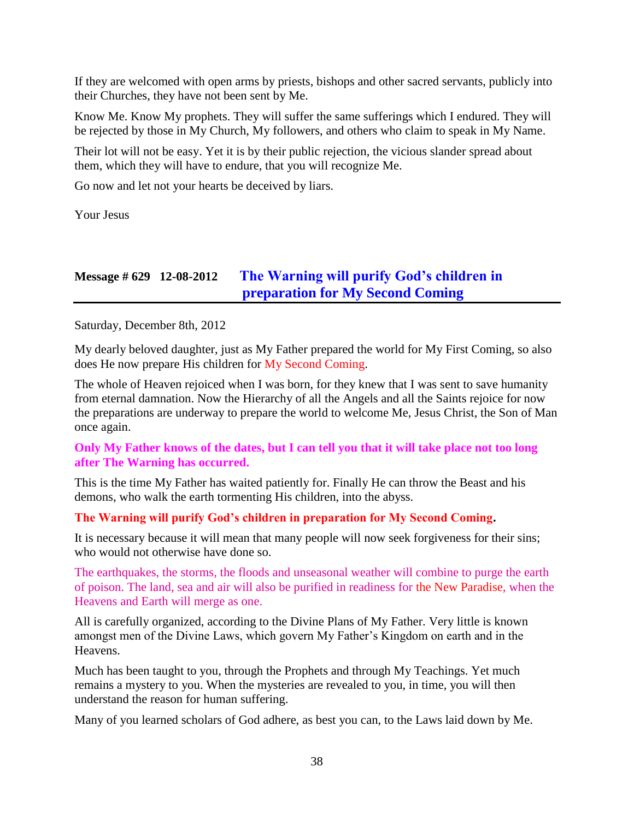If they are welcomed with open arms by priests, bishops and other sacred servants, publicly into their Churches, they have not been sent by Me.

Know Me. Know My prophets. They will suffer the same sufferings which I endured. They will be rejected by those in My Church, My followers, and others who claim to speak in My Name.

Their lot will not be easy. Yet it is by their public rejection, the vicious slander spread about them, which they will have to endure, that you will recognize Me.

Go now and let not your hearts be deceived by liars.

Your Jesus

## **Message # 629 12-08-2012 [The Warning will purify God's children in](http://www.thewarningsecondcoming.com/the-warning-will-purify-gods-children-in-preparation-for-my-second-coming/)  [preparation for My Second Coming](http://www.thewarningsecondcoming.com/the-warning-will-purify-gods-children-in-preparation-for-my-second-coming/)**

Saturday, December 8th, 2012

My dearly beloved daughter, just as My Father prepared the world for My First Coming, so also does He now prepare His children for My Second Coming.

The whole of Heaven rejoiced when I was born, for they knew that I was sent to save humanity from eternal damnation. Now the Hierarchy of all the Angels and all the Saints rejoice for now the preparations are underway to prepare the world to welcome Me, Jesus Christ, the Son of Man once again.

#### **Only My Father knows of the dates, but I can tell you that it will take place not too long after The Warning has occurred.**

This is the time My Father has waited patiently for. Finally He can throw the Beast and his demons, who walk the earth tormenting His children, into the abyss.

#### **The Warning will purify God's children in preparation for My Second Coming.**

It is necessary because it will mean that many people will now seek forgiveness for their sins; who would not otherwise have done so.

The earthquakes, the storms, the floods and unseasonal weather will combine to purge the earth of poison. The land, sea and air will also be purified in readiness for the New Paradise, when the Heavens and Earth will merge as one.

All is carefully organized, according to the Divine Plans of My Father. Very little is known amongst men of the Divine Laws, which govern My Father's Kingdom on earth and in the Heavens.

Much has been taught to you, through the Prophets and through My Teachings. Yet much remains a mystery to you. When the mysteries are revealed to you, in time, you will then understand the reason for human suffering.

Many of you learned scholars of God adhere, as best you can, to the Laws laid down by Me.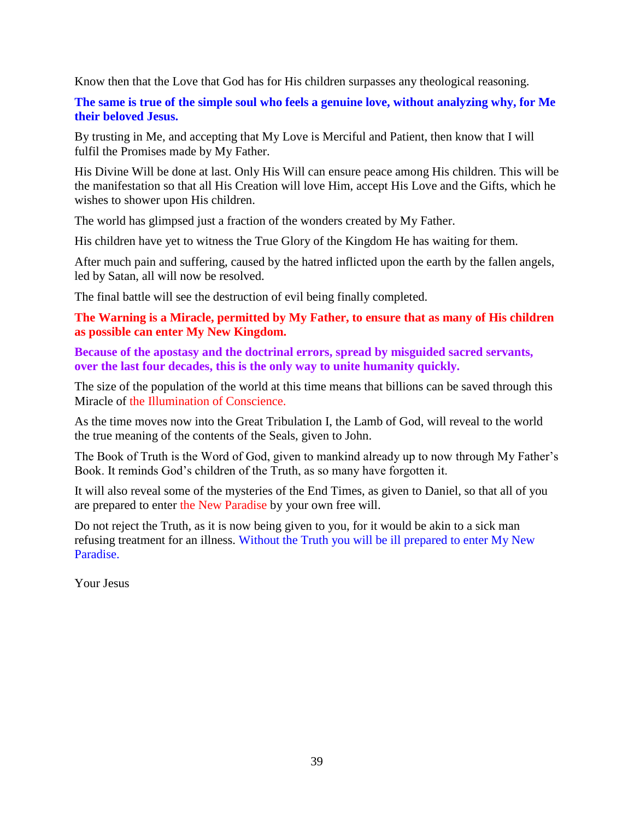Know then that the Love that God has for His children surpasses any theological reasoning.

**The same is true of the simple soul who feels a genuine love, without analyzing why, for Me their beloved Jesus.**

By trusting in Me, and accepting that My Love is Merciful and Patient, then know that I will fulfil the Promises made by My Father.

His Divine Will be done at last. Only His Will can ensure peace among His children. This will be the manifestation so that all His Creation will love Him, accept His Love and the Gifts, which he wishes to shower upon His children.

The world has glimpsed just a fraction of the wonders created by My Father.

His children have yet to witness the True Glory of the Kingdom He has waiting for them.

After much pain and suffering, caused by the hatred inflicted upon the earth by the fallen angels, led by Satan, all will now be resolved.

The final battle will see the destruction of evil being finally completed.

**The Warning is a Miracle, permitted by My Father, to ensure that as many of His children as possible can enter My New Kingdom.**

**Because of the apostasy and the doctrinal errors, spread by misguided sacred servants, over the last four decades, this is the only way to unite humanity quickly.**

The size of the population of the world at this time means that billions can be saved through this Miracle of the Illumination of Conscience.

As the time moves now into the Great Tribulation I, the Lamb of God, will reveal to the world the true meaning of the contents of the Seals, given to John.

The Book of Truth is the Word of God, given to mankind already up to now through My Father's Book. It reminds God's children of the Truth, as so many have forgotten it.

It will also reveal some of the mysteries of the End Times, as given to Daniel, so that all of you are prepared to enter the New Paradise by your own free will.

Do not reject the Truth, as it is now being given to you, for it would be akin to a sick man refusing treatment for an illness. Without the Truth you will be ill prepared to enter My New Paradise.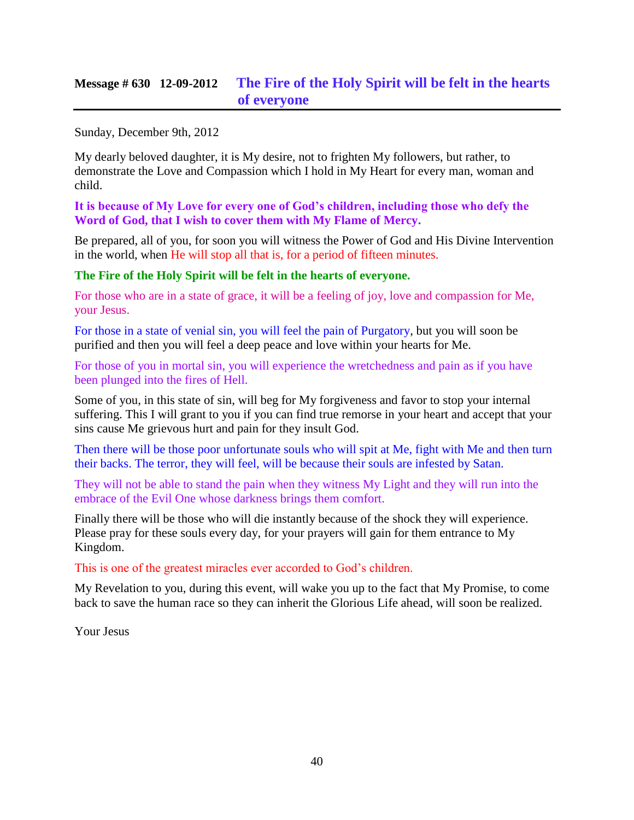### **Message # 630 12-09-2012 [The Fire of the Holy Spirit will be felt in the hearts](http://www.thewarningsecondcoming.com/the-fire-of-the-holy-spirit-will-be-felt-in-the-hearts-of-everyone/)  [of everyone](http://www.thewarningsecondcoming.com/the-fire-of-the-holy-spirit-will-be-felt-in-the-hearts-of-everyone/)**

Sunday, December 9th, 2012

My dearly beloved daughter, it is My desire, not to frighten My followers, but rather, to demonstrate the Love and Compassion which I hold in My Heart for every man, woman and child.

**It is because of My Love for every one of God's children, including those who defy the Word of God, that I wish to cover them with My Flame of Mercy.**

Be prepared, all of you, for soon you will witness the Power of God and His Divine Intervention in the world, when He will stop all that is, for a period of fifteen minutes.

#### **The Fire of the Holy Spirit will be felt in the hearts of everyone.**

For those who are in a state of grace, it will be a feeling of joy, love and compassion for Me, your Jesus.

For those in a state of venial sin, you will feel the pain of Purgatory, but you will soon be purified and then you will feel a deep peace and love within your hearts for Me.

For those of you in mortal sin, you will experience the wretchedness and pain as if you have been plunged into the fires of Hell.

Some of you, in this state of sin, will beg for My forgiveness and favor to stop your internal suffering. This I will grant to you if you can find true remorse in your heart and accept that your sins cause Me grievous hurt and pain for they insult God.

Then there will be those poor unfortunate souls who will spit at Me, fight with Me and then turn their backs. The terror, they will feel, will be because their souls are infested by Satan.

They will not be able to stand the pain when they witness My Light and they will run into the embrace of the Evil One whose darkness brings them comfort.

Finally there will be those who will die instantly because of the shock they will experience. Please pray for these souls every day, for your prayers will gain for them entrance to My Kingdom.

This is one of the greatest miracles ever accorded to God's children.

My Revelation to you, during this event, will wake you up to the fact that My Promise, to come back to save the human race so they can inherit the Glorious Life ahead, will soon be realized.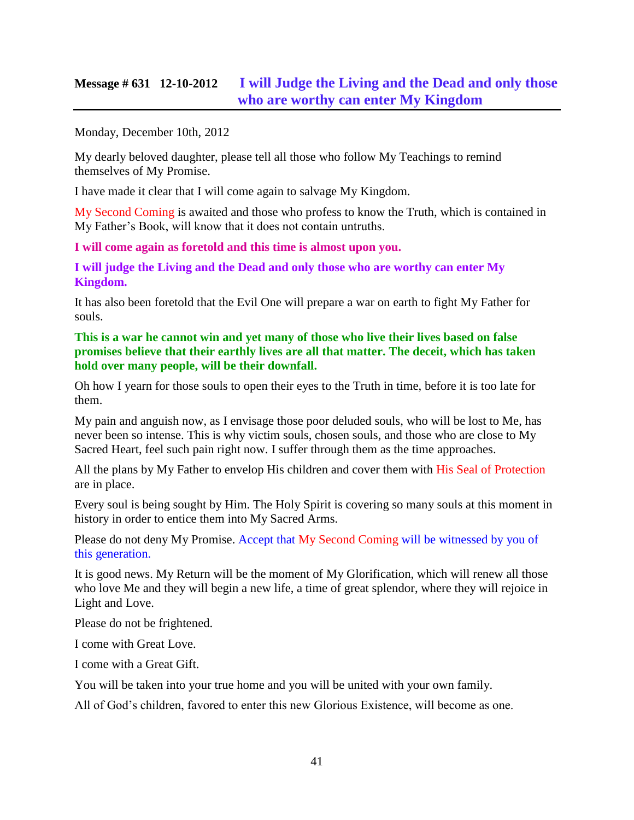### **Message # 631 12-10-2012 [I will Judge the Living and the Dead and only those](http://www.thewarningsecondcoming.com/i-will-judge-the-living-and-the-dead-and-only-those-who-are-worthy-can-enter-my-kingdom/)  [who are worthy can enter My Kingdom](http://www.thewarningsecondcoming.com/i-will-judge-the-living-and-the-dead-and-only-those-who-are-worthy-can-enter-my-kingdom/)**

Monday, December 10th, 2012

My dearly beloved daughter, please tell all those who follow My Teachings to remind themselves of My Promise.

I have made it clear that I will come again to salvage My Kingdom.

My Second Coming is awaited and those who profess to know the Truth, which is contained in My Father's Book, will know that it does not contain untruths.

**I will come again as foretold and this time is almost upon you.**

**I will judge the Living and the Dead and only those who are worthy can enter My Kingdom.**

It has also been foretold that the Evil One will prepare a war on earth to fight My Father for souls.

**This is a war he cannot win and yet many of those who live their lives based on false promises believe that their earthly lives are all that matter. The deceit, which has taken hold over many people, will be their downfall.**

Oh how I yearn for those souls to open their eyes to the Truth in time, before it is too late for them.

My pain and anguish now, as I envisage those poor deluded souls, who will be lost to Me, has never been so intense. This is why victim souls, chosen souls, and those who are close to My Sacred Heart, feel such pain right now. I suffer through them as the time approaches.

All the plans by My Father to envelop His children and cover them with His Seal of Protection are in place.

Every soul is being sought by Him. The Holy Spirit is covering so many souls at this moment in history in order to entice them into My Sacred Arms.

Please do not deny My Promise. Accept that My Second Coming will be witnessed by you of this generation.

It is good news. My Return will be the moment of My Glorification, which will renew all those who love Me and they will begin a new life, a time of great splendor, where they will rejoice in Light and Love.

Please do not be frightened.

I come with Great Love.

I come with a Great Gift.

You will be taken into your true home and you will be united with your own family.

All of God's children, favored to enter this new Glorious Existence, will become as one.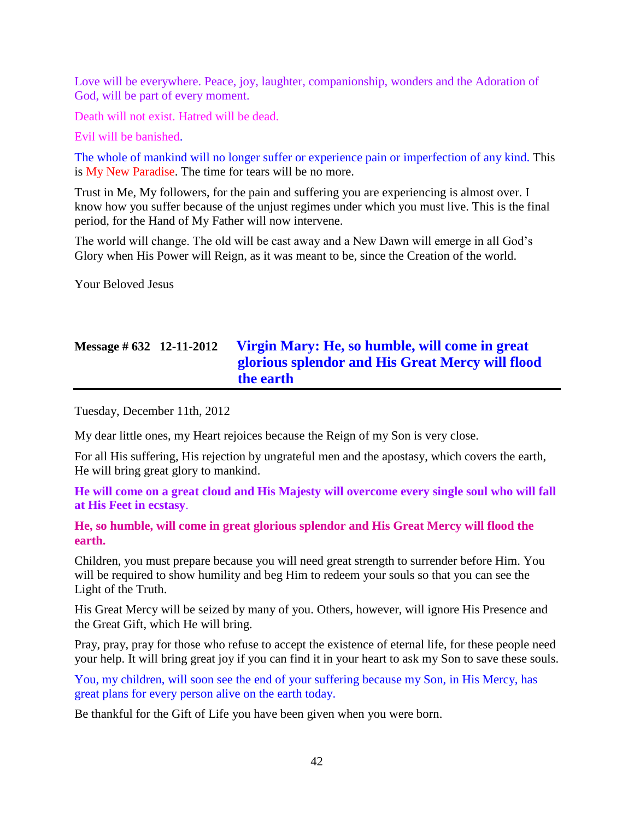Love will be everywhere. Peace, joy, laughter, companionship, wonders and the Adoration of God, will be part of every moment.

Death will not exist. Hatred will be dead.

Evil will be banished.

The whole of mankind will no longer suffer or experience pain or imperfection of any kind. This is My New Paradise. The time for tears will be no more.

Trust in Me, My followers, for the pain and suffering you are experiencing is almost over. I know how you suffer because of the unjust regimes under which you must live. This is the final period, for the Hand of My Father will now intervene.

The world will change. The old will be cast away and a New Dawn will emerge in all God's Glory when His Power will Reign, as it was meant to be, since the Creation of the world.

Your Beloved Jesus

# **Message # 632 12-11-2012 [Virgin Mary: He, so humble, will come in great](http://www.thewarningsecondcoming.com/virgin-mary-he-so-humble-will-come-in-great-glorious-splendour-and-his-great-mercy-will-flood-the-earth/)  [glorious splendor and His Great Mercy will flood](http://www.thewarningsecondcoming.com/virgin-mary-he-so-humble-will-come-in-great-glorious-splendour-and-his-great-mercy-will-flood-the-earth/)  [the earth](http://www.thewarningsecondcoming.com/virgin-mary-he-so-humble-will-come-in-great-glorious-splendour-and-his-great-mercy-will-flood-the-earth/)**

Tuesday, December 11th, 2012

My dear little ones, my Heart rejoices because the Reign of my Son is very close.

For all His suffering, His rejection by ungrateful men and the apostasy, which covers the earth, He will bring great glory to mankind.

**He will come on a great cloud and His Majesty will overcome every single soul who will fall at His Feet in ecstasy**.

**He, so humble, will come in great glorious splendor and His Great Mercy will flood the earth.**

Children, you must prepare because you will need great strength to surrender before Him. You will be required to show humility and beg Him to redeem your souls so that you can see the Light of the Truth.

His Great Mercy will be seized by many of you. Others, however, will ignore His Presence and the Great Gift, which He will bring.

Pray, pray, pray for those who refuse to accept the existence of eternal life, for these people need your help. It will bring great joy if you can find it in your heart to ask my Son to save these souls.

You, my children, will soon see the end of your suffering because my Son, in His Mercy, has great plans for every person alive on the earth today.

Be thankful for the Gift of Life you have been given when you were born.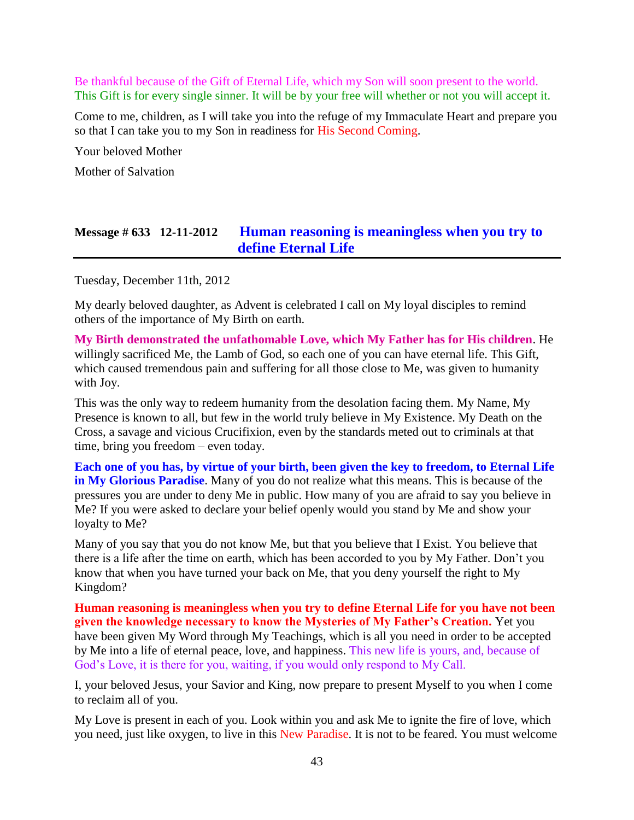Be thankful because of the Gift of Eternal Life, which my Son will soon present to the world. This Gift is for every single sinner. It will be by your free will whether or not you will accept it.

Come to me, children, as I will take you into the refuge of my Immaculate Heart and prepare you so that I can take you to my Son in readiness for His Second Coming.

Your beloved Mother

Mother of Salvation

### **Message # 633 12-11-2012 [Human reasoning is meaningless when you try to](http://www.thewarningsecondcoming.com/human-reasoning-is-meaningless-when-you-try-to-define-eternal-life/)  [define Eternal Life](http://www.thewarningsecondcoming.com/human-reasoning-is-meaningless-when-you-try-to-define-eternal-life/)**

Tuesday, December 11th, 2012

My dearly beloved daughter, as Advent is celebrated I call on My loyal disciples to remind others of the importance of My Birth on earth.

**My Birth demonstrated the unfathomable Love, which My Father has for His children**. He willingly sacrificed Me, the Lamb of God, so each one of you can have eternal life. This Gift, which caused tremendous pain and suffering for all those close to Me, was given to humanity with Joy.

This was the only way to redeem humanity from the desolation facing them. My Name, My Presence is known to all, but few in the world truly believe in My Existence. My Death on the Cross, a savage and vicious Crucifixion, even by the standards meted out to criminals at that time, bring you freedom – even today.

**Each one of you has, by virtue of your birth, been given the key to freedom, to Eternal Life in My Glorious Paradise**. Many of you do not realize what this means. This is because of the pressures you are under to deny Me in public. How many of you are afraid to say you believe in Me? If you were asked to declare your belief openly would you stand by Me and show your loyalty to Me?

Many of you say that you do not know Me, but that you believe that I Exist. You believe that there is a life after the time on earth, which has been accorded to you by My Father. Don't you know that when you have turned your back on Me, that you deny yourself the right to My Kingdom?

**Human reasoning is meaningless when you try to define Eternal Life for you have not been given the knowledge necessary to know the Mysteries of My Father's Creation.** Yet you have been given My Word through My Teachings, which is all you need in order to be accepted by Me into a life of eternal peace, love, and happiness. This new life is yours, and, because of God's Love, it is there for you, waiting, if you would only respond to My Call.

I, your beloved Jesus, your Savior and King, now prepare to present Myself to you when I come to reclaim all of you.

My Love is present in each of you. Look within you and ask Me to ignite the fire of love, which you need, just like oxygen, to live in this New Paradise. It is not to be feared. You must welcome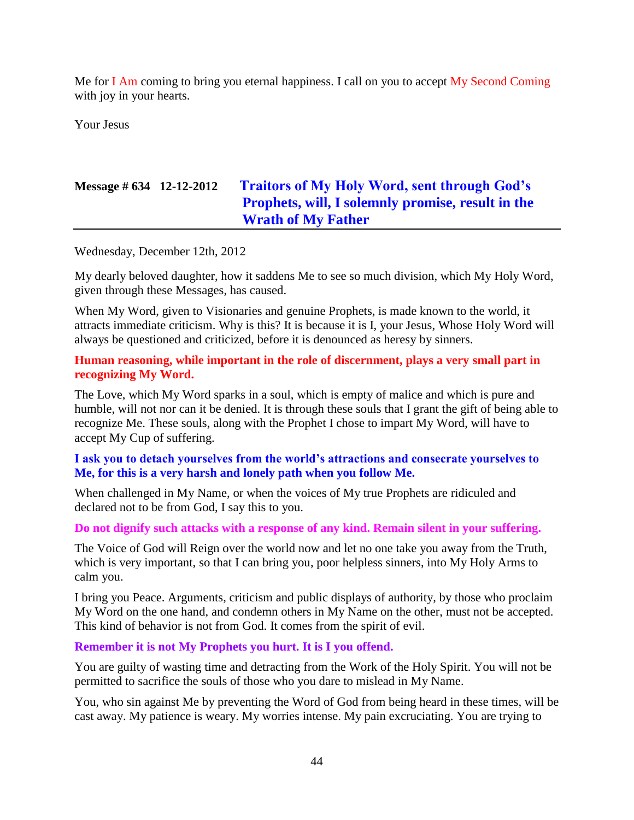Me for I Am coming to bring you eternal happiness. I call on you to accept My Second Coming with joy in your hearts.

Your Jesus

# **Message # 634 12-12-2012 [Traitors of My Holy Word, sent through God's](http://www.thewarningsecondcoming.com/traitors-of-my-holy-word-sent-through-gods-prophets-will-i-solemnly-promise-result-in-the-wrath-of-my-father/)  [Prophets, will, I solemnly promise, result in the](http://www.thewarningsecondcoming.com/traitors-of-my-holy-word-sent-through-gods-prophets-will-i-solemnly-promise-result-in-the-wrath-of-my-father/)  [Wrath of My Father](http://www.thewarningsecondcoming.com/traitors-of-my-holy-word-sent-through-gods-prophets-will-i-solemnly-promise-result-in-the-wrath-of-my-father/)**

Wednesday, December 12th, 2012

My dearly beloved daughter, how it saddens Me to see so much division, which My Holy Word, given through these Messages, has caused.

When My Word, given to Visionaries and genuine Prophets, is made known to the world, it attracts immediate criticism. Why is this? It is because it is I, your Jesus, Whose Holy Word will always be questioned and criticized, before it is denounced as heresy by sinners.

#### **Human reasoning, while important in the role of discernment, plays a very small part in recognizing My Word.**

The Love, which My Word sparks in a soul, which is empty of malice and which is pure and humble, will not nor can it be denied. It is through these souls that I grant the gift of being able to recognize Me. These souls, along with the Prophet I chose to impart My Word, will have to accept My Cup of suffering.

#### **I ask you to detach yourselves from the world's attractions and consecrate yourselves to Me, for this is a very harsh and lonely path when you follow Me.**

When challenged in My Name, or when the voices of My true Prophets are ridiculed and declared not to be from God, I say this to you.

#### **Do not dignify such attacks with a response of any kind. Remain silent in your suffering.**

The Voice of God will Reign over the world now and let no one take you away from the Truth, which is very important, so that I can bring you, poor helpless sinners, into My Holy Arms to calm you.

I bring you Peace. Arguments, criticism and public displays of authority, by those who proclaim My Word on the one hand, and condemn others in My Name on the other, must not be accepted. This kind of behavior is not from God. It comes from the spirit of evil.

#### **Remember it is not My Prophets you hurt. It is I you offend.**

You are guilty of wasting time and detracting from the Work of the Holy Spirit. You will not be permitted to sacrifice the souls of those who you dare to mislead in My Name.

You, who sin against Me by preventing the Word of God from being heard in these times, will be cast away. My patience is weary. My worries intense. My pain excruciating. You are trying to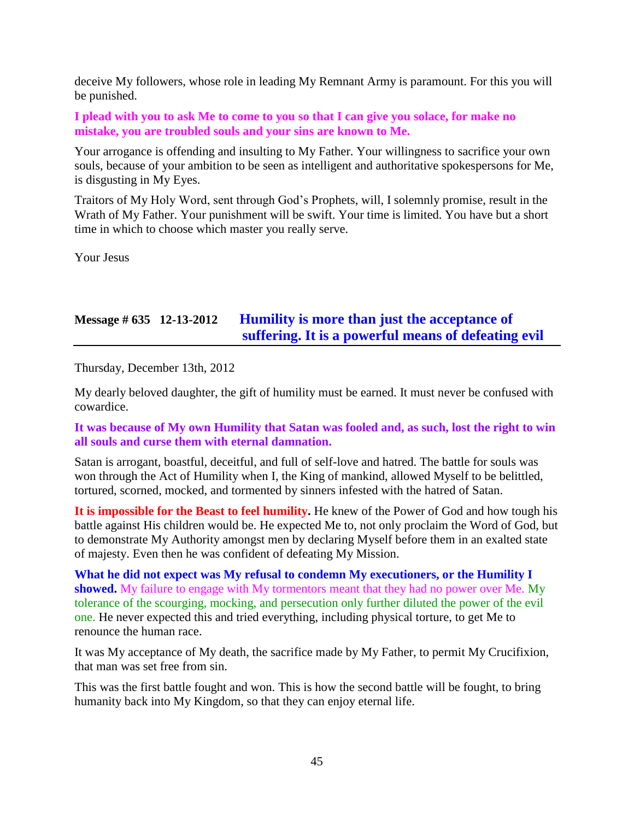deceive My followers, whose role in leading My Remnant Army is paramount. For this you will be punished.

**I plead with you to ask Me to come to you so that I can give you solace, for make no mistake, you are troubled souls and your sins are known to Me.**

Your arrogance is offending and insulting to My Father. Your willingness to sacrifice your own souls, because of your ambition to be seen as intelligent and authoritative spokespersons for Me, is disgusting in My Eyes.

Traitors of My Holy Word, sent through God's Prophets, will, I solemnly promise, result in the Wrath of My Father. Your punishment will be swift. Your time is limited. You have but a short time in which to choose which master you really serve.

Your Jesus

## **Message # 635 12-13-2012 [Humility is more than just the acceptance of](http://www.thewarningsecondcoming.com/humility-is-more-than-just-the-acceptance-of-suffering-it-is-a-powerful-means-of-defeating-evil/)  [suffering. It is a powerful means of defeating evil](http://www.thewarningsecondcoming.com/humility-is-more-than-just-the-acceptance-of-suffering-it-is-a-powerful-means-of-defeating-evil/)**

Thursday, December 13th, 2012

My dearly beloved daughter, the gift of humility must be earned. It must never be confused with cowardice.

**It was because of My own Humility that Satan was fooled and, as such, lost the right to win all souls and curse them with eternal damnation.**

Satan is arrogant, boastful, deceitful, and full of self-love and hatred. The battle for souls was won through the Act of Humility when I, the King of mankind, allowed Myself to be belittled, tortured, scorned, mocked, and tormented by sinners infested with the hatred of Satan.

**It is impossible for the Beast to feel humility.** He knew of the Power of God and how tough his battle against His children would be. He expected Me to, not only proclaim the Word of God, but to demonstrate My Authority amongst men by declaring Myself before them in an exalted state of majesty. Even then he was confident of defeating My Mission.

**What he did not expect was My refusal to condemn My executioners, or the Humility I showed.** My failure to engage with My tormentors meant that they had no power over Me. My tolerance of the scourging, mocking, and persecution only further diluted the power of the evil one. He never expected this and tried everything, including physical torture, to get Me to renounce the human race.

It was My acceptance of My death, the sacrifice made by My Father, to permit My Crucifixion, that man was set free from sin.

This was the first battle fought and won. This is how the second battle will be fought, to bring humanity back into My Kingdom, so that they can enjoy eternal life.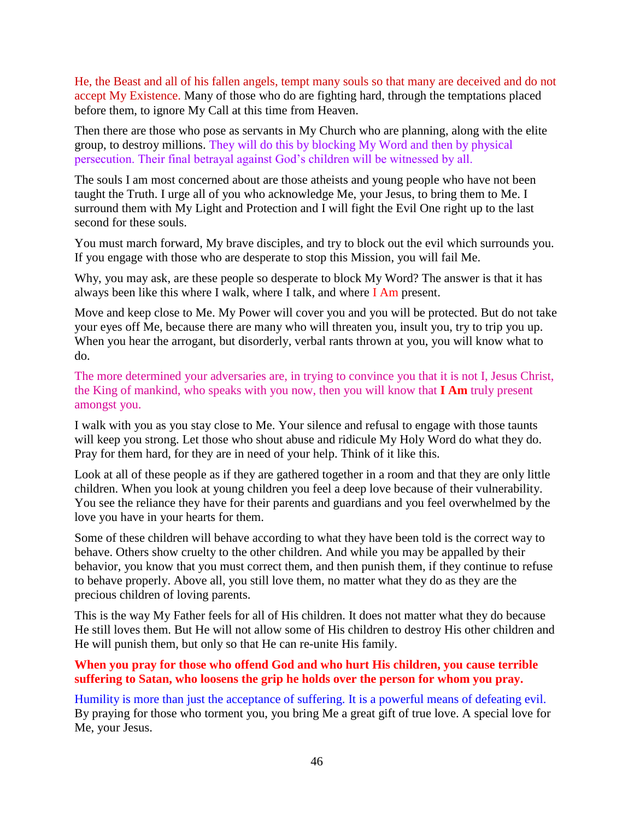He, the Beast and all of his fallen angels, tempt many souls so that many are deceived and do not accept My Existence. Many of those who do are fighting hard, through the temptations placed before them, to ignore My Call at this time from Heaven.

Then there are those who pose as servants in My Church who are planning, along with the elite group, to destroy millions. They will do this by blocking My Word and then by physical persecution. Their final betrayal against God's children will be witnessed by all.

The souls I am most concerned about are those atheists and young people who have not been taught the Truth. I urge all of you who acknowledge Me, your Jesus, to bring them to Me. I surround them with My Light and Protection and I will fight the Evil One right up to the last second for these souls.

You must march forward, My brave disciples, and try to block out the evil which surrounds you. If you engage with those who are desperate to stop this Mission, you will fail Me.

Why, you may ask, are these people so desperate to block My Word? The answer is that it has always been like this where I walk, where I talk, and where I Am present.

Move and keep close to Me. My Power will cover you and you will be protected. But do not take your eyes off Me, because there are many who will threaten you, insult you, try to trip you up. When you hear the arrogant, but disorderly, verbal rants thrown at you, you will know what to do.

The more determined your adversaries are, in trying to convince you that it is not I, Jesus Christ, the King of mankind, who speaks with you now, then you will know that **I Am** truly present amongst you.

I walk with you as you stay close to Me. Your silence and refusal to engage with those taunts will keep you strong. Let those who shout abuse and ridicule My Holy Word do what they do. Pray for them hard, for they are in need of your help. Think of it like this.

Look at all of these people as if they are gathered together in a room and that they are only little children. When you look at young children you feel a deep love because of their vulnerability. You see the reliance they have for their parents and guardians and you feel overwhelmed by the love you have in your hearts for them.

Some of these children will behave according to what they have been told is the correct way to behave. Others show cruelty to the other children. And while you may be appalled by their behavior, you know that you must correct them, and then punish them, if they continue to refuse to behave properly. Above all, you still love them, no matter what they do as they are the precious children of loving parents.

This is the way My Father feels for all of His children. It does not matter what they do because He still loves them. But He will not allow some of His children to destroy His other children and He will punish them, but only so that He can re-unite His family.

#### **When you pray for those who offend God and who hurt His children, you cause terrible suffering to Satan, who loosens the grip he holds over the person for whom you pray.**

Humility is more than just the acceptance of suffering. It is a powerful means of defeating evil. By praying for those who torment you, you bring Me a great gift of true love. A special love for Me, your Jesus.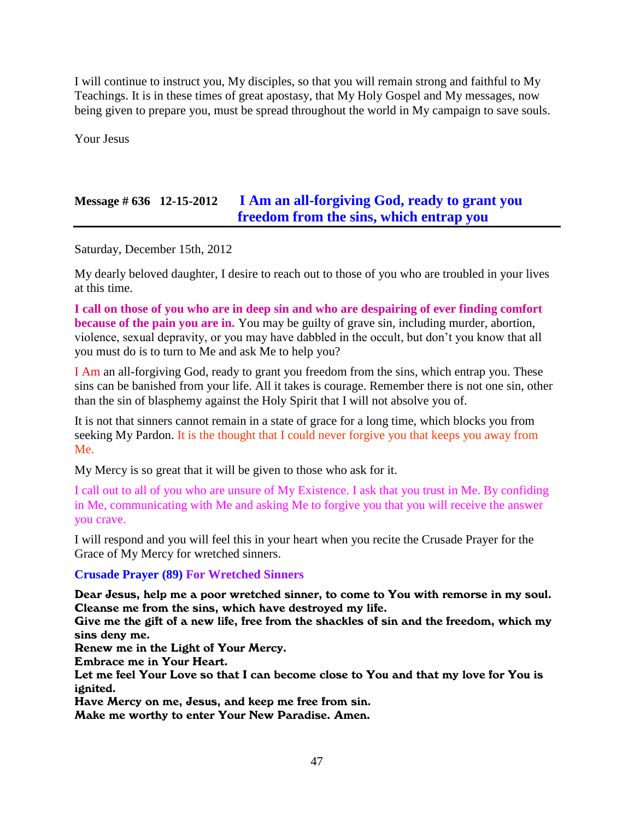I will continue to instruct you, My disciples, so that you will remain strong and faithful to My Teachings. It is in these times of great apostasy, that My Holy Gospel and My messages, now being given to prepare you, must be spread throughout the world in My campaign to save souls.

Your Jesus

# **Message # 636 12-15-2012 [I Am an all-forgiving God, ready to grant you](http://www.thewarningsecondcoming.com/i-am-an-all-forgiving-god-ready-to-grant-you-freedom-from-the-sins-which-entrap-you/)  [freedom from the sins, which entrap you](http://www.thewarningsecondcoming.com/i-am-an-all-forgiving-god-ready-to-grant-you-freedom-from-the-sins-which-entrap-you/)**

Saturday, December 15th, 2012

My dearly beloved daughter, I desire to reach out to those of you who are troubled in your lives at this time.

**I call on those of you who are in deep sin and who are despairing of ever finding comfort because of the pain you are in.** You may be guilty of grave sin, including murder, abortion, violence, sexual depravity, or you may have dabbled in the occult, but don't you know that all you must do is to turn to Me and ask Me to help you?

I Am an all-forgiving God, ready to grant you freedom from the sins, which entrap you. These sins can be banished from your life. All it takes is courage. Remember there is not one sin, other than the sin of blasphemy against the Holy Spirit that I will not absolve you of.

It is not that sinners cannot remain in a state of grace for a long time, which blocks you from seeking My Pardon. It is the thought that I could never forgive you that keeps you away from Me.

My Mercy is so great that it will be given to those who ask for it.

I call out to all of you who are unsure of My Existence. I ask that you trust in Me. By confiding in Me, communicating with Me and asking Me to forgive you that you will receive the answer you crave.

I will respond and you will feel this in your heart when you recite the Crusade Prayer for the Grace of My Mercy for wretched sinners.

**Crusade Prayer (89) For Wretched Sinners**

Dear Jesus, help me a poor wretched sinner, to come to You with remorse in my soul. Cleanse me from the sins, which have destroyed my life.

Give me the gift of a new life, free from the shackles of sin and the freedom, which my sins deny me.

Renew me in the Light of Your Mercy.

Embrace me in Your Heart.

Let me feel Your Love so that I can become close to You and that my love for You is ignited.

Have Mercy on me, Jesus, and keep me free from sin.

Make me worthy to enter Your New Paradise. Amen.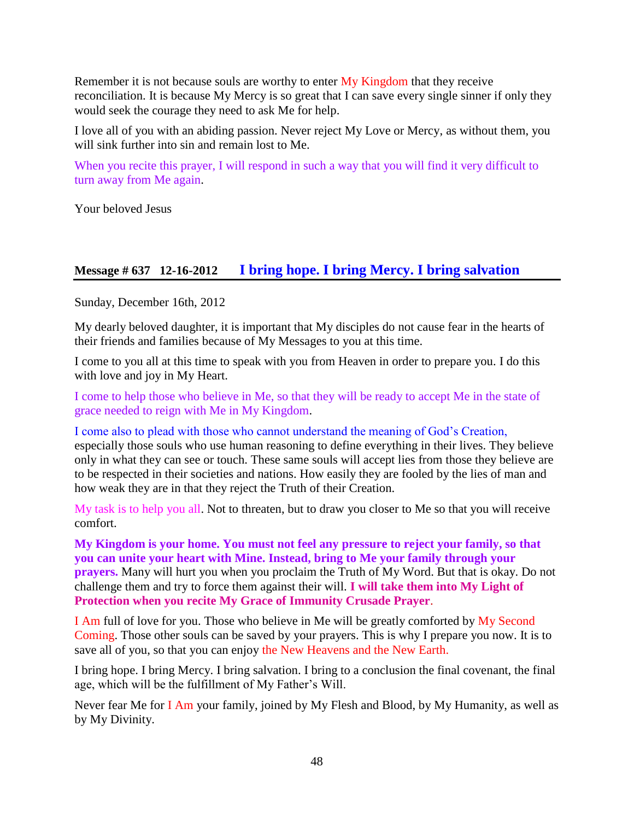Remember it is not because souls are worthy to enter My Kingdom that they receive reconciliation. It is because My Mercy is so great that I can save every single sinner if only they would seek the courage they need to ask Me for help.

I love all of you with an abiding passion. Never reject My Love or Mercy, as without them, you will sink further into sin and remain lost to Me.

When you recite this prayer, I will respond in such a way that you will find it very difficult to turn away from Me again.

Your beloved Jesus

### **Message # 637 12-16-2012 [I bring hope. I bring Mercy. I bring salvation](http://www.thewarningsecondcoming.com/i-bring-hope-i-bring-mercy-i-bring-salvation/)**

Sunday, December 16th, 2012

My dearly beloved daughter, it is important that My disciples do not cause fear in the hearts of their friends and families because of My Messages to you at this time.

I come to you all at this time to speak with you from Heaven in order to prepare you. I do this with love and joy in My Heart.

I come to help those who believe in Me, so that they will be ready to accept Me in the state of grace needed to reign with Me in My Kingdom.

I come also to plead with those who cannot understand the meaning of God's Creation, especially those souls who use human reasoning to define everything in their lives. They believe only in what they can see or touch. These same souls will accept lies from those they believe are to be respected in their societies and nations. How easily they are fooled by the lies of man and how weak they are in that they reject the Truth of their Creation.

My task is to help you all. Not to threaten, but to draw you closer to Me so that you will receive comfort.

**My Kingdom is your home. You must not feel any pressure to reject your family, so that you can unite your heart with Mine. Instead, bring to Me your family through your prayers.** Many will hurt you when you proclaim the Truth of My Word. But that is okay. Do not challenge them and try to force them against their will. **I will take them into My Light of Protection when you recite [My Grace of Immunity Crusade Prayer](http://www.thewarningsecondcoming.com/crusade-of-prayer-13-prayer-calling-for-immunity/)**.

I Am full of love for you. Those who believe in Me will be greatly comforted by My Second Coming. Those other souls can be saved by your prayers. This is why I prepare you now. It is to save all of you, so that you can enjoy the New Heavens and the New Earth.

I bring hope. I bring Mercy. I bring salvation. I bring to a conclusion the final covenant, the final age, which will be the fulfillment of My Father's Will.

Never fear Me for I Am your family, joined by My Flesh and Blood, by My Humanity, as well as by My Divinity.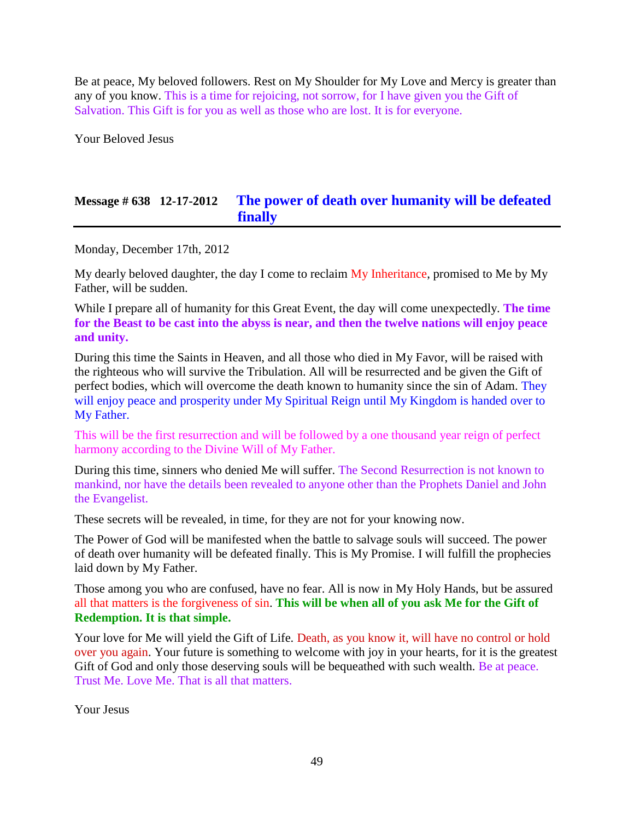Be at peace, My beloved followers. Rest on My Shoulder for My Love and Mercy is greater than any of you know. This is a time for rejoicing, not sorrow, for I have given you the Gift of Salvation. This Gift is for you as well as those who are lost. It is for everyone.

Your Beloved Jesus

# **Message # 638 12-17-2012 [The power of death over humanity will be defeated](http://www.thewarningsecondcoming.com/the-power-of-death-over-humanity-will-be-defeated-finally/)  [finally](http://www.thewarningsecondcoming.com/the-power-of-death-over-humanity-will-be-defeated-finally/)**

Monday, December 17th, 2012

My dearly beloved daughter, the day I come to reclaim My Inheritance, promised to Me by My Father, will be sudden.

While I prepare all of humanity for this Great Event, the day will come unexpectedly. **The time for the Beast to be cast into the abyss is near, and then the twelve nations will enjoy peace and unity.**

During this time the Saints in Heaven, and all those who died in My Favor, will be raised with the righteous who will survive the Tribulation. All will be resurrected and be given the Gift of perfect bodies, which will overcome the death known to humanity since the sin of Adam. They will enjoy peace and prosperity under My Spiritual Reign until My Kingdom is handed over to My Father.

This will be the first resurrection and will be followed by a one thousand year reign of perfect harmony according to the Divine Will of My Father.

During this time, sinners who denied Me will suffer. The Second Resurrection is not known to mankind, nor have the details been revealed to anyone other than the Prophets Daniel and John the Evangelist.

These secrets will be revealed, in time, for they are not for your knowing now.

The Power of God will be manifested when the battle to salvage souls will succeed. The power of death over humanity will be defeated finally. This is My Promise. I will fulfill the prophecies laid down by My Father.

Those among you who are confused, have no fear. All is now in My Holy Hands, but be assured all that matters is the forgiveness of sin. **This will be when all of you ask Me for the Gift of Redemption. It is that simple.**

Your love for Me will yield the Gift of Life. Death, as you know it, will have no control or hold over you again. Your future is something to welcome with joy in your hearts, for it is the greatest Gift of God and only those deserving souls will be bequeathed with such wealth. Be at peace. Trust Me. Love Me. That is all that matters.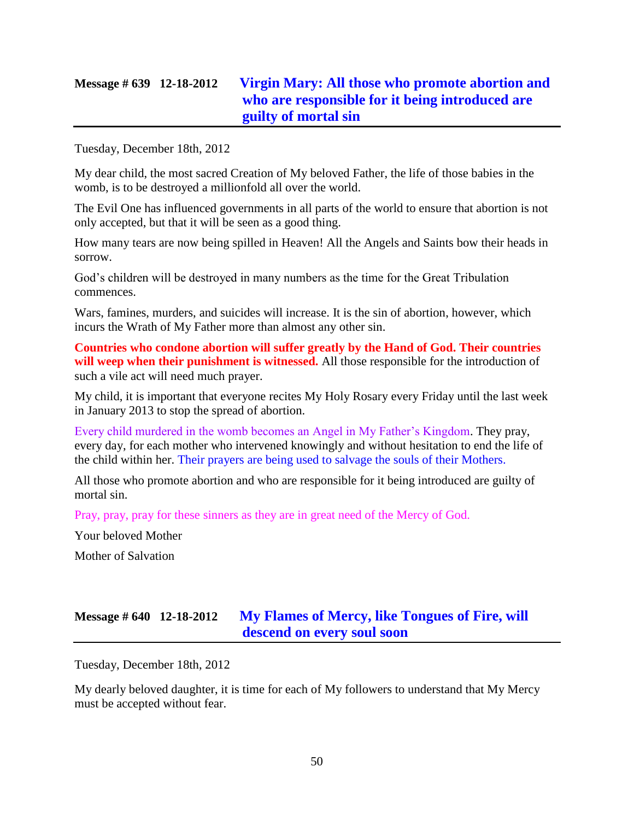# **Message # 639 12-18-2012 [Virgin Mary: All those who promote abortion and](http://www.thewarningsecondcoming.com/virgin-mary-all-those-who-promote-abortion-and-who-are-responsible-for-it-being-introduced-are-guilty-of-mortal-sin/)  [who are responsible for it being introduced are](http://www.thewarningsecondcoming.com/virgin-mary-all-those-who-promote-abortion-and-who-are-responsible-for-it-being-introduced-are-guilty-of-mortal-sin/)  [guilty of mortal sin](http://www.thewarningsecondcoming.com/virgin-mary-all-those-who-promote-abortion-and-who-are-responsible-for-it-being-introduced-are-guilty-of-mortal-sin/)**

Tuesday, December 18th, 2012

My dear child, the most sacred Creation of My beloved Father, the life of those babies in the womb, is to be destroyed a millionfold all over the world.

The Evil One has influenced governments in all parts of the world to ensure that abortion is not only accepted, but that it will be seen as a good thing.

How many tears are now being spilled in Heaven! All the Angels and Saints bow their heads in sorrow.

God's children will be destroyed in many numbers as the time for the Great Tribulation commences.

Wars, famines, murders, and suicides will increase. It is the sin of abortion, however, which incurs the Wrath of My Father more than almost any other sin.

**Countries who condone abortion will suffer greatly by the Hand of God. Their countries**  will weep when their punishment is witnessed. All those responsible for the introduction of such a vile act will need much prayer.

My child, it is important that everyone recites My Holy Rosary every Friday until the last week in January 2013 to stop the spread of abortion.

Every child murdered in the womb becomes an Angel in My Father's Kingdom. They pray, every day, for each mother who intervened knowingly and without hesitation to end the life of the child within her. Their prayers are being used to salvage the souls of their Mothers.

All those who promote abortion and who are responsible for it being introduced are guilty of mortal sin.

Pray, pray, pray for these sinners as they are in great need of the Mercy of God.

Your beloved Mother Mother of Salvation

# **Message # 640 12-18-2012 [My Flames of Mercy, like Tongues of Fire, will](http://www.thewarningsecondcoming.com/my-flames-of-mercy-like-tongues-of-fire-will-descend-on-every-soul-soon/)  [descend on every soul soon](http://www.thewarningsecondcoming.com/my-flames-of-mercy-like-tongues-of-fire-will-descend-on-every-soul-soon/)**

Tuesday, December 18th, 2012

My dearly beloved daughter, it is time for each of My followers to understand that My Mercy must be accepted without fear.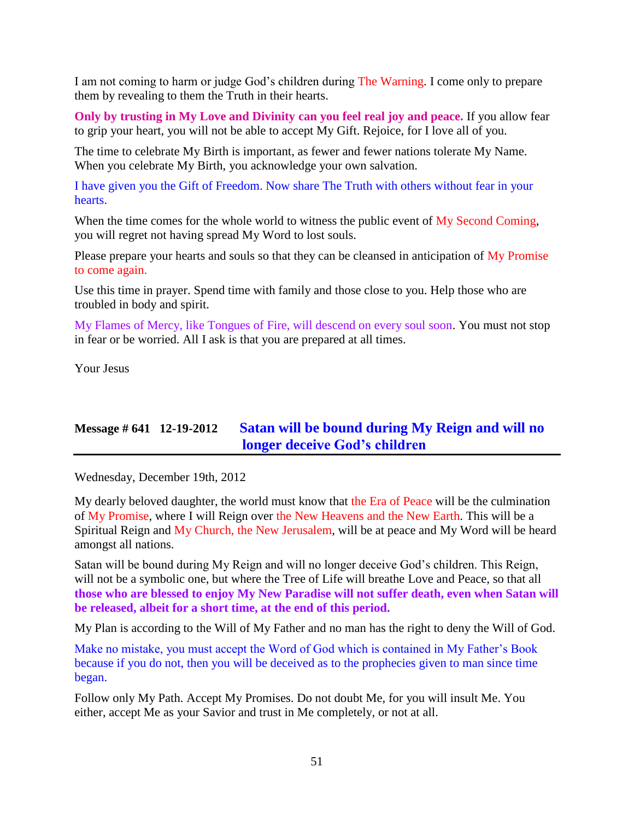I am not coming to harm or judge God's children during The Warning. I come only to prepare them by revealing to them the Truth in their hearts.

**Only by trusting in My Love and Divinity can you feel real joy and peace.** If you allow fear to grip your heart, you will not be able to accept My Gift. Rejoice, for I love all of you.

The time to celebrate My Birth is important, as fewer and fewer nations tolerate My Name. When you celebrate My Birth, you acknowledge your own salvation.

I have given you the Gift of Freedom. Now share The Truth with others without fear in your hearts.

When the time comes for the whole world to witness the public event of My Second Coming, you will regret not having spread My Word to lost souls.

Please prepare your hearts and souls so that they can be cleansed in anticipation of My Promise to come again.

Use this time in prayer. Spend time with family and those close to you. Help those who are troubled in body and spirit.

My Flames of Mercy, like Tongues of Fire, will descend on every soul soon. You must not stop in fear or be worried. All I ask is that you are prepared at all times.

Your Jesus

# **Message # 641 12-19-2012 [Satan will be bound during My Reign and will no](http://www.thewarningsecondcoming.com/satan-will-be-bound-during-my-reign-and-will-no-longer-deceive-gods-children-2/)  [longer deceive God's children](http://www.thewarningsecondcoming.com/satan-will-be-bound-during-my-reign-and-will-no-longer-deceive-gods-children-2/)**

Wednesday, December 19th, 2012

My dearly beloved daughter, the world must know that the Era of Peace will be the culmination of My Promise, where I will Reign over the New Heavens and the New Earth. This will be a Spiritual Reign and My Church, the New Jerusalem, will be at peace and My Word will be heard amongst all nations.

Satan will be bound during My Reign and will no longer deceive God's children. This Reign, will not be a symbolic one, but where the Tree of Life will breathe Love and Peace, so that all **those who are blessed to enjoy My New Paradise will not suffer death, even when Satan will be released, albeit for a short time, at the end of this period.**

My Plan is according to the Will of My Father and no man has the right to deny the Will of God.

Make no mistake, you must accept the Word of God which is contained in My Father's Book because if you do not, then you will be deceived as to the prophecies given to man since time began.

Follow only My Path. Accept My Promises. Do not doubt Me, for you will insult Me. You either, accept Me as your Savior and trust in Me completely, or not at all.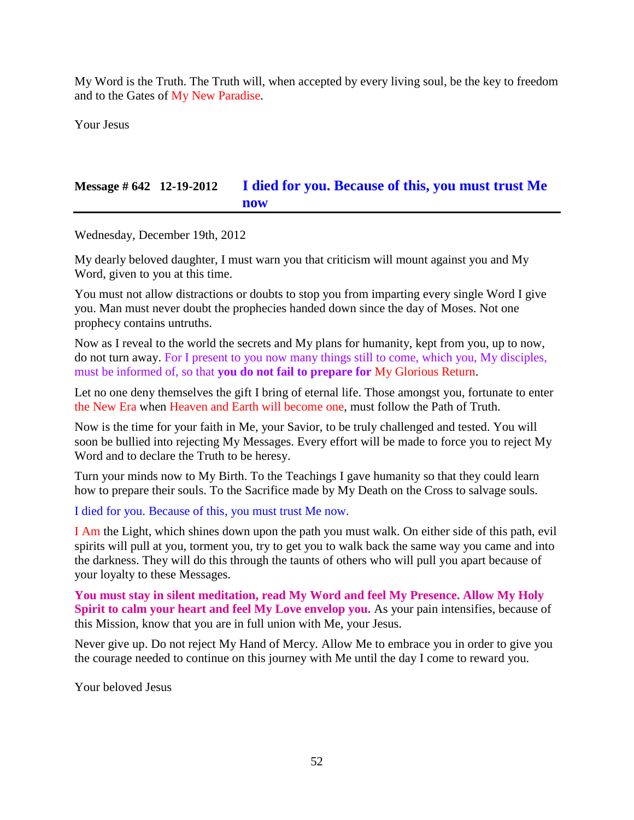My Word is the Truth. The Truth will, when accepted by every living soul, be the key to freedom and to the Gates of My New Paradise.

Your Jesus

# **Message # 642 12-19-2012 [I died for you. Because of this,](http://www.thewarningsecondcoming.com/i-died-for-you-because-of-this-you-must-trust-me-now/) you must trust Me [now](http://www.thewarningsecondcoming.com/i-died-for-you-because-of-this-you-must-trust-me-now/)**

Wednesday, December 19th, 2012

My dearly beloved daughter, I must warn you that criticism will mount against you and My Word, given to you at this time.

You must not allow distractions or doubts to stop you from imparting every single Word I give you. Man must never doubt the prophecies handed down since the day of Moses. Not one prophecy contains untruths.

Now as I reveal to the world the secrets and My plans for humanity, kept from you, up to now, do not turn away. For I present to you now many things still to come, which you, My disciples, must be informed of, so that **you do not fail to prepare for** My Glorious Return.

Let no one deny themselves the gift I bring of eternal life. Those amongst you, fortunate to enter the New Era when Heaven and Earth will become one, must follow the Path of Truth.

Now is the time for your faith in Me, your Savior, to be truly challenged and tested. You will soon be bullied into rejecting My Messages. Every effort will be made to force you to reject My Word and to declare the Truth to be heresy.

Turn your minds now to My Birth. To the Teachings I gave humanity so that they could learn how to prepare their souls. To the Sacrifice made by My Death on the Cross to salvage souls.

I died for you. Because of this, you must trust Me now.

I Am the Light, which shines down upon the path you must walk. On either side of this path, evil spirits will pull at you, torment you, try to get you to walk back the same way you came and into the darkness. They will do this through the taunts of others who will pull you apart because of your loyalty to these Messages.

**You must stay in silent meditation, read My Word and feel My Presence. Allow My Holy Spirit to calm your heart and feel My Love envelop you.** As your pain intensifies, because of this Mission, know that you are in full union with Me, your Jesus.

Never give up. Do not reject My Hand of Mercy. Allow Me to embrace you in order to give you the courage needed to continue on this journey with Me until the day I come to reward you.

Your beloved Jesus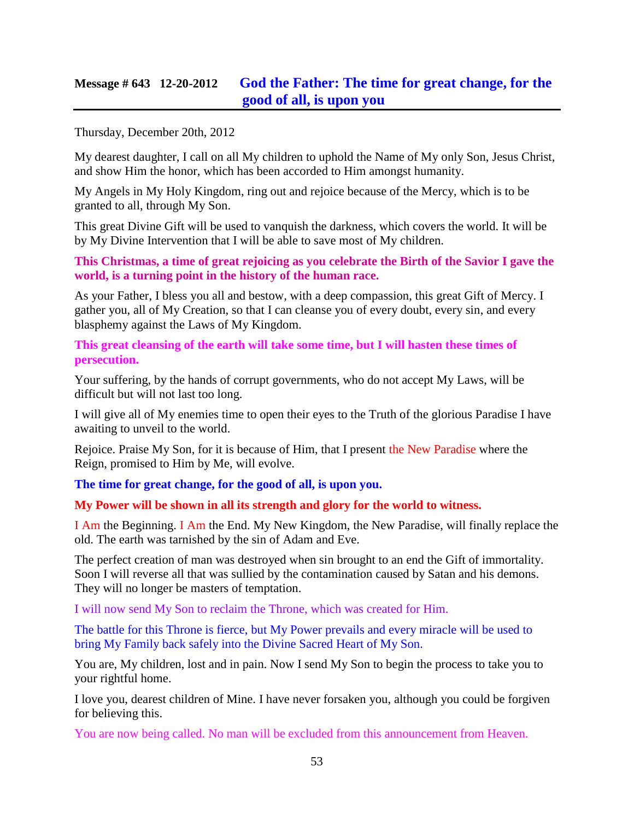## **Message # 643 12-20-2012 [God the Father: The time for great change, for the](http://www.thewarningsecondcoming.com/god-the-father-the-time-for-great-change-for-the-good-of-all-is-upon-you/)  [good of all, is upon you](http://www.thewarningsecondcoming.com/god-the-father-the-time-for-great-change-for-the-good-of-all-is-upon-you/)**

Thursday, December 20th, 2012

My dearest daughter, I call on all My children to uphold the Name of My only Son, Jesus Christ, and show Him the honor, which has been accorded to Him amongst humanity.

My Angels in My Holy Kingdom, ring out and rejoice because of the Mercy, which is to be granted to all, through My Son.

This great Divine Gift will be used to vanquish the darkness, which covers the world. It will be by My Divine Intervention that I will be able to save most of My children.

**This Christmas, a time of great rejoicing as you celebrate the Birth of the Savior I gave the world, is a turning point in the history of the human race.**

As your Father, I bless you all and bestow, with a deep compassion, this great Gift of Mercy. I gather you, all of My Creation, so that I can cleanse you of every doubt, every sin, and every blasphemy against the Laws of My Kingdom.

**This great cleansing of the earth will take some time, but I will hasten these times of persecution.**

Your suffering, by the hands of corrupt governments, who do not accept My Laws, will be difficult but will not last too long.

I will give all of My enemies time to open their eyes to the Truth of the glorious Paradise I have awaiting to unveil to the world.

Rejoice. Praise My Son, for it is because of Him, that I present the New Paradise where the Reign, promised to Him by Me, will evolve.

**The time for great change, for the good of all, is upon you.**

**My Power will be shown in all its strength and glory for the world to witness.**

I Am the Beginning. I Am the End. My New Kingdom, the New Paradise, will finally replace the old. The earth was tarnished by the sin of Adam and Eve.

The perfect creation of man was destroyed when sin brought to an end the Gift of immortality. Soon I will reverse all that was sullied by the contamination caused by Satan and his demons. They will no longer be masters of temptation.

I will now send My Son to reclaim the Throne, which was created for Him.

The battle for this Throne is fierce, but My Power prevails and every miracle will be used to bring My Family back safely into the Divine Sacred Heart of My Son.

You are, My children, lost and in pain. Now I send My Son to begin the process to take you to your rightful home.

I love you, dearest children of Mine. I have never forsaken you, although you could be forgiven for believing this.

You are now being called. No man will be excluded from this announcement from Heaven.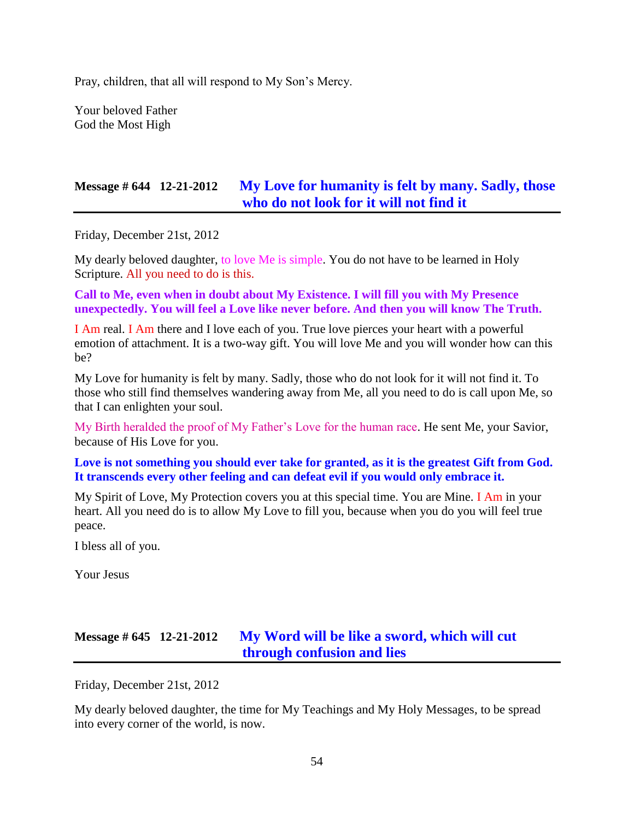Pray, children, that all will respond to My Son's Mercy.

Your beloved Father God the Most High

### **Message # 644 12-21-2012 [My Love for humanity is felt by many. Sadly, those](http://www.thewarningsecondcoming.com/my-love-for-humanity-is-felt-by-many-sadly-those-who-do-not-look-for-it-will-not-find-it/)  [who do not look for it will not find it](http://www.thewarningsecondcoming.com/my-love-for-humanity-is-felt-by-many-sadly-those-who-do-not-look-for-it-will-not-find-it/)**

Friday, December 21st, 2012

My dearly beloved daughter, to love Me is simple. You do not have to be learned in Holy Scripture. All you need to do is this.

**Call to Me, even when in doubt about My Existence. I will fill you with My Presence unexpectedly. You will feel a Love like never before. And then you will know The Truth.**

I Am real. I Am there and I love each of you. True love pierces your heart with a powerful emotion of attachment. It is a two-way gift. You will love Me and you will wonder how can this be?

My Love for humanity is felt by many. Sadly, those who do not look for it will not find it. To those who still find themselves wandering away from Me, all you need to do is call upon Me, so that I can enlighten your soul.

My Birth heralded the proof of My Father's Love for the human race. He sent Me, your Savior, because of His Love for you.

**Love is not something you should ever take for granted, as it is the greatest Gift from God. It transcends every other feeling and can defeat evil if you would only embrace it.**

My Spirit of Love, My Protection covers you at this special time. You are Mine. I Am in your heart. All you need do is to allow My Love to fill you, because when you do you will feel true peace.

I bless all of you.

Your Jesus

# **Message # 645 12-21-2012 [My Word will be like a sword, which will cut](http://www.thewarningsecondcoming.com/my-word-will-be-like-a-sword-which-will-cut-through-confusion-and-lies/)  [through confusion and lies](http://www.thewarningsecondcoming.com/my-word-will-be-like-a-sword-which-will-cut-through-confusion-and-lies/)**

Friday, December 21st, 2012

My dearly beloved daughter, the time for My Teachings and My Holy Messages, to be spread into every corner of the world, is now.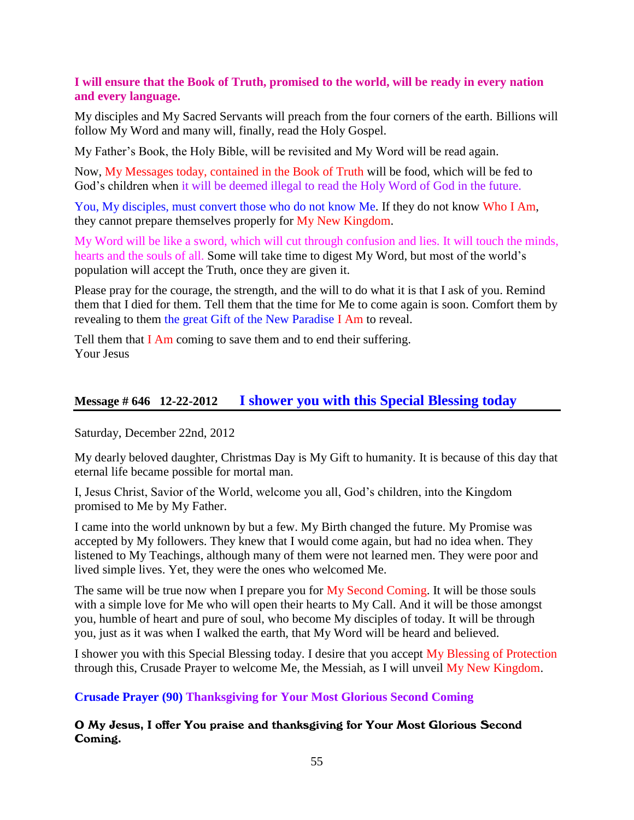#### **I will ensure that the Book of Truth, promised to the world, will be ready in every nation and every language.**

My disciples and My Sacred Servants will preach from the four corners of the earth. Billions will follow My Word and many will, finally, read the Holy Gospel.

My Father's Book, the Holy Bible, will be revisited and My Word will be read again.

Now, My Messages today, contained in the Book of Truth will be food, which will be fed to God's children when it will be deemed illegal to read the Holy Word of God in the future.

You, My disciples, must convert those who do not know Me. If they do not know Who I Am, they cannot prepare themselves properly for My New Kingdom.

My Word will be like a sword, which will cut through confusion and lies. It will touch the minds, hearts and the souls of all. Some will take time to digest My Word, but most of the world's population will accept the Truth, once they are given it.

Please pray for the courage, the strength, and the will to do what it is that I ask of you. Remind them that I died for them. Tell them that the time for Me to come again is soon. Comfort them by revealing to them the great Gift of the New Paradise I Am to reveal.

Tell them that I Am coming to save them and to end their suffering. Your Jesus

### **Message # 646 12-22-2012 [I shower you with this Special Blessing today](http://www.thewarningsecondcoming.com/i-shower-you-with-this-special-blessing-today/)**

Saturday, December 22nd, 2012

My dearly beloved daughter, Christmas Day is My Gift to humanity. It is because of this day that eternal life became possible for mortal man.

I, Jesus Christ, Savior of the World, welcome you all, God's children, into the Kingdom promised to Me by My Father.

I came into the world unknown by but a few. My Birth changed the future. My Promise was accepted by My followers. They knew that I would come again, but had no idea when. They listened to My Teachings, although many of them were not learned men. They were poor and lived simple lives. Yet, they were the ones who welcomed Me.

The same will be true now when I prepare you for My Second Coming. It will be those souls with a simple love for Me who will open their hearts to My Call. And it will be those amongst you, humble of heart and pure of soul, who become My disciples of today. It will be through you, just as it was when I walked the earth, that My Word will be heard and believed.

I shower you with this Special Blessing today. I desire that you accept My Blessing of Protection through this, Crusade Prayer to welcome Me, the Messiah, as I will unveil My New Kingdom.

**Crusade Prayer (90) Thanksgiving for Your Most Glorious Second Coming**

O My Jesus, I offer You praise and thanksgiving for Your Most Glorious Second Coming.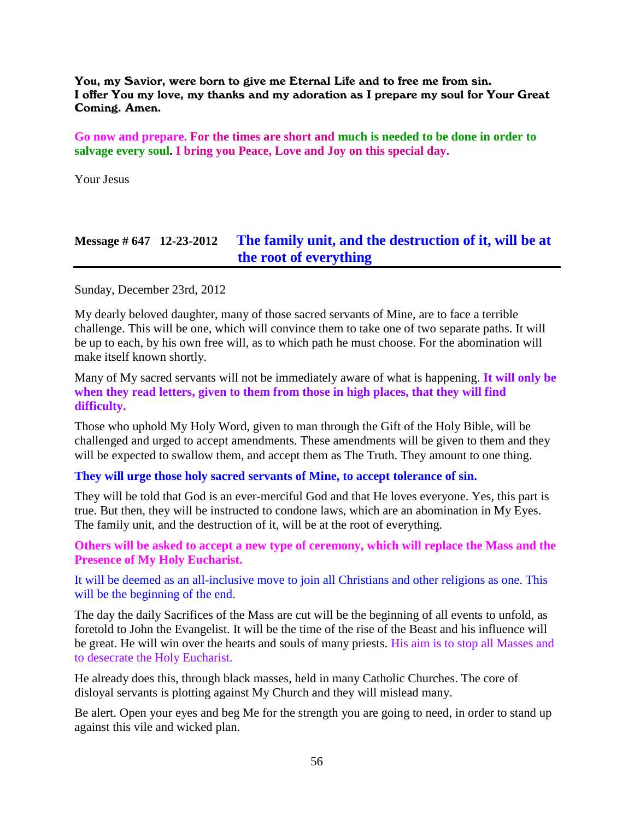You, my Savior, were born to give me Eternal Life and to free me from sin. I offer You my love, my thanks and my adoration as I prepare my soul for Your Great Coming. Amen.

**Go now and prepare. For the times are short and much is needed to be done in order to salvage every soul. I bring you Peace, Love and Joy on this special day.**

Your Jesus

### **Message # 647 12-23-2012 [The family unit, and the destruction of it, will be at](http://www.thewarningsecondcoming.com/the-family-unit-and-the-destruction-of-it-will-be-at-the-root-of-everything/)  [the root of everything](http://www.thewarningsecondcoming.com/the-family-unit-and-the-destruction-of-it-will-be-at-the-root-of-everything/)**

Sunday, December 23rd, 2012

My dearly beloved daughter, many of those sacred servants of Mine, are to face a terrible challenge. This will be one, which will convince them to take one of two separate paths. It will be up to each, by his own free will, as to which path he must choose. For the abomination will make itself known shortly.

Many of My sacred servants will not be immediately aware of what is happening. **It will only be when they read letters, given to them from those in high places, that they will find difficulty.**

Those who uphold My Holy Word, given to man through the Gift of the Holy Bible, will be challenged and urged to accept amendments. These amendments will be given to them and they will be expected to swallow them, and accept them as The Truth. They amount to one thing.

#### **They will urge those holy sacred servants of Mine, to accept tolerance of sin.**

They will be told that God is an ever-merciful God and that He loves everyone. Yes, this part is true. But then, they will be instructed to condone laws, which are an abomination in My Eyes. The family unit, and the destruction of it, will be at the root of everything.

**Others will be asked to accept a new type of ceremony, which will replace the Mass and the Presence of My Holy Eucharist.**

It will be deemed as an all-inclusive move to join all Christians and other religions as one. This will be the beginning of the end.

The day the daily Sacrifices of the Mass are cut will be the beginning of all events to unfold, as foretold to John the Evangelist. It will be the time of the rise of the Beast and his influence will be great. He will win over the hearts and souls of many priests. His aim is to stop all Masses and to desecrate the Holy Eucharist.

He already does this, through black masses, held in many Catholic Churches. The core of disloyal servants is plotting against My Church and they will mislead many.

Be alert. Open your eyes and beg Me for the strength you are going to need, in order to stand up against this vile and wicked plan.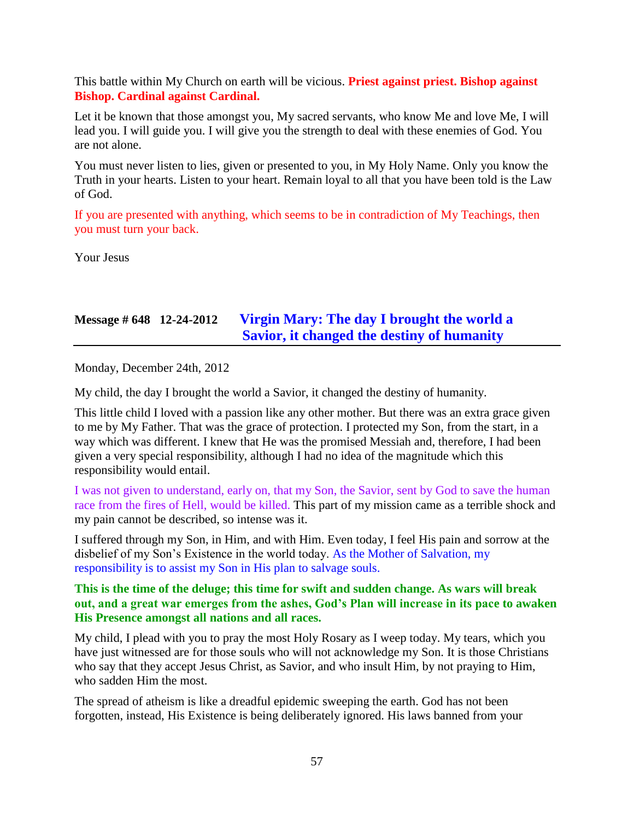This battle within My Church on earth will be vicious. **Priest against priest. Bishop against Bishop. Cardinal against Cardinal.**

Let it be known that those amongst you, My sacred servants, who know Me and love Me, I will lead you. I will guide you. I will give you the strength to deal with these enemies of God. You are not alone.

You must never listen to lies, given or presented to you, in My Holy Name. Only you know the Truth in your hearts. Listen to your heart. Remain loyal to all that you have been told is the Law of God.

If you are presented with anything, which seems to be in contradiction of My Teachings, then you must turn your back.

Your Jesus

# **Message # 648 12-24-2012 [Virgin Mary: The day I brought the world a](http://www.thewarningsecondcoming.com/virgin-mary-the-day-i-brought-the-world-a-saviour-it-changed-the-destiny-of-humanity/)  [Savior, it changed the destiny of humanity](http://www.thewarningsecondcoming.com/virgin-mary-the-day-i-brought-the-world-a-saviour-it-changed-the-destiny-of-humanity/)**

Monday, December 24th, 2012

My child, the day I brought the world a Savior, it changed the destiny of humanity.

This little child I loved with a passion like any other mother. But there was an extra grace given to me by My Father. That was the grace of protection. I protected my Son, from the start, in a way which was different. I knew that He was the promised Messiah and, therefore, I had been given a very special responsibility, although I had no idea of the magnitude which this responsibility would entail.

I was not given to understand, early on, that my Son, the Savior, sent by God to save the human race from the fires of Hell, would be killed. This part of my mission came as a terrible shock and my pain cannot be described, so intense was it.

I suffered through my Son, in Him, and with Him. Even today, I feel His pain and sorrow at the disbelief of my Son's Existence in the world today. As the Mother of Salvation, my responsibility is to assist my Son in His plan to salvage souls.

#### **This is the time of the deluge; this time for swift and sudden change. As wars will break out, and a great war emerges from the ashes, God's Plan will increase in its pace to awaken His Presence amongst all nations and all races.**

My child, I plead with you to pray the most Holy Rosary as I weep today. My tears, which you have just witnessed are for those souls who will not acknowledge my Son. It is those Christians who say that they accept Jesus Christ, as Savior, and who insult Him, by not praying to Him, who sadden Him the most.

The spread of atheism is like a dreadful epidemic sweeping the earth. God has not been forgotten, instead, His Existence is being deliberately ignored. His laws banned from your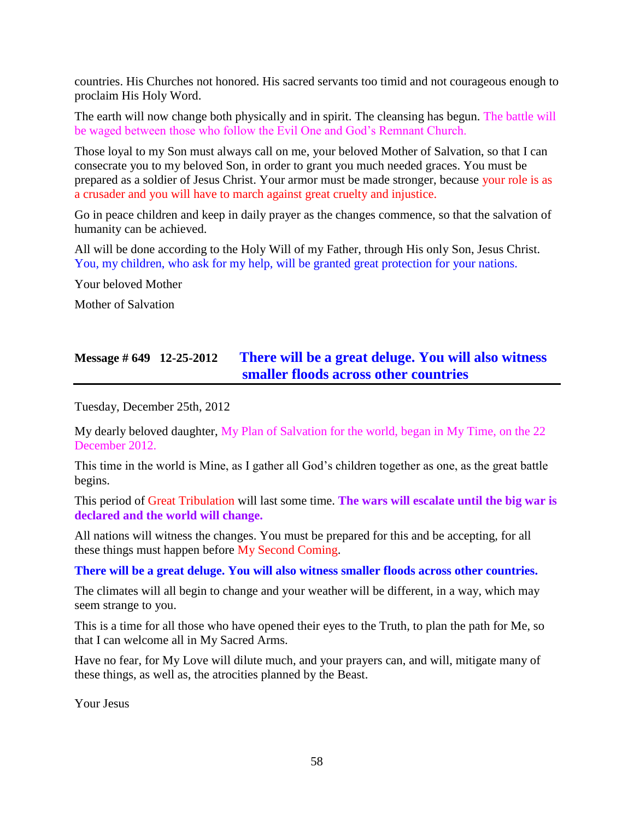countries. His Churches not honored. His sacred servants too timid and not courageous enough to proclaim His Holy Word.

The earth will now change both physically and in spirit. The cleansing has begun. The battle will be waged between those who follow the Evil One and God's Remnant Church.

Those loyal to my Son must always call on me, your beloved Mother of Salvation, so that I can consecrate you to my beloved Son, in order to grant you much needed graces. You must be prepared as a soldier of Jesus Christ. Your armor must be made stronger, because your role is as a crusader and you will have to march against great cruelty and injustice.

Go in peace children and keep in daily prayer as the changes commence, so that the salvation of humanity can be achieved.

All will be done according to the Holy Will of my Father, through His only Son, Jesus Christ. You, my children, who ask for my help, will be granted great protection for your nations.

Your beloved Mother

Mother of Salvation

### **Message # 649 12-25-2012 [There will be a great deluge. You will also witness](http://www.thewarningsecondcoming.com/there-will-be-a-great-deluge-you-will-also-witness-smaller-floods-across-all-countries/)  [smaller floods across other countries](http://www.thewarningsecondcoming.com/there-will-be-a-great-deluge-you-will-also-witness-smaller-floods-across-all-countries/)**

Tuesday, December 25th, 2012

My dearly beloved daughter, My Plan of Salvation for the world, began in My Time, on the 22 December 2012.

This time in the world is Mine, as I gather all God's children together as one, as the great battle begins.

This period of Great Tribulation will last some time. **The wars will escalate until the big war is declared and the world will change.**

All nations will witness the changes. You must be prepared for this and be accepting, for all these things must happen before My Second Coming.

#### **There will be a great deluge. You will also witness smaller floods across other countries.**

The climates will all begin to change and your weather will be different, in a way, which may seem strange to you.

This is a time for all those who have opened their eyes to the Truth, to plan the path for Me, so that I can welcome all in My Sacred Arms.

Have no fear, for My Love will dilute much, and your prayers can, and will, mitigate many of these things, as well as, the atrocities planned by the Beast.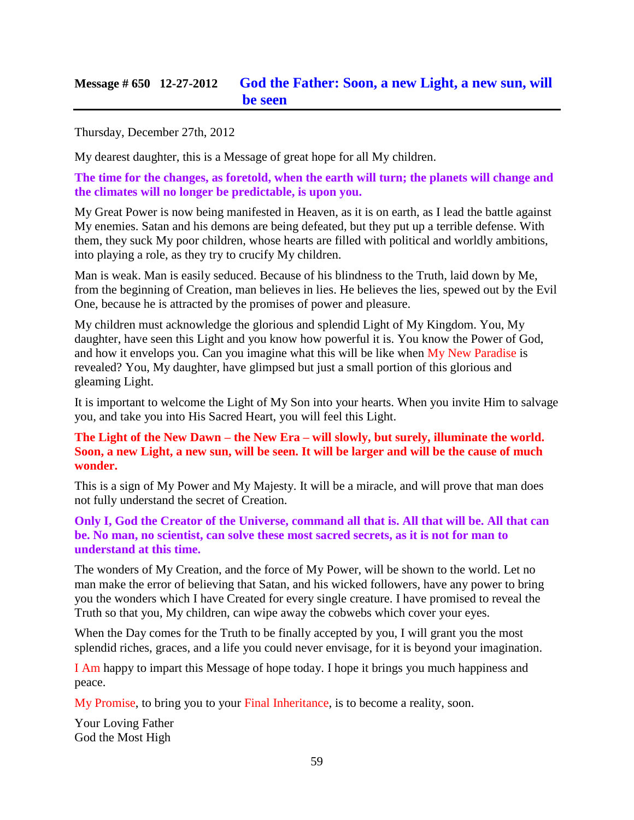### **Message # 650 12-27-2012 [God the Father: Soon, a new Light, a new sun, will](http://www.thewarningsecondcoming.com/god-the-father-soon-a-new-light-a-new-sun-will-be-seen/)  [be seen](http://www.thewarningsecondcoming.com/god-the-father-soon-a-new-light-a-new-sun-will-be-seen/)**

Thursday, December 27th, 2012

My dearest daughter, this is a Message of great hope for all My children.

**The time for the changes, as foretold, when the earth will turn; the planets will change and the climates will no longer be predictable, is upon you.**

My Great Power is now being manifested in Heaven, as it is on earth, as I lead the battle against My enemies. Satan and his demons are being defeated, but they put up a terrible defense. With them, they suck My poor children, whose hearts are filled with political and worldly ambitions, into playing a role, as they try to crucify My children.

Man is weak. Man is easily seduced. Because of his blindness to the Truth, laid down by Me, from the beginning of Creation, man believes in lies. He believes the lies, spewed out by the Evil One, because he is attracted by the promises of power and pleasure.

My children must acknowledge the glorious and splendid Light of My Kingdom. You, My daughter, have seen this Light and you know how powerful it is. You know the Power of God, and how it envelops you. Can you imagine what this will be like when My New Paradise is revealed? You, My daughter, have glimpsed but just a small portion of this glorious and gleaming Light.

It is important to welcome the Light of My Son into your hearts. When you invite Him to salvage you, and take you into His Sacred Heart, you will feel this Light.

#### **The Light of the New Dawn – the New Era – will slowly, but surely, illuminate the world. Soon, a new Light, a new sun, will be seen. It will be larger and will be the cause of much wonder.**

This is a sign of My Power and My Majesty. It will be a miracle, and will prove that man does not fully understand the secret of Creation.

#### **Only I, God the Creator of the Universe, command all that is. All that will be. All that can be. No man, no scientist, can solve these most sacred secrets, as it is not for man to understand at this time.**

The wonders of My Creation, and the force of My Power, will be shown to the world. Let no man make the error of believing that Satan, and his wicked followers, have any power to bring you the wonders which I have Created for every single creature. I have promised to reveal the Truth so that you, My children, can wipe away the cobwebs which cover your eyes.

When the Day comes for the Truth to be finally accepted by you, I will grant you the most splendid riches, graces, and a life you could never envisage, for it is beyond your imagination.

I Am happy to impart this Message of hope today. I hope it brings you much happiness and peace.

My Promise, to bring you to your Final Inheritance, is to become a reality, soon.

Your Loving Father God the Most High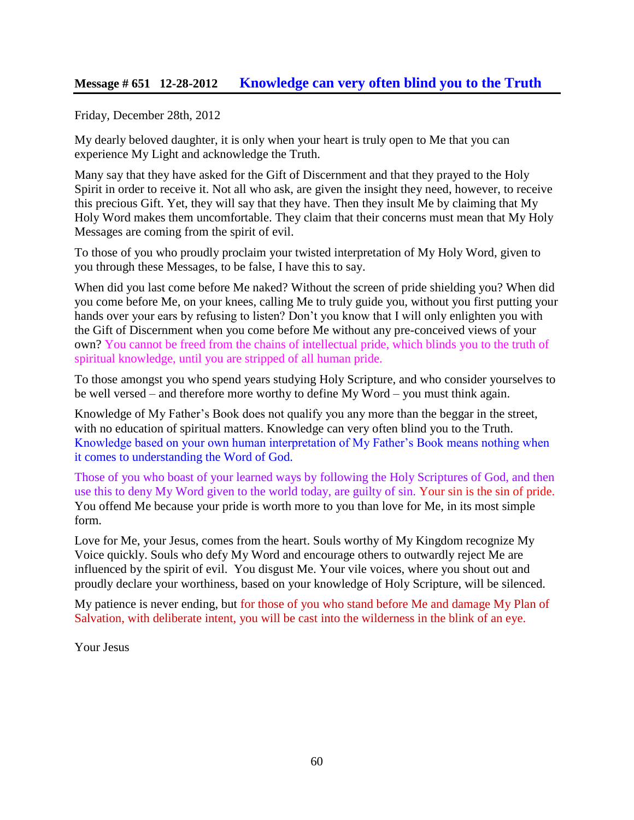### **Message # 651 12-28-2012 [Knowledge can very often blind you to the Truth](http://www.thewarningsecondcoming.com/knowledge-can-very-often-blind-you-to-the-truth/)**

Friday, December 28th, 2012

My dearly beloved daughter, it is only when your heart is truly open to Me that you can experience My Light and acknowledge the Truth.

Many say that they have asked for the Gift of Discernment and that they prayed to the Holy Spirit in order to receive it. Not all who ask, are given the insight they need, however, to receive this precious Gift. Yet, they will say that they have. Then they insult Me by claiming that My Holy Word makes them uncomfortable. They claim that their concerns must mean that My Holy Messages are coming from the spirit of evil.

To those of you who proudly proclaim your twisted interpretation of My Holy Word, given to you through these Messages, to be false, I have this to say.

When did you last come before Me naked? Without the screen of pride shielding you? When did you come before Me, on your knees, calling Me to truly guide you, without you first putting your hands over your ears by refusing to listen? Don't you know that I will only enlighten you with the Gift of Discernment when you come before Me without any pre-conceived views of your own? You cannot be freed from the chains of intellectual pride, which blinds you to the truth of spiritual knowledge, until you are stripped of all human pride.

To those amongst you who spend years studying Holy Scripture, and who consider yourselves to be well versed – and therefore more worthy to define My Word – you must think again.

Knowledge of My Father's Book does not qualify you any more than the beggar in the street, with no education of spiritual matters. Knowledge can very often blind you to the Truth. Knowledge based on your own human interpretation of My Father's Book means nothing when it comes to understanding the Word of God.

Those of you who boast of your learned ways by following the Holy Scriptures of God, and then use this to deny My Word given to the world today, are guilty of sin. Your sin is the sin of pride. You offend Me because your pride is worth more to you than love for Me, in its most simple form.

Love for Me, your Jesus, comes from the heart. Souls worthy of My Kingdom recognize My Voice quickly. Souls who defy My Word and encourage others to outwardly reject Me are influenced by the spirit of evil. You disgust Me. Your vile voices, where you shout out and proudly declare your worthiness, based on your knowledge of Holy Scripture, will be silenced.

My patience is never ending, but for those of you who stand before Me and damage My Plan of Salvation, with deliberate intent, you will be cast into the wilderness in the blink of an eye.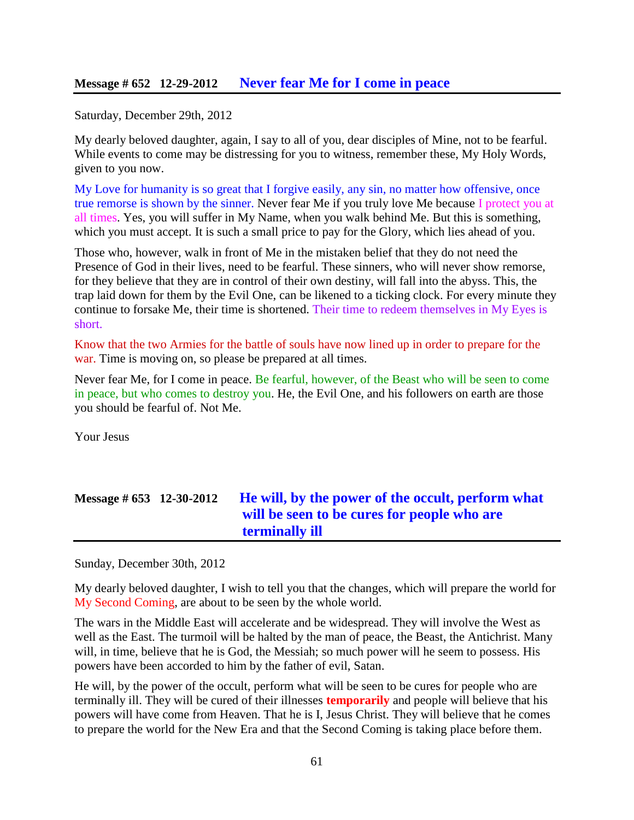#### **Message # 652 12-29-2012 [Never fear Me for I come in peace](http://www.thewarningsecondcoming.com/never-fear-me-for-i-come-in-peace/)**

Saturday, December 29th, 2012

My dearly beloved daughter, again, I say to all of you, dear disciples of Mine, not to be fearful. While events to come may be distressing for you to witness, remember these, My Holy Words, given to you now.

My Love for humanity is so great that I forgive easily, any sin, no matter how offensive, once true remorse is shown by the sinner. Never fear Me if you truly love Me because I protect you at all times. Yes, you will suffer in My Name, when you walk behind Me. But this is something, which you must accept. It is such a small price to pay for the Glory, which lies ahead of you.

Those who, however, walk in front of Me in the mistaken belief that they do not need the Presence of God in their lives, need to be fearful. These sinners, who will never show remorse, for they believe that they are in control of their own destiny, will fall into the abyss. This, the trap laid down for them by the Evil One, can be likened to a ticking clock. For every minute they continue to forsake Me, their time is shortened. Their time to redeem themselves in My Eyes is short.

Know that the two Armies for the battle of souls have now lined up in order to prepare for the war. Time is moving on, so please be prepared at all times.

Never fear Me, for I come in peace. Be fearful, however, of the Beast who will be seen to come in peace, but who comes to destroy you. He, the Evil One, and his followers on earth are those you should be fearful of. Not Me.

Your Jesus

# **Message # 653 12-30-2012 [He will, by the power of the occult, perform what](http://www.thewarningsecondcoming.com/he-will-by-the-power-of-the-occult-perform-what-will-be-seen-to-be-cures-for-people-who-are-terminally-ill/)  [will be seen to be cures for people who are](http://www.thewarningsecondcoming.com/he-will-by-the-power-of-the-occult-perform-what-will-be-seen-to-be-cures-for-people-who-are-terminally-ill/)  [terminally ill](http://www.thewarningsecondcoming.com/he-will-by-the-power-of-the-occult-perform-what-will-be-seen-to-be-cures-for-people-who-are-terminally-ill/)**

Sunday, December 30th, 2012

My dearly beloved daughter, I wish to tell you that the changes, which will prepare the world for My Second Coming, are about to be seen by the whole world.

The wars in the Middle East will accelerate and be widespread. They will involve the West as well as the East. The turmoil will be halted by the man of peace, the Beast, the Antichrist. Many will, in time, believe that he is God, the Messiah; so much power will he seem to possess. His powers have been accorded to him by the father of evil, Satan.

He will, by the power of the occult, perform what will be seen to be cures for people who are terminally ill. They will be cured of their illnesses **temporarily** and people will believe that his powers will have come from Heaven. That he is I, Jesus Christ. They will believe that he comes to prepare the world for the New Era and that the Second Coming is taking place before them.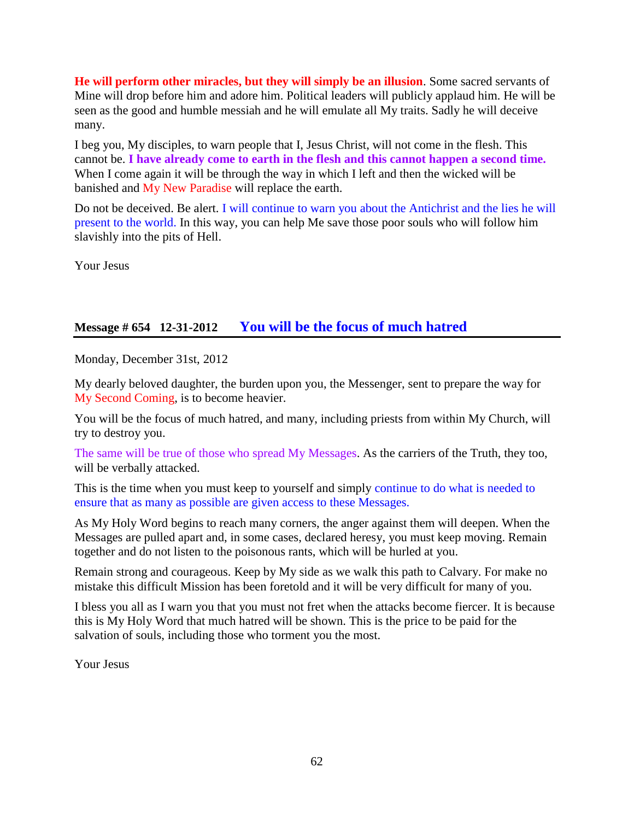**He will perform other miracles, but they will simply be an illusion**. Some sacred servants of Mine will drop before him and adore him. Political leaders will publicly applaud him. He will be seen as the good and humble messiah and he will emulate all My traits. Sadly he will deceive many.

I beg you, My disciples, to warn people that I, Jesus Christ, will not come in the flesh. This cannot be. **I have already come to earth in the flesh and this cannot happen a second time.** When I come again it will be through the way in which I left and then the wicked will be banished and My New Paradise will replace the earth.

Do not be deceived. Be alert. I will continue to warn you about the Antichrist and the lies he will present to the world. In this way, you can help Me save those poor souls who will follow him slavishly into the pits of Hell.

Your Jesus

### **Message # 654 12-31-2012 [You will be the focus of much hatred](http://www.thewarningsecondcoming.com/you-will-be-the-focus-of-much-hatred/)**

Monday, December 31st, 2012

My dearly beloved daughter, the burden upon you, the Messenger, sent to prepare the way for My Second Coming, is to become heavier.

You will be the focus of much hatred, and many, including priests from within My Church, will try to destroy you.

The same will be true of those who spread My Messages. As the carriers of the Truth, they too, will be verbally attacked.

This is the time when you must keep to yourself and simply continue to do what is needed to ensure that as many as possible are given access to these Messages.

As My Holy Word begins to reach many corners, the anger against them will deepen. When the Messages are pulled apart and, in some cases, declared heresy, you must keep moving. Remain together and do not listen to the poisonous rants, which will be hurled at you.

Remain strong and courageous. Keep by My side as we walk this path to Calvary. For make no mistake this difficult Mission has been foretold and it will be very difficult for many of you.

I bless you all as I warn you that you must not fret when the attacks become fiercer. It is because this is My Holy Word that much hatred will be shown. This is the price to be paid for the salvation of souls, including those who torment you the most.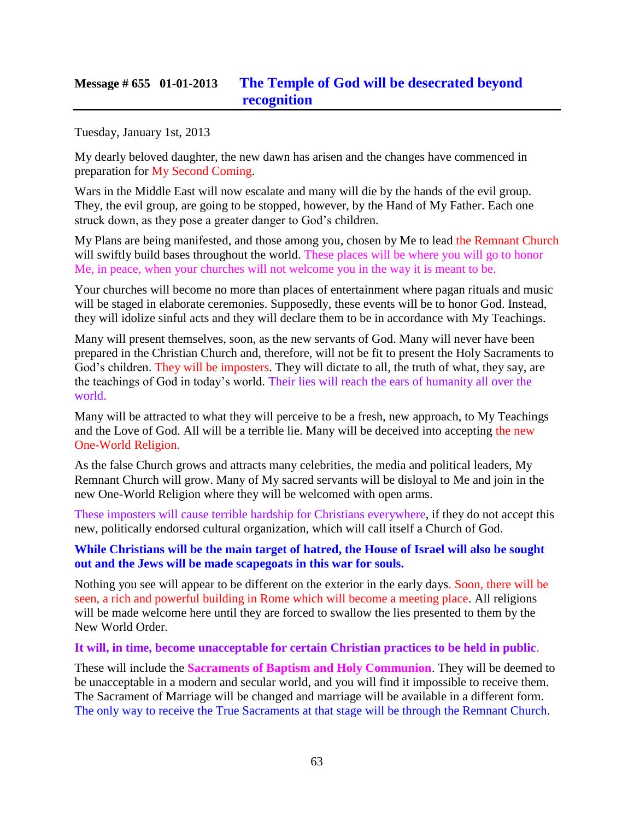### **Message # 655 01-01-2013 [The Temple of God will be desecrated beyond](http://www.thewarningsecondcoming.com/the-temple-of-god-will-be-desecrated-beyond-recognition/)  [recognition](http://www.thewarningsecondcoming.com/the-temple-of-god-will-be-desecrated-beyond-recognition/)**

Tuesday, January 1st, 2013

My dearly beloved daughter, the new dawn has arisen and the changes have commenced in preparation for My Second Coming.

Wars in the Middle East will now escalate and many will die by the hands of the evil group. They, the evil group, are going to be stopped, however, by the Hand of My Father. Each one struck down, as they pose a greater danger to God's children.

My Plans are being manifested, and those among you, chosen by Me to lead the Remnant Church will swiftly build bases throughout the world. These places will be where you will go to honor Me, in peace, when your churches will not welcome you in the way it is meant to be.

Your churches will become no more than places of entertainment where pagan rituals and music will be staged in elaborate ceremonies. Supposedly, these events will be to honor God. Instead, they will idolize sinful acts and they will declare them to be in accordance with My Teachings.

Many will present themselves, soon, as the new servants of God. Many will never have been prepared in the Christian Church and, therefore, will not be fit to present the Holy Sacraments to God's children. They will be imposters. They will dictate to all, the truth of what, they say, are the teachings of God in today's world. Their lies will reach the ears of humanity all over the world.

Many will be attracted to what they will perceive to be a fresh, new approach, to My Teachings and the Love of God. All will be a terrible lie. Many will be deceived into accepting the new One-World Religion.

As the false Church grows and attracts many celebrities, the media and political leaders, My Remnant Church will grow. Many of My sacred servants will be disloyal to Me and join in the new One-World Religion where they will be welcomed with open arms.

These imposters will cause terrible hardship for Christians everywhere, if they do not accept this new, politically endorsed cultural organization, which will call itself a Church of God.

#### **While Christians will be the main target of hatred, the House of Israel will also be sought out and the Jews will be made scapegoats in this war for souls.**

Nothing you see will appear to be different on the exterior in the early days. Soon, there will be seen, a rich and powerful building in Rome which will become a meeting place. All religions will be made welcome here until they are forced to swallow the lies presented to them by the New World Order.

#### **It will, in time, become unacceptable for certain Christian practices to be held in public**.

These will include the **Sacraments of Baptism and Holy Communion**. They will be deemed to be unacceptable in a modern and secular world, and you will find it impossible to receive them. The Sacrament of Marriage will be changed and marriage will be available in a different form. The only way to receive the True Sacraments at that stage will be through the Remnant Church.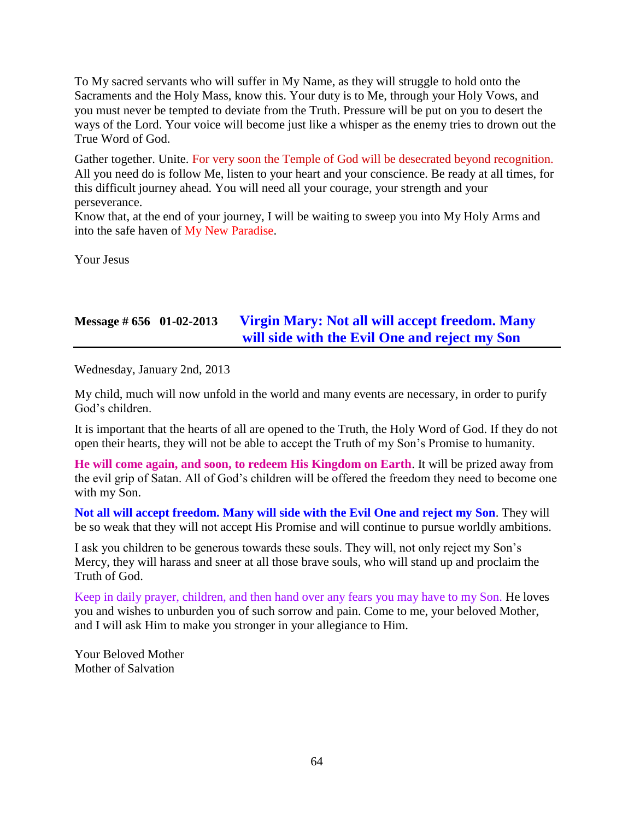To My sacred servants who will suffer in My Name, as they will struggle to hold onto the Sacraments and the Holy Mass, know this. Your duty is to Me, through your Holy Vows, and you must never be tempted to deviate from the Truth. Pressure will be put on you to desert the ways of the Lord. Your voice will become just like a whisper as the enemy tries to drown out the True Word of God.

Gather together. Unite. For very soon the Temple of God will be desecrated beyond recognition. All you need do is follow Me, listen to your heart and your conscience. Be ready at all times, for this difficult journey ahead. You will need all your courage, your strength and your perseverance.

Know that, at the end of your journey, I will be waiting to sweep you into My Holy Arms and into the safe haven of My New Paradise.

Your Jesus

## **Message # 656 01-02-2013 [Virgin Mary: Not all will accept freedom. Many](http://www.thewarningsecondcoming.com/virgin-mary-not-all-will-accept-freedom-many-will-side-with-the-evil-one-and-reject-my-son-2/)  [will side with the Evil One and reject my Son](http://www.thewarningsecondcoming.com/virgin-mary-not-all-will-accept-freedom-many-will-side-with-the-evil-one-and-reject-my-son-2/)**

Wednesday, January 2nd, 2013

My child, much will now unfold in the world and many events are necessary, in order to purify God's children.

It is important that the hearts of all are opened to the Truth, the Holy Word of God. If they do not open their hearts, they will not be able to accept the Truth of my Son's Promise to humanity.

**He will come again, and soon, to redeem His Kingdom on Earth**. It will be prized away from the evil grip of Satan. All of God's children will be offered the freedom they need to become one with my Son.

**Not all will accept freedom. Many will side with the Evil One and reject my Son**. They will be so weak that they will not accept His Promise and will continue to pursue worldly ambitions.

I ask you children to be generous towards these souls. They will, not only reject my Son's Mercy, they will harass and sneer at all those brave souls, who will stand up and proclaim the Truth of God.

Keep in daily prayer, children, and then hand over any fears you may have to my Son. He loves you and wishes to unburden you of such sorrow and pain. Come to me, your beloved Mother, and I will ask Him to make you stronger in your allegiance to Him.

Your Beloved Mother Mother of Salvation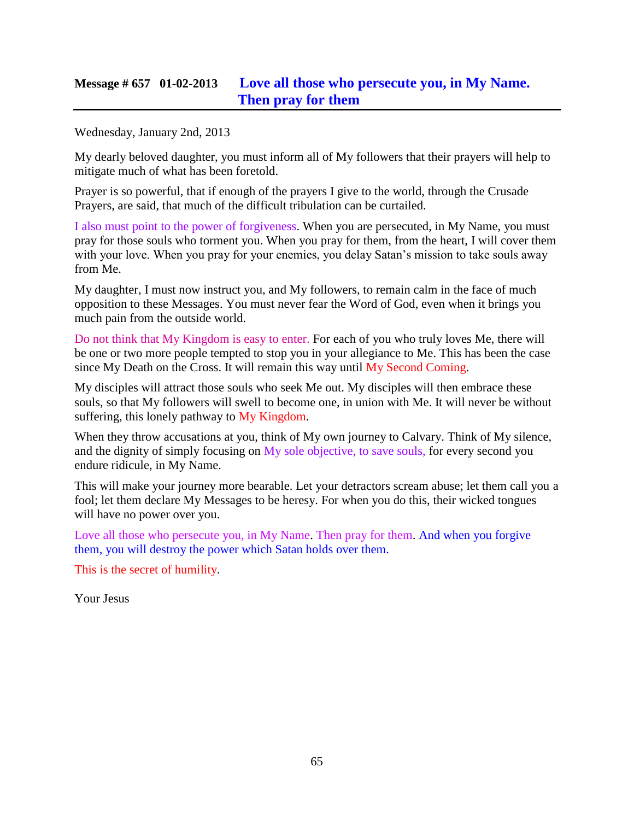### **Message # 657 01-02-2013 [Love all those who persecute you, in My Name.](http://www.thewarningsecondcoming.com/love-all-those-who-persecute-you-in-my-name-then-pray-for-them/)  [Then pray for them](http://www.thewarningsecondcoming.com/love-all-those-who-persecute-you-in-my-name-then-pray-for-them/)**

Wednesday, January 2nd, 2013

My dearly beloved daughter, you must inform all of My followers that their prayers will help to mitigate much of what has been foretold.

Prayer is so powerful, that if enough of the prayers I give to the world, through the Crusade Prayers, are said, that much of the difficult tribulation can be curtailed.

I also must point to the power of forgiveness. When you are persecuted, in My Name, you must pray for those souls who torment you. When you pray for them, from the heart, I will cover them with your love. When you pray for your enemies, you delay Satan's mission to take souls away from Me.

My daughter, I must now instruct you, and My followers, to remain calm in the face of much opposition to these Messages. You must never fear the Word of God, even when it brings you much pain from the outside world.

Do not think that My Kingdom is easy to enter. For each of you who truly loves Me, there will be one or two more people tempted to stop you in your allegiance to Me. This has been the case since My Death on the Cross. It will remain this way until My Second Coming.

My disciples will attract those souls who seek Me out. My disciples will then embrace these souls, so that My followers will swell to become one, in union with Me. It will never be without suffering, this lonely pathway to My Kingdom.

When they throw accusations at you, think of My own journey to Calvary. Think of My silence, and the dignity of simply focusing on My sole objective, to save souls, for every second you endure ridicule, in My Name.

This will make your journey more bearable. Let your detractors scream abuse; let them call you a fool; let them declare My Messages to be heresy. For when you do this, their wicked tongues will have no power over you.

Love all those who persecute you, in My Name. Then pray for them. And when you forgive them, you will destroy the power which Satan holds over them.

This is the secret of humility.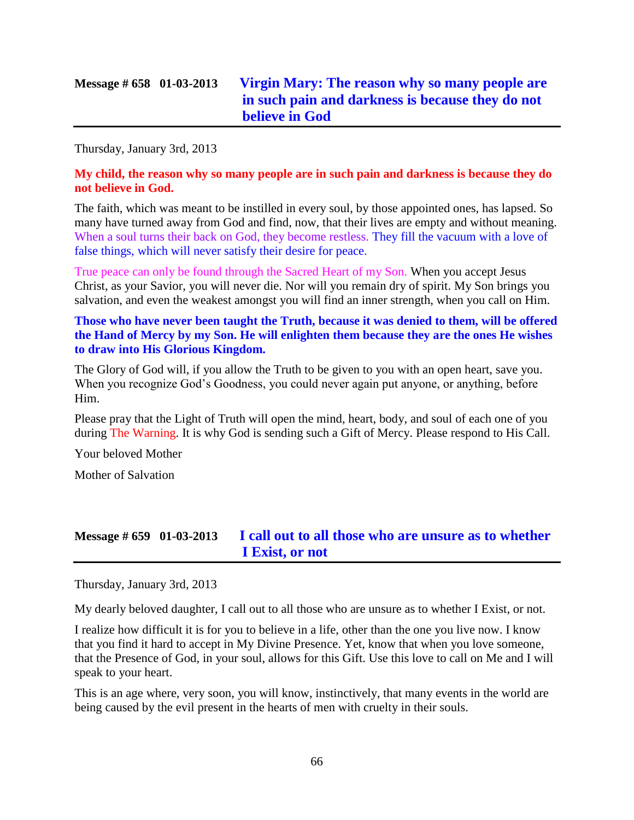Thursday, January 3rd, 2013

#### **My child, the reason why so many people are in such pain and darkness is because they do not believe in God.**

The faith, which was meant to be instilled in every soul, by those appointed ones, has lapsed. So many have turned away from God and find, now, that their lives are empty and without meaning. When a soul turns their back on God, they become restless. They fill the vacuum with a love of false things, which will never satisfy their desire for peace.

True peace can only be found through the Sacred Heart of my Son. When you accept Jesus Christ, as your Savior, you will never die. Nor will you remain dry of spirit. My Son brings you salvation, and even the weakest amongst you will find an inner strength, when you call on Him.

#### **Those who have never been taught the Truth, because it was denied to them, will be offered the Hand of Mercy by my Son. He will enlighten them because they are the ones He wishes to draw into His Glorious Kingdom.**

The Glory of God will, if you allow the Truth to be given to you with an open heart, save you. When you recognize God's Goodness, you could never again put anyone, or anything, before Him.

Please pray that the Light of Truth will open the mind, heart, body, and soul of each one of you during The Warning. It is why God is sending such a Gift of Mercy. Please respond to His Call.

Your beloved Mother

Mother of Salvation

## **Message # 659 01-03-2013 I call [out to all those who are unsure as to whether](http://www.thewarningsecondcoming.com/i-call-out-to-all-those-who-are-unsure-as-to-whether-i-exist-or-not/)  [I Exist, or not](http://www.thewarningsecondcoming.com/i-call-out-to-all-those-who-are-unsure-as-to-whether-i-exist-or-not/)**

Thursday, January 3rd, 2013

My dearly beloved daughter, I call out to all those who are unsure as to whether I Exist, or not.

I realize how difficult it is for you to believe in a life, other than the one you live now. I know that you find it hard to accept in My Divine Presence. Yet, know that when you love someone, that the Presence of God, in your soul, allows for this Gift. Use this love to call on Me and I will speak to your heart.

This is an age where, very soon, you will know, instinctively, that many events in the world are being caused by the evil present in the hearts of men with cruelty in their souls.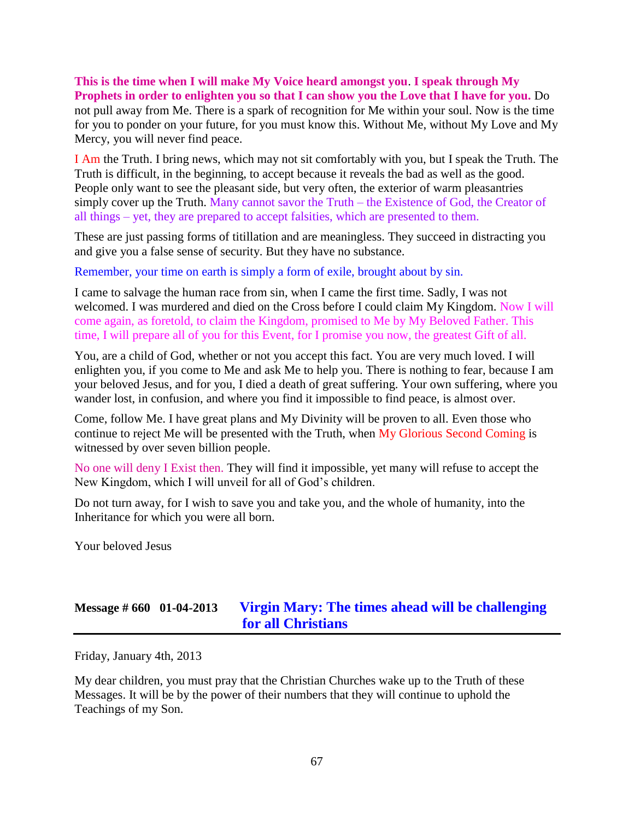# **This is the time when I will make My Voice heard amongst you**. **I speak through My**

**Prophets in order to enlighten you so that I can show you the Love that I have for you.** Do not pull away from Me. There is a spark of recognition for Me within your soul. Now is the time for you to ponder on your future, for you must know this. Without Me, without My Love and My Mercy, you will never find peace.

I Am the Truth. I bring news, which may not sit comfortably with you, but I speak the Truth. The Truth is difficult, in the beginning, to accept because it reveals the bad as well as the good. People only want to see the pleasant side, but very often, the exterior of warm pleasantries simply cover up the Truth. Many cannot savor the Truth – the Existence of God, the Creator of all things – yet, they are prepared to accept falsities, which are presented to them.

These are just passing forms of titillation and are meaningless. They succeed in distracting you and give you a false sense of security. But they have no substance.

Remember, your time on earth is simply a form of exile, brought about by sin.

I came to salvage the human race from sin, when I came the first time. Sadly, I was not welcomed. I was murdered and died on the Cross before I could claim My Kingdom. Now I will come again, as foretold, to claim the Kingdom, promised to Me by My Beloved Father. This time, I will prepare all of you for this Event, for I promise you now, the greatest Gift of all.

You, are a child of God, whether or not you accept this fact. You are very much loved. I will enlighten you, if you come to Me and ask Me to help you. There is nothing to fear, because I am your beloved Jesus, and for you, I died a death of great suffering. Your own suffering, where you wander lost, in confusion, and where you find it impossible to find peace, is almost over.

Come, follow Me. I have great plans and My Divinity will be proven to all. Even those who continue to reject Me will be presented with the Truth, when My Glorious Second Coming is witnessed by over seven billion people.

No one will deny I Exist then. They will find it impossible, yet many will refuse to accept the New Kingdom, which I will unveil for all of God's children.

Do not turn away, for I wish to save you and take you, and the whole of humanity, into the Inheritance for which you were all born.

Your beloved Jesus

# **Message # 660 01-04-2013 Virgin Mary: The times [ahead will be challenging](http://www.thewarningsecondcoming.com/virgin-mary-the-times-ahead-will-be-challenging-for-all-christians/)  [for all Christians](http://www.thewarningsecondcoming.com/virgin-mary-the-times-ahead-will-be-challenging-for-all-christians/)**

Friday, January 4th, 2013

My dear children, you must pray that the Christian Churches wake up to the Truth of these Messages. It will be by the power of their numbers that they will continue to uphold the Teachings of my Son.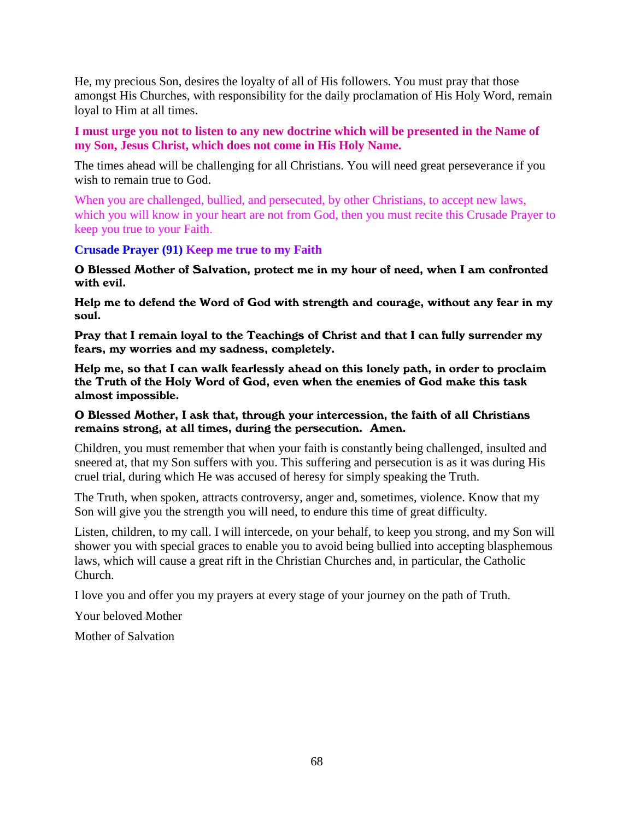He, my precious Son, desires the loyalty of all of His followers. You must pray that those amongst His Churches, with responsibility for the daily proclamation of His Holy Word, remain loyal to Him at all times.

**I must urge you not to listen to any new doctrine which will be presented in the Name of my Son, Jesus Christ, which does not come in His Holy Name.**

The times ahead will be challenging for all Christians. You will need great perseverance if you wish to remain true to God.

When you are challenged, bullied, and persecuted, by other Christians, to accept new laws, which you will know in your heart are not from God, then you must recite this Crusade Prayer to keep you true to your Faith.

**Crusade Prayer (91) Keep me true to my Faith**

O Blessed Mother of Salvation, protect me in my hour of need, when I am confronted with evil.

Help me to defend the Word of God with strength and courage, without any fear in my soul.

Pray that I remain loyal to the Teachings of Christ and that I can fully surrender my fears, my worries and my sadness, completely.

Help me, so that I can walk fearlessly ahead on this lonely path, in order to proclaim the Truth of the Holy Word of God, even when the enemies of God make this task almost impossible.

#### O Blessed Mother, I ask that, through your intercession, the faith of all Christians remains strong, at all times, during the persecution. Amen.

Children, you must remember that when your faith is constantly being challenged, insulted and sneered at, that my Son suffers with you. This suffering and persecution is as it was during His cruel trial, during which He was accused of heresy for simply speaking the Truth.

The Truth, when spoken, attracts controversy, anger and, sometimes, violence. Know that my Son will give you the strength you will need, to endure this time of great difficulty.

Listen, children, to my call. I will intercede, on your behalf, to keep you strong, and my Son will shower you with special graces to enable you to avoid being bullied into accepting blasphemous laws, which will cause a great rift in the Christian Churches and, in particular, the Catholic Church.

I love you and offer you my prayers at every stage of your journey on the path of Truth.

Your beloved Mother

Mother of Salvation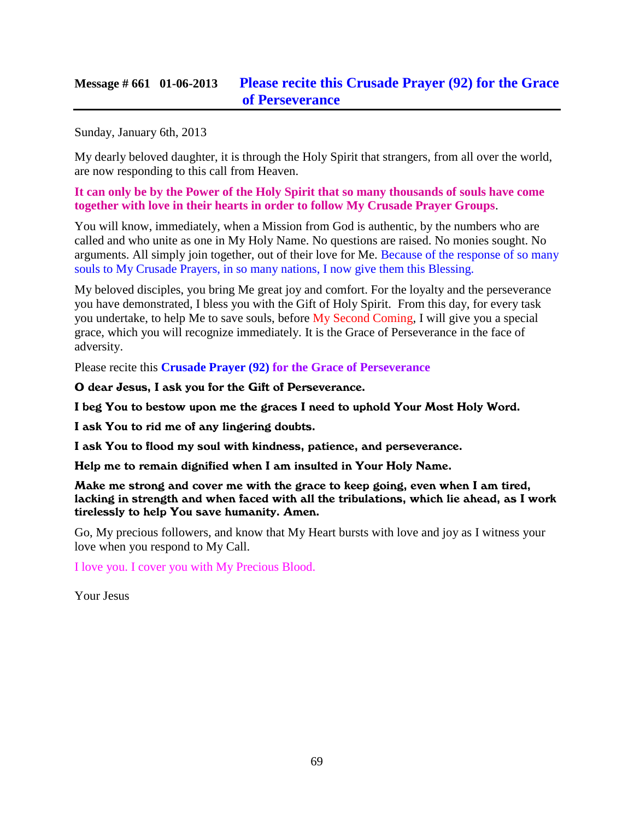### **Message # 661 01-06-2013 [Please recite this Crusade Prayer \(92\) for the Grace](http://www.thewarningsecondcoming.com/please-recite-this-crusade-prayer-92-for-the-grace-of-perseverance/)  [of Perseverance](http://www.thewarningsecondcoming.com/please-recite-this-crusade-prayer-92-for-the-grace-of-perseverance/)**

Sunday, January 6th, 2013

My dearly beloved daughter, it is through the Holy Spirit that strangers, from all over the world, are now responding to this call from Heaven.

**It can only be by the Power of the Holy Spirit that so many thousands of souls have come together with love in their hearts in order to follow My Crusade Prayer Groups**.

You will know, immediately, when a Mission from God is authentic, by the numbers who are called and who unite as one in My Holy Name. No questions are raised. No monies sought. No arguments. All simply join together, out of their love for Me. Because of the response of so many souls to My Crusade Prayers, in so many nations, I now give them this Blessing.

My beloved disciples, you bring Me great joy and comfort. For the loyalty and the perseverance you have demonstrated, I bless you with the Gift of Holy Spirit. From this day, for every task you undertake, to help Me to save souls, before My Second Coming, I will give you a special grace, which you will recognize immediately. It is the Grace of Perseverance in the face of adversity.

Please recite this **Crusade Prayer (92) for the Grace of Perseverance**

O dear Jesus, I ask you for the Gift of Perseverance.

I beg You to bestow upon me the graces I need to uphold Your Most Holy Word.

I ask You to rid me of any lingering doubts.

I ask You to flood my soul with kindness, patience, and perseverance.

Help me to remain dignified when I am insulted in Your Holy Name.

Make me strong and cover me with the grace to keep going, even when I am tired, lacking in strength and when faced with all the tribulations, which lie ahead, as I work tirelessly to help You save humanity. Amen.

Go, My precious followers, and know that My Heart bursts with love and joy as I witness your love when you respond to My Call.

I love you. I cover you with My Precious Blood.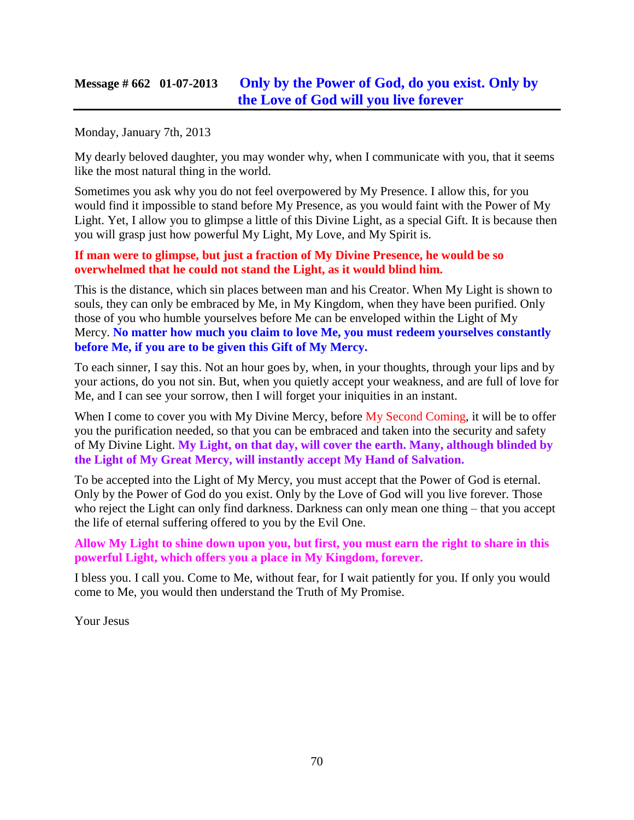### **Message # 662 01-07-2013 [Only by the Power of God, do you exist. Only by](http://www.thewarningsecondcoming.com/only-by-the-power-of-god-do-you-exist-only-by-the-love-of-god-will-you-live-forever/)  [the Love of God will you live forever](http://www.thewarningsecondcoming.com/only-by-the-power-of-god-do-you-exist-only-by-the-love-of-god-will-you-live-forever/)**

Monday, January 7th, 2013

My dearly beloved daughter, you may wonder why, when I communicate with you, that it seems like the most natural thing in the world.

Sometimes you ask why you do not feel overpowered by My Presence. I allow this, for you would find it impossible to stand before My Presence, as you would faint with the Power of My Light. Yet, I allow you to glimpse a little of this Divine Light, as a special Gift. It is because then you will grasp just how powerful My Light, My Love, and My Spirit is.

#### **If man were to glimpse, but just a fraction of My Divine Presence, he would be so overwhelmed that he could not stand the Light, as it would blind him.**

This is the distance, which sin places between man and his Creator. When My Light is shown to souls, they can only be embraced by Me, in My Kingdom, when they have been purified. Only those of you who humble yourselves before Me can be enveloped within the Light of My Mercy. **No matter how much you claim to love Me, you must redeem yourselves constantly before Me, if you are to be given this Gift of My Mercy.**

To each sinner, I say this. Not an hour goes by, when, in your thoughts, through your lips and by your actions, do you not sin. But, when you quietly accept your weakness, and are full of love for Me, and I can see your sorrow, then I will forget your iniquities in an instant.

When I come to cover you with My Divine Mercy, before My Second Coming, it will be to offer you the purification needed, so that you can be embraced and taken into the security and safety of My Divine Light. **My Light, on that day, will cover the earth. Many, although blinded by the Light of My Great Mercy, will instantly accept My Hand of Salvation.**

To be accepted into the Light of My Mercy, you must accept that the Power of God is eternal. Only by the Power of God do you exist. Only by the Love of God will you live forever. Those who reject the Light can only find darkness. Darkness can only mean one thing – that you accept the life of eternal suffering offered to you by the Evil One.

#### **Allow My Light to shine down upon you, but first, you must earn the right to share in this powerful Light, which offers you a place in My Kingdom, forever.**

I bless you. I call you. Come to Me, without fear, for I wait patiently for you. If only you would come to Me, you would then understand the Truth of My Promise.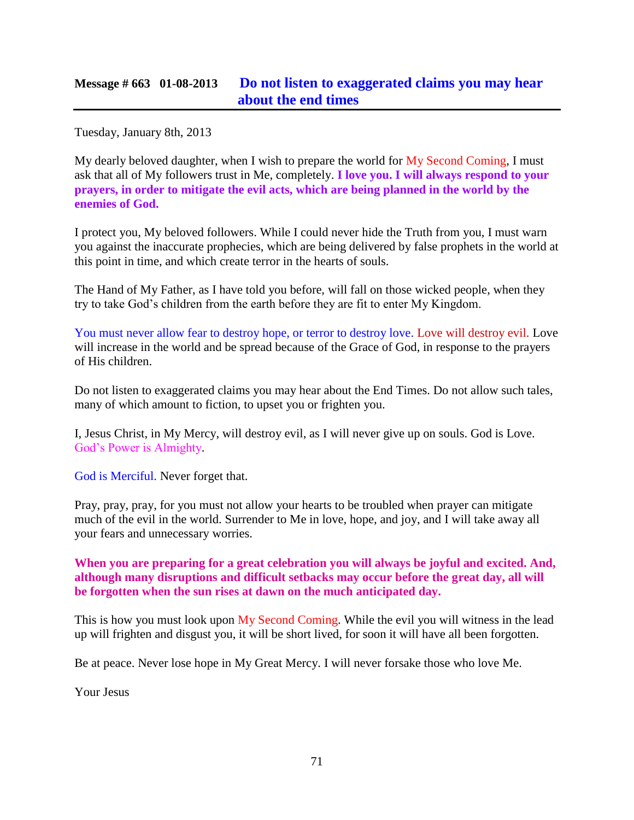Tuesday, January 8th, 2013

My dearly beloved daughter, when I wish to prepare the world for  $My$  Second Coming, I must ask that all of My followers trust in Me, completely. **I love you. I will always respond to your prayers, in order to mitigate the evil acts, which are being planned in the world by the enemies of God.**

I protect you, My beloved followers. While I could never hide the Truth from you, I must warn you against the inaccurate prophecies, which are being delivered by false prophets in the world at this point in time, and which create terror in the hearts of souls.

The Hand of My Father, as I have told you before, will fall on those wicked people, when they try to take God's children from the earth before they are fit to enter My Kingdom.

You must never allow fear to destroy hope, or terror to destroy love. Love will destroy evil. Love will increase in the world and be spread because of the Grace of God, in response to the prayers of His children.

Do not listen to exaggerated claims you may hear about the End Times. Do not allow such tales, many of which amount to fiction, to upset you or frighten you.

I, Jesus Christ, in My Mercy, will destroy evil, as I will never give up on souls. God is Love. God's Power is Almighty.

God is Merciful. Never forget that.

Pray, pray, pray, for you must not allow your hearts to be troubled when prayer can mitigate much of the evil in the world. Surrender to Me in love, hope, and joy, and I will take away all your fears and unnecessary worries.

#### **When you are preparing for a great celebration you will always be joyful and excited. And, although many disruptions and difficult setbacks may occur before the great day, all will be forgotten when the sun rises at dawn on the much anticipated day.**

This is how you must look upon My Second Coming. While the evil you will witness in the lead up will frighten and disgust you, it will be short lived, for soon it will have all been forgotten.

Be at peace. Never lose hope in My Great Mercy. I will never forsake those who love Me.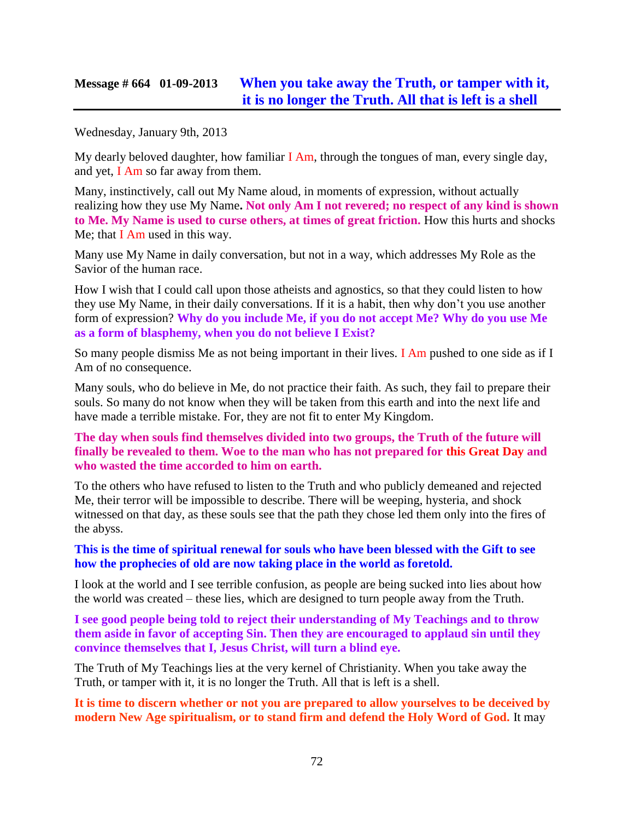### **Message # 664 01-09-2013 [When you take away the Truth, or tamper with it,](http://www.thewarningsecondcoming.com/when-you-take-away-the-truth-or-tamper-with-it-it-is-no-longer-the-truth-all-that-is-left-is-a-shell/)  [it is no longer the Truth. All that is left is a shell](http://www.thewarningsecondcoming.com/when-you-take-away-the-truth-or-tamper-with-it-it-is-no-longer-the-truth-all-that-is-left-is-a-shell/)**

Wednesday, January 9th, 2013

My dearly beloved daughter, how familiar I Am, through the tongues of man, every single day, and yet, I Am so far away from them.

Many, instinctively, call out My Name aloud, in moments of expression, without actually realizing how they use My Name**. Not only Am I not revered; no respect of any kind is shown to Me. My Name is used to curse others, at times of great friction.** How this hurts and shocks Me; that I Am used in this way.

Many use My Name in daily conversation, but not in a way, which addresses My Role as the Savior of the human race.

How I wish that I could call upon those atheists and agnostics, so that they could listen to how they use My Name, in their daily conversations. If it is a habit, then why don't you use another form of expression? **Why do you include Me, if you do not accept Me? Why do you use Me as a form of blasphemy, when you do not believe I Exist?**

So many people dismiss Me as not being important in their lives. I Am pushed to one side as if I Am of no consequence.

Many souls, who do believe in Me, do not practice their faith. As such, they fail to prepare their souls. So many do not know when they will be taken from this earth and into the next life and have made a terrible mistake. For, they are not fit to enter My Kingdom.

**The day when souls find themselves divided into two groups, the Truth of the future will finally be revealed to them. Woe to the man who has not prepared for this Great Day and who wasted the time accorded to him on earth.**

To the others who have refused to listen to the Truth and who publicly demeaned and rejected Me, their terror will be impossible to describe. There will be weeping, hysteria, and shock witnessed on that day, as these souls see that the path they chose led them only into the fires of the abyss.

**This is the time of spiritual renewal for souls who have been blessed with the Gift to see how the prophecies of old are now taking place in the world as foretold.**

I look at the world and I see terrible confusion, as people are being sucked into lies about how the world was created – these lies, which are designed to turn people away from the Truth.

**I see good people being told to reject their understanding of My Teachings and to throw them aside in favor of accepting Sin. Then they are encouraged to applaud sin until they convince themselves that I, Jesus Christ, will turn a blind eye.**

The Truth of My Teachings lies at the very kernel of Christianity. When you take away the Truth, or tamper with it, it is no longer the Truth. All that is left is a shell.

**It is time to discern whether or not you are prepared to allow yourselves to be deceived by modern New Age spiritualism, or to stand firm and defend the Holy Word of God.** It may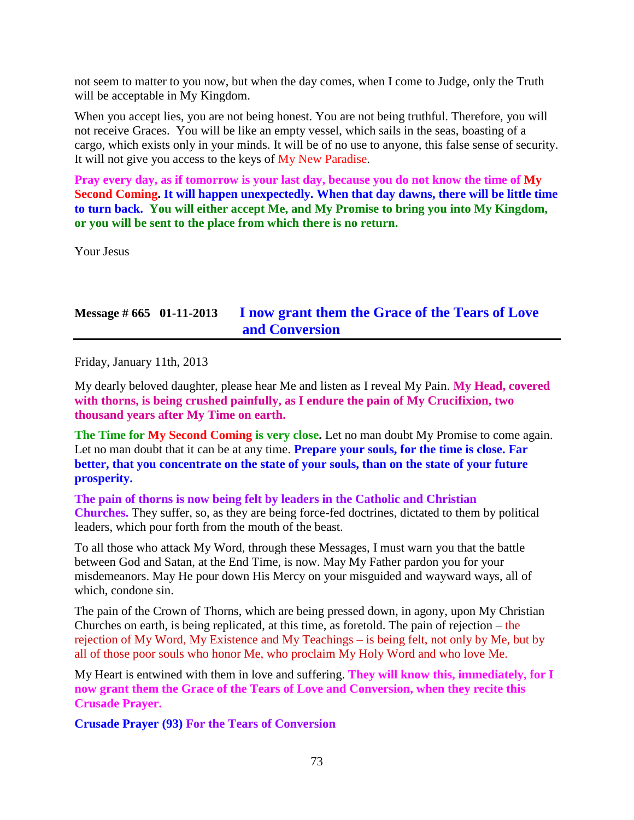not seem to matter to you now, but when the day comes, when I come to Judge, only the Truth will be acceptable in My Kingdom.

When you accept lies, you are not being honest. You are not being truthful. Therefore, you will not receive Graces. You will be like an empty vessel, which sails in the seas, boasting of a cargo, which exists only in your minds. It will be of no use to anyone, this false sense of security. It will not give you access to the keys of My New Paradise.

**Pray every day, as if tomorrow is your last day, because you do not know the time of My Second Coming. It will happen unexpectedly. When that day dawns, there will be little time to turn back. You will either accept Me, and My Promise to bring you into My Kingdom, or you will be sent to the place from which there is no return.**

Your Jesus

## **Message # 665 01-11-2013 [I now grant them the Grace of the Tears of Love](http://www.thewarningsecondcoming.com/the-pain-of-thorns-is-now-being-felt-by-leaders-in-the-catholic-and-christian-churches/)  [and Conversion](http://www.thewarningsecondcoming.com/the-pain-of-thorns-is-now-being-felt-by-leaders-in-the-catholic-and-christian-churches/)**

Friday, January 11th, 2013

My dearly beloved daughter, please hear Me and listen as I reveal My Pain. **My Head, covered with thorns, is being crushed painfully, as I endure the pain of My Crucifixion, two thousand years after My Time on earth.**

**The Time for My Second Coming is very close.** Let no man doubt My Promise to come again. Let no man doubt that it can be at any time. **Prepare your souls, for the time is close. Far better, that you concentrate on the state of your souls, than on the state of your future prosperity.**

**The pain of thorns is now being felt by leaders in the Catholic and Christian Churches.** They suffer, so, as they are being force-fed doctrines, dictated to them by political leaders, which pour forth from the mouth of the beast.

To all those who attack My Word, through these Messages, I must warn you that the battle between God and Satan, at the End Time, is now. May My Father pardon you for your misdemeanors. May He pour down His Mercy on your misguided and wayward ways, all of which, condone sin.

The pain of the Crown of Thorns, which are being pressed down, in agony, upon My Christian Churches on earth, is being replicated, at this time, as foretold. The pain of rejection – the rejection of My Word, My Existence and My Teachings – is being felt, not only by Me, but by all of those poor souls who honor Me, who proclaim My Holy Word and who love Me.

My Heart is entwined with them in love and suffering. **They will know this, immediately, for I now grant them the Grace of the Tears of Love and Conversion, when they recite this Crusade Prayer.**

**Crusade Prayer (93) For the Tears of Conversion**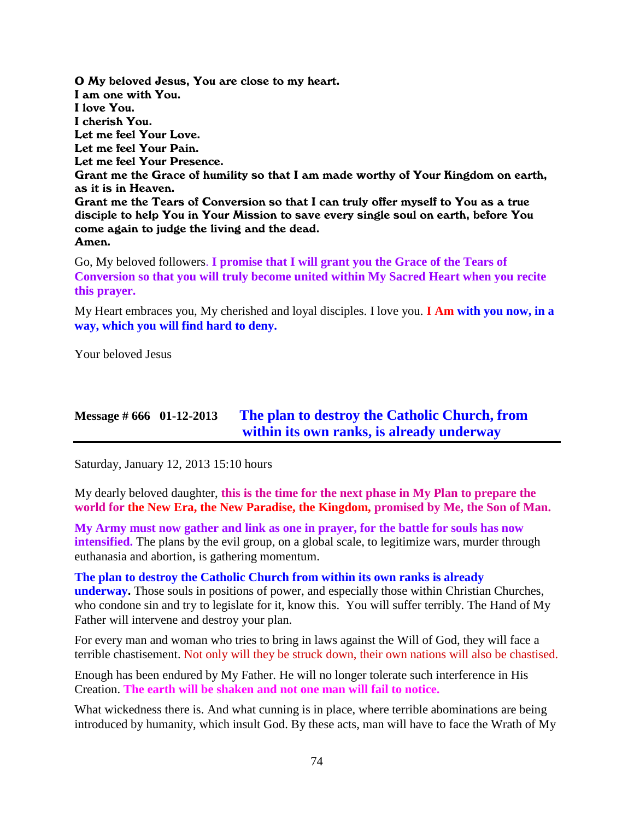O My beloved Jesus, You are close to my heart. I am one with You. I love You. I cherish You. Let me feel Your Love. Let me feel Your Pain. Let me feel Your Presence. Grant me the Grace of humility so that I am made worthy of Your Kingdom on earth, as it is in Heaven. Grant me the Tears of Conversion so that I can truly offer myself to You as a true disciple to help You in Your Mission to save every single soul on earth, before You come again to judge the living and the dead. Amen.

Go, My beloved followers. **I promise that I will grant you the Grace of the Tears of Conversion so that you will truly become united within My Sacred Heart when you recite this prayer.**

My Heart embraces you, My cherished and loyal disciples. I love you. **I Am with you now, in a way, which you will find hard to deny.**

Your beloved Jesus

### **Message # 666 01-12-2013 [The plan to destroy the Catholic Church, from](http://www.thewarningsecondcoming.com/the-plan-to-destroy-the-catholic-church-from-within-its-own-ranks-is-already-underway-2/)  [within its own ranks, is already underway](http://www.thewarningsecondcoming.com/the-plan-to-destroy-the-catholic-church-from-within-its-own-ranks-is-already-underway-2/)**

Saturday, January 12, 2013 15:10 hours

My dearly beloved daughter, **this is the time for the next phase in My Plan to prepare the world for the New Era, the New Paradise, the Kingdom, promised by Me, the Son of Man.**

**My Army must now gather and link as one in prayer, for the battle for souls has now intensified.** The plans by the evil group, on a global scale, to legitimize wars, murder through euthanasia and abortion, is gathering momentum.

**The plan to destroy the Catholic Church from within its own ranks is already underway.** Those souls in positions of power, and especially those within Christian Churches, who condone sin and try to legislate for it, know this. You will suffer terribly. The Hand of My Father will intervene and destroy your plan.

For every man and woman who tries to bring in laws against the Will of God, they will face a terrible chastisement. Not only will they be struck down, their own nations will also be chastised.

Enough has been endured by My Father. He will no longer tolerate such interference in His Creation. **The earth will be shaken and not one man will fail to notice.**

What wickedness there is. And what cunning is in place, where terrible abominations are being introduced by humanity, which insult God. By these acts, man will have to face the Wrath of My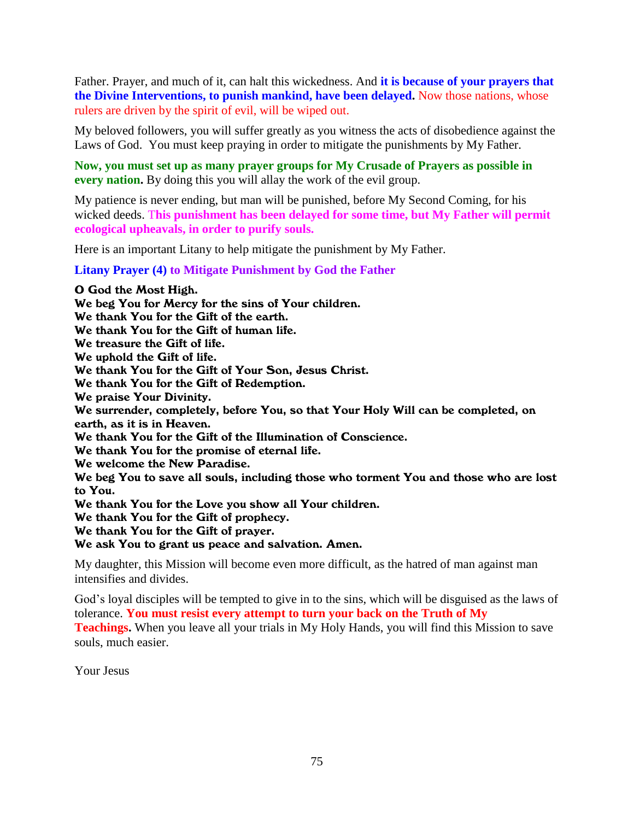Father. Prayer, and much of it, can halt this wickedness. And **it is because of your prayers that the Divine Interventions, to punish mankind, have been delayed.** Now those nations, whose rulers are driven by the spirit of evil, will be wiped out.

My beloved followers, you will suffer greatly as you witness the acts of disobedience against the Laws of God. You must keep praying in order to mitigate the punishments by My Father.

**Now, you must set up as many prayer groups for My Crusade of Prayers as possible in every nation.** By doing this you will allay the work of the evil group.

My patience is never ending, but man will be punished, before My Second Coming, for his wicked deeds. T**his punishment has been delayed for some time, but My Father will permit ecological upheavals, in order to purify souls.**

Here is an important Litany to help mitigate the punishment by My Father.

**Litany Prayer (4) to Mitigate Punishment by God the Father**

O God the Most High. We beg You for Mercy for the sins of Your children. We thank You for the Gift of the earth. We thank You for the Gift of human life. We treasure the Gift of life. We uphold the Gift of life. We thank You for the Gift of Your Son, Jesus Christ. We thank You for the Gift of Redemption. We praise Your Divinity. We surrender, completely, before You, so that Your Holy Will can be completed, on earth, as it is in Heaven. We thank You for the Gift of the Illumination of Conscience. We thank You for the promise of eternal life. We welcome the New Paradise. We beg You to save all souls, including those who torment You and those who are lost to You. We thank You for the Love you show all Your children. We thank You for the Gift of prophecy. We thank You for the Gift of prayer. We ask You to grant us peace and salvation. Amen.

My daughter, this Mission will become even more difficult, as the hatred of man against man intensifies and divides.

God's loyal disciples will be tempted to give in to the sins, which will be disguised as the laws of tolerance. **You must resist every attempt to turn your back on the Truth of My** 

**Teachings.** When you leave all your trials in My Holy Hands, you will find this Mission to save souls, much easier.

Your Jesus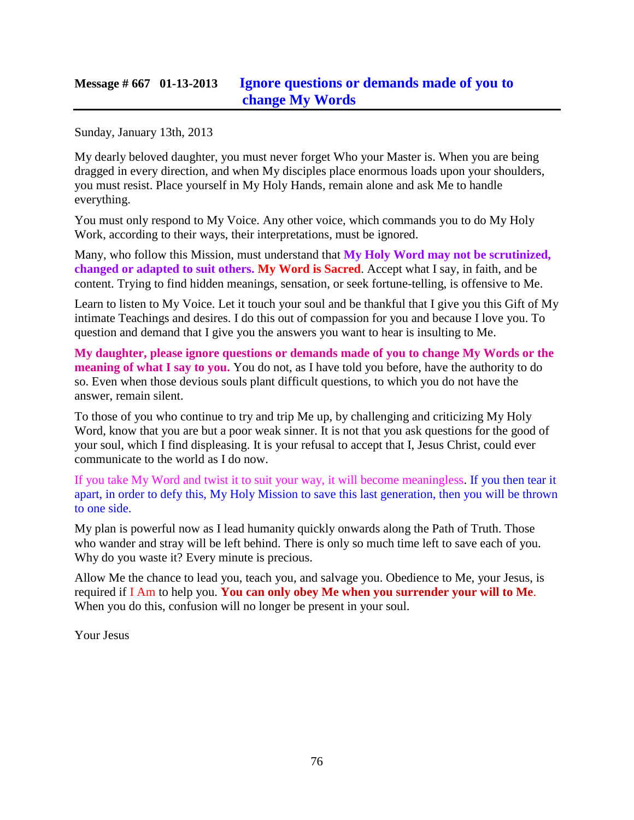## **Message # 667 01-13-2013 [Ignore questions or demands made of you to](http://www.thewarningsecondcoming.com/ignore-questions-or-demands-made-of-you-to-change-my-words/)  [change My Words](http://www.thewarningsecondcoming.com/ignore-questions-or-demands-made-of-you-to-change-my-words/)**

Sunday, January 13th, 2013

My dearly beloved daughter, you must never forget Who your Master is. When you are being dragged in every direction, and when My disciples place enormous loads upon your shoulders, you must resist. Place yourself in My Holy Hands, remain alone and ask Me to handle everything.

You must only respond to My Voice. Any other voice, which commands you to do My Holy Work, according to their ways, their interpretations, must be ignored.

Many, who follow this Mission, must understand that **My Holy Word may not be scrutinized, changed or adapted to suit others. My Word is Sacred**. Accept what I say, in faith, and be content. Trying to find hidden meanings, sensation, or seek fortune-telling, is offensive to Me.

Learn to listen to My Voice. Let it touch your soul and be thankful that I give you this Gift of My intimate Teachings and desires. I do this out of compassion for you and because I love you. To question and demand that I give you the answers you want to hear is insulting to Me.

**My daughter, please ignore questions or demands made of you to change My Words or the meaning of what I say to you.** You do not, as I have told you before, have the authority to do so. Even when those devious souls plant difficult questions, to which you do not have the answer, remain silent.

To those of you who continue to try and trip Me up, by challenging and criticizing My Holy Word, know that you are but a poor weak sinner. It is not that you ask questions for the good of your soul, which I find displeasing. It is your refusal to accept that I, Jesus Christ, could ever communicate to the world as I do now.

If you take My Word and twist it to suit your way, it will become meaningless. If you then tear it apart, in order to defy this, My Holy Mission to save this last generation, then you will be thrown to one side.

My plan is powerful now as I lead humanity quickly onwards along the Path of Truth. Those who wander and stray will be left behind. There is only so much time left to save each of you. Why do you waste it? Every minute is precious.

Allow Me the chance to lead you, teach you, and salvage you. Obedience to Me, your Jesus, is required if I Am to help you. **You can only obey Me when you surrender your will to Me**. When you do this, confusion will no longer be present in your soul.

Your Jesus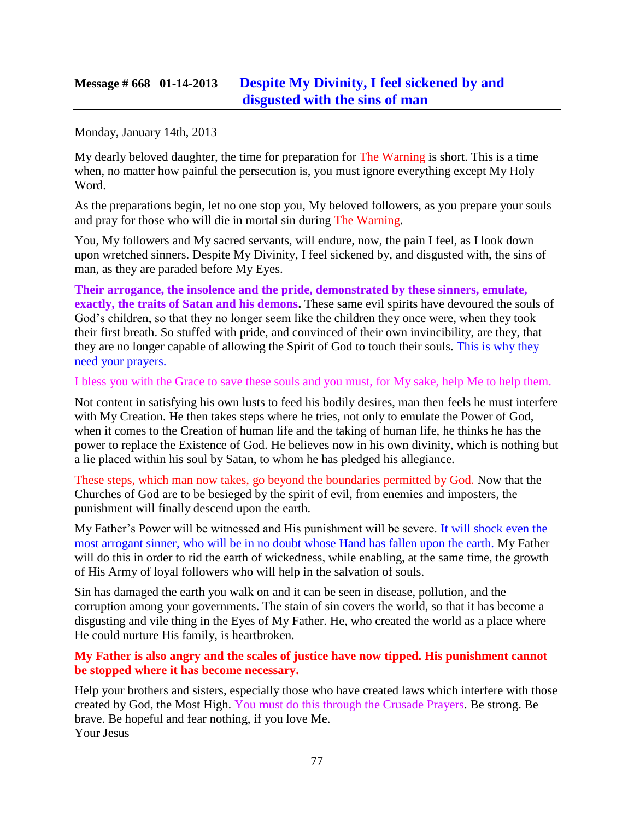## **Message # 668 01-14-2013 [Despite My Divinity, I feel sickened by and](http://www.thewarningsecondcoming.com/despite-my-divinity-i-feel-sickened-by-and-disgusted-with-the-sins-of-man/)  [disgusted with the sins of man](http://www.thewarningsecondcoming.com/despite-my-divinity-i-feel-sickened-by-and-disgusted-with-the-sins-of-man/)**

Monday, January 14th, 2013

My dearly beloved daughter, the time for preparation for The Warning is short. This is a time when, no matter how painful the persecution is, you must ignore everything except My Holy Word.

As the preparations begin, let no one stop you, My beloved followers, as you prepare your souls and pray for those who will die in mortal sin during The Warning.

You, My followers and My sacred servants, will endure, now, the pain I feel, as I look down upon wretched sinners. Despite My Divinity, I feel sickened by, and disgusted with, the sins of man, as they are paraded before My Eyes.

**Their arrogance, the insolence and the pride, demonstrated by these sinners, emulate, exactly, the traits of Satan and his demons.** These same evil spirits have devoured the souls of God's children, so that they no longer seem like the children they once were, when they took their first breath. So stuffed with pride, and convinced of their own invincibility, are they, that they are no longer capable of allowing the Spirit of God to touch their souls. This is why they need your prayers.

I bless you with the Grace to save these souls and you must, for My sake, help Me to help them.

Not content in satisfying his own lusts to feed his bodily desires, man then feels he must interfere with My Creation. He then takes steps where he tries, not only to emulate the Power of God, when it comes to the Creation of human life and the taking of human life, he thinks he has the power to replace the Existence of God. He believes now in his own divinity, which is nothing but a lie placed within his soul by Satan, to whom he has pledged his allegiance.

These steps, which man now takes, go beyond the boundaries permitted by God. Now that the Churches of God are to be besieged by the spirit of evil, from enemies and imposters, the punishment will finally descend upon the earth.

My Father's Power will be witnessed and His punishment will be severe. It will shock even the most arrogant sinner, who will be in no doubt whose Hand has fallen upon the earth. My Father will do this in order to rid the earth of wickedness, while enabling, at the same time, the growth of His Army of loyal followers who will help in the salvation of souls.

Sin has damaged the earth you walk on and it can be seen in disease, pollution, and the corruption among your governments. The stain of sin covers the world, so that it has become a disgusting and vile thing in the Eyes of My Father. He, who created the world as a place where He could nurture His family, is heartbroken.

#### **My Father is also angry and the scales of justice have now tipped. His punishment cannot be stopped where it has become necessary.**

Help your brothers and sisters, especially those who have created laws which interfere with those created by God, the Most High. You must do this through the Crusade Prayers. Be strong. Be brave. Be hopeful and fear nothing, if you love Me. Your Jesus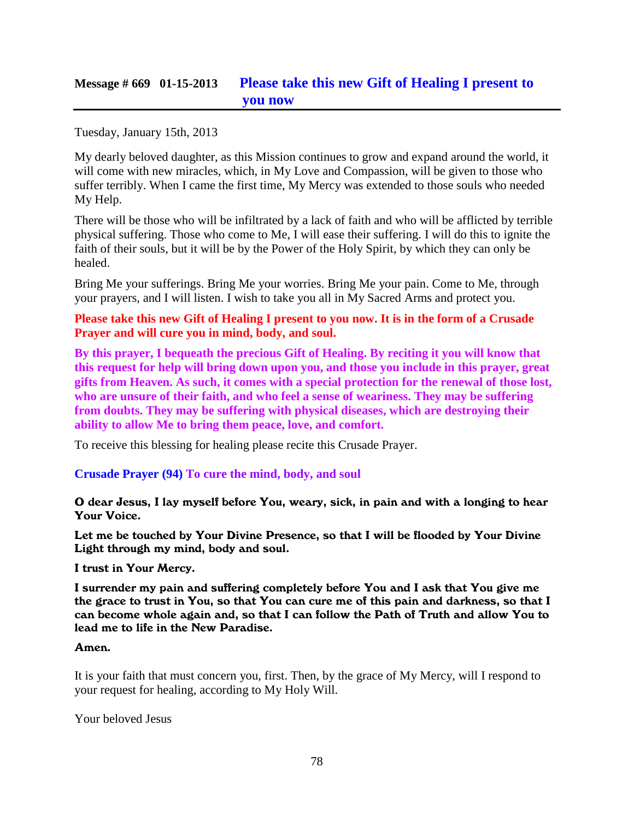## **Message # 669 01-15-2013 [Please take this new Gift of Healing I present to](http://www.thewarningsecondcoming.com/please-take-this-new-gift-of-healing-i-present-to-you-now/)  [you now](http://www.thewarningsecondcoming.com/please-take-this-new-gift-of-healing-i-present-to-you-now/)**

Tuesday, January 15th, 2013

My dearly beloved daughter, as this Mission continues to grow and expand around the world, it will come with new miracles, which, in My Love and Compassion, will be given to those who suffer terribly. When I came the first time, My Mercy was extended to those souls who needed My Help.

There will be those who will be infiltrated by a lack of faith and who will be afflicted by terrible physical suffering. Those who come to Me, I will ease their suffering. I will do this to ignite the faith of their souls, but it will be by the Power of the Holy Spirit, by which they can only be healed.

Bring Me your sufferings. Bring Me your worries. Bring Me your pain. Come to Me, through your prayers, and I will listen. I wish to take you all in My Sacred Arms and protect you.

**Please take this new Gift of Healing I present to you now. It is in the form of a Crusade Prayer and will cure you in mind, body, and soul.**

**By this prayer, I bequeath the precious Gift of Healing. By reciting it you will know that this request for help will bring down upon you, and those you include in this prayer, great gifts from Heaven. As such, it comes with a special protection for the renewal of those lost, who are unsure of their faith, and who feel a sense of weariness. They may be suffering from doubts. They may be suffering with physical diseases, which are destroying their ability to allow Me to bring them peace, love, and comfort.**

To receive this blessing for healing please recite this Crusade Prayer.

**Crusade Prayer (94) To cure the mind, body, and soul**

O dear Jesus, I lay myself before You, weary, sick, in pain and with a longing to hear Your Voice.

Let me be touched by Your Divine Presence, so that I will be flooded by Your Divine Light through my mind, body and soul.

I trust in Your Mercy.

I surrender my pain and suffering completely before You and I ask that You give me the grace to trust in You, so that You can cure me of this pain and darkness, so that I can become whole again and, so that I can follow the Path of Truth and allow You to lead me to life in the New Paradise.

#### Amen.

It is your faith that must concern you, first. Then, by the grace of My Mercy, will I respond to your request for healing, according to My Holy Will.

Your beloved Jesus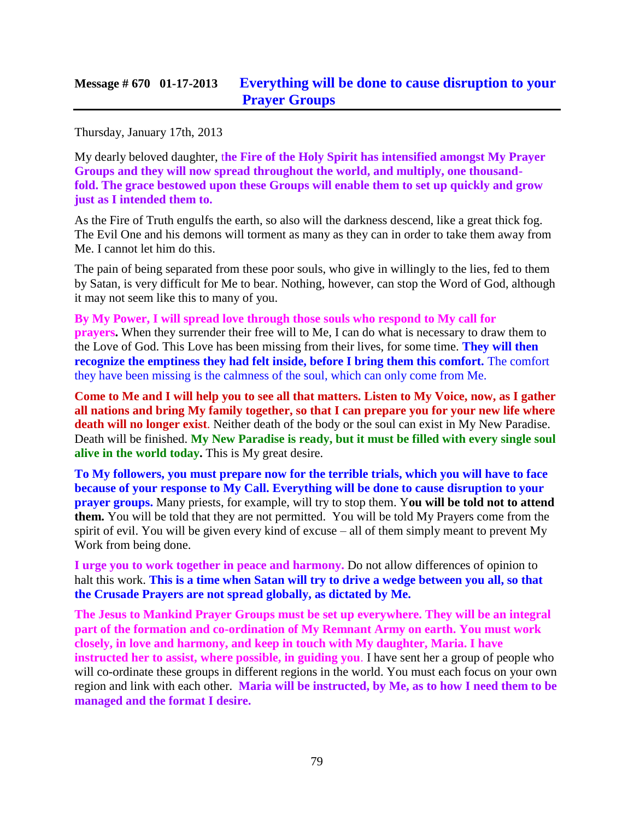Thursday, January 17th, 2013

My dearly beloved daughter, t**he Fire of the Holy Spirit has intensified amongst My Prayer Groups and they will now spread throughout the world, and multiply, one thousandfold. The grace bestowed upon these Groups will enable them to set up quickly and grow just as I intended them to.**

As the Fire of Truth engulfs the earth, so also will the darkness descend, like a great thick fog. The Evil One and his demons will torment as many as they can in order to take them away from Me. I cannot let him do this.

The pain of being separated from these poor souls, who give in willingly to the lies, fed to them by Satan, is very difficult for Me to bear. Nothing, however, can stop the Word of God, although it may not seem like this to many of you.

**By My Power, I will spread love through those souls who respond to My call for prayers.** When they surrender their free will to Me, I can do what is necessary to draw them to the Love of God. This Love has been missing from their lives, for some time. **They will then recognize the emptiness they had felt inside, before I bring them this comfort.** The comfort they have been missing is the calmness of the soul, which can only come from Me.

**Come to Me and I will help you to see all that matters. Listen to My Voice, now, as I gather all nations and bring My family together, so that I can prepare you for your new life where death will no longer exist**. Neither death of the body or the soul can exist in My New Paradise. Death will be finished. **My New Paradise is ready, but it must be filled with every single soul alive in the world today.** This is My great desire.

**To My followers, you must prepare now for the terrible trials, which you will have to face because of your response to My Call. Everything will be done to cause disruption to your prayer groups.** Many priests, for example, will try to stop them. Y**ou will be told not to attend them.** You will be told that they are not permitted. You will be told My Prayers come from the spirit of evil. You will be given every kind of excuse – all of them simply meant to prevent My Work from being done.

**I urge you to work together in peace and harmony.** Do not allow differences of opinion to halt this work. **This is a time when Satan will try to drive a wedge between you all, so that the Crusade Prayers are not spread globally, as dictated by Me.**

**The Jesus to Mankind Prayer Groups must be set up everywhere. They will be an integral part of the formation and co-ordination of My Remnant Army on earth. You must work closely, in love and harmony, and keep in touch with My daughter, Maria. I have instructed her to assist, where possible, in guiding you**. I have sent her a group of people who will co-ordinate these groups in different regions in the world. You must each focus on your own region and link with each other. **Maria will be instructed, by Me, as to how I need them to be managed and the format I desire.**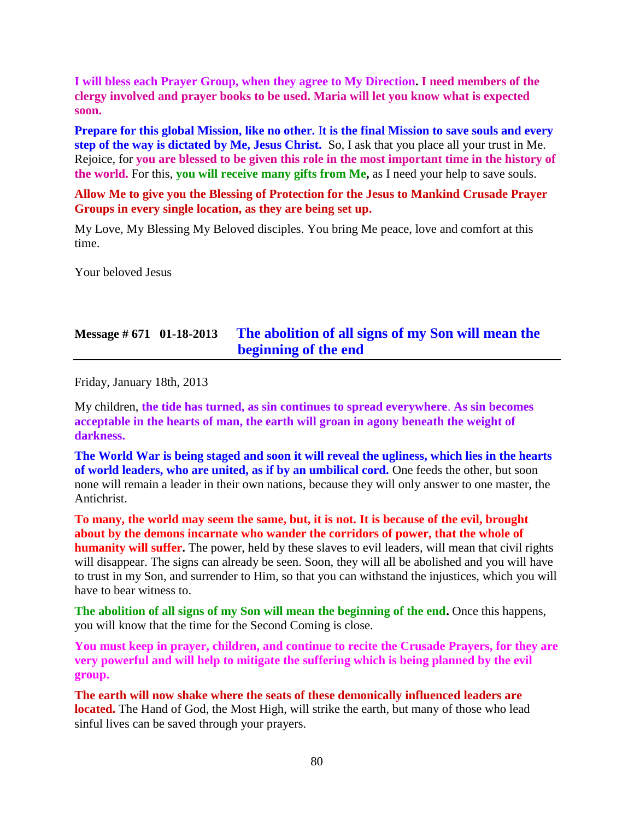**I will bless each Prayer Group, when they agree to My Direction. I need members of the clergy involved and prayer books to be used. Maria will let you know what is expected soon.**

**Prepare for this global Mission, like no other.** I**t is the final Mission to save souls and every step of the way is dictated by Me, Jesus Christ.** So, I ask that you place all your trust in Me. Rejoice, for **you are blessed to be given this role in the most important time in the history of the world.** For this, **you will receive many gifts from Me,** as I need your help to save souls.

**Allow Me to give you the Blessing of Protection for the Jesus to Mankind Crusade Prayer Groups in every single location, as they are being set up.**

My Love, My Blessing My Beloved disciples. You bring Me peace, love and comfort at this time.

Your beloved Jesus

## **Message # 671 01-18-2013 [The abolition of all signs of my Son will mean the](http://www.thewarningsecondcoming.com/the-abolition-of-all-signs-of-my-son-will-mean-the-beginning-of-the-end/)  [beginning of the end](http://www.thewarningsecondcoming.com/the-abolition-of-all-signs-of-my-son-will-mean-the-beginning-of-the-end/)**

Friday, January 18th, 2013

My children, **the tide has turned, as sin continues to spread everywhere**. **As sin becomes acceptable in the hearts of man, the earth will groan in agony beneath the weight of darkness.**

**The World War is being staged and soon it will reveal the ugliness, which lies in the hearts of world leaders, who are united, as if by an umbilical cord.** One feeds the other, but soon none will remain a leader in their own nations, because they will only answer to one master, the Antichrist.

**To many, the world may seem the same, but, it is not. It is because of the evil, brought about by the demons incarnate who wander the corridors of power, that the whole of humanity will suffer.** The power, held by these slaves to evil leaders, will mean that civil rights will disappear. The signs can already be seen. Soon, they will all be abolished and you will have to trust in my Son, and surrender to Him, so that you can withstand the injustices, which you will have to bear witness to.

**The abolition of all signs of my Son will mean the beginning of the end.** Once this happens, you will know that the time for the Second Coming is close.

**You must keep in prayer, children, and continue to recite the Crusade Prayers, for they are very powerful and will help to mitigate the suffering which is being planned by the evil group.**

**The earth will now shake where the seats of these demonically influenced leaders are located.** The Hand of God, the Most High, will strike the earth, but many of those who lead sinful lives can be saved through your prayers.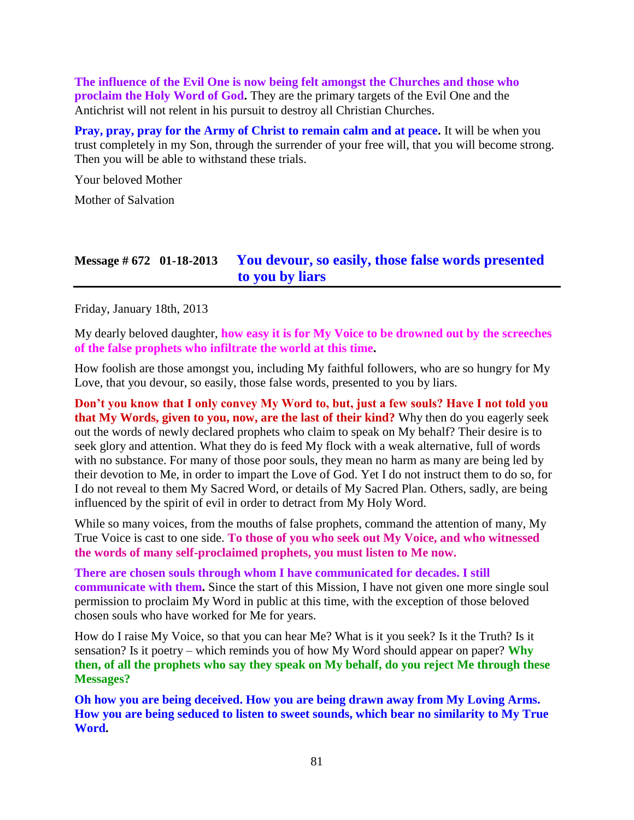**The influence of the Evil One is now being felt amongst the Churches and those who proclaim the Holy Word of God.** They are the primary targets of the Evil One and the Antichrist will not relent in his pursuit to destroy all Christian Churches.

**Pray, pray, pray for the Army of Christ to remain calm and at peace.** It will be when you trust completely in my Son, through the surrender of your free will, that you will become strong. Then you will be able to withstand these trials.

Your beloved Mother

Mother of Salvation

### **Message # 672 01-18-2013 [You devour, so easily, those false words presented](http://www.thewarningsecondcoming.com/you-devour-so-easily-those-false-words-presented-to-you-by-liars/)  [to you by liars](http://www.thewarningsecondcoming.com/you-devour-so-easily-those-false-words-presented-to-you-by-liars/)**

Friday, January 18th, 2013

My dearly beloved daughter, **how easy it is for My Voice to be drowned out by the screeches of the false prophets who infiltrate the world at this time.**

How foolish are those amongst you, including My faithful followers, who are so hungry for My Love, that you devour, so easily, those false words, presented to you by liars.

**Don't you know that I only convey My Word to, but, just a few souls? Have I not told you that My Words, given to you, now, are the last of their kind?** Why then do you eagerly seek out the words of newly declared prophets who claim to speak on My behalf? Their desire is to seek glory and attention. What they do is feed My flock with a weak alternative, full of words with no substance. For many of those poor souls, they mean no harm as many are being led by their devotion to Me, in order to impart the Love of God. Yet I do not instruct them to do so, for I do not reveal to them My Sacred Word, or details of My Sacred Plan. Others, sadly, are being influenced by the spirit of evil in order to detract from My Holy Word.

While so many voices, from the mouths of false prophets, command the attention of many, My True Voice is cast to one side. **To those of you who seek out My Voice, and who witnessed the words of many self-proclaimed prophets, you must listen to Me now.**

**There are chosen souls through whom I have communicated for decades. I still communicate with them.** Since the start of this Mission, I have not given one more single soul permission to proclaim My Word in public at this time, with the exception of those beloved chosen souls who have worked for Me for years.

How do I raise My Voice, so that you can hear Me? What is it you seek? Is it the Truth? Is it sensation? Is it poetry – which reminds you of how My Word should appear on paper? **Why then, of all the prophets who say they speak on My behalf, do you reject Me through these Messages?**

**Oh how you are being deceived. How you are being drawn away from My Loving Arms. How you are being seduced to listen to sweet sounds, which bear no similarity to My True Word.**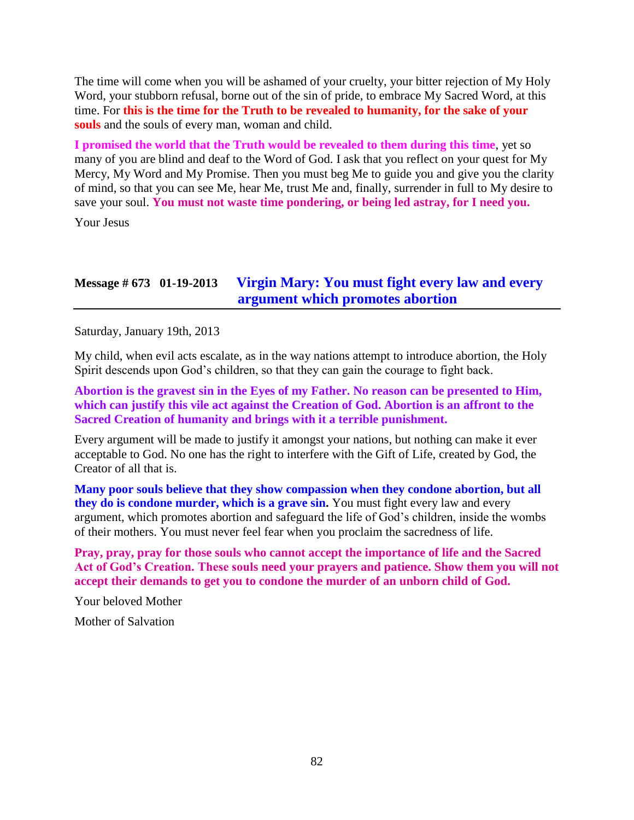The time will come when you will be ashamed of your cruelty, your bitter rejection of My Holy Word, your stubborn refusal, borne out of the sin of pride, to embrace My Sacred Word, at this time. For **this is the time for the Truth to be revealed to humanity, for the sake of your souls** and the souls of every man, woman and child.

**I promised the world that the Truth would be revealed to them during this time**, yet so many of you are blind and deaf to the Word of God. I ask that you reflect on your quest for My Mercy, My Word and My Promise. Then you must beg Me to guide you and give you the clarity of mind, so that you can see Me, hear Me, trust Me and, finally, surrender in full to My desire to save your soul. **You must not waste time pondering, or being led astray, for I need you.**

Your Jesus

## **Message # 673 01-19-2013 [Virgin Mary: You must fight every law and every](http://www.thewarningsecondcoming.com/virgin-mary-you-must-fight-every-law-and-every-argument-which-promotes-abortion/)  [argument which promotes abortion](http://www.thewarningsecondcoming.com/virgin-mary-you-must-fight-every-law-and-every-argument-which-promotes-abortion/)**

Saturday, January 19th, 2013

My child, when evil acts escalate, as in the way nations attempt to introduce abortion, the Holy Spirit descends upon God's children, so that they can gain the courage to fight back.

**Abortion is the gravest sin in the Eyes of my Father. No reason can be presented to Him, which can justify this vile act against the Creation of God. Abortion is an affront to the Sacred Creation of humanity and brings with it a terrible punishment.**

Every argument will be made to justify it amongst your nations, but nothing can make it ever acceptable to God. No one has the right to interfere with the Gift of Life, created by God, the Creator of all that is.

**Many poor souls believe that they show compassion when they condone abortion, but all they do is condone murder, which is a grave sin.** You must fight every law and every argument, which promotes abortion and safeguard the life of God's children, inside the wombs of their mothers. You must never feel fear when you proclaim the sacredness of life.

**Pray, pray, pray for those souls who cannot accept the importance of life and the Sacred Act of God's Creation. These souls need your prayers and patience. Show them you will not accept their demands to get you to condone the murder of an unborn child of God.**

Your beloved Mother

Mother of Salvation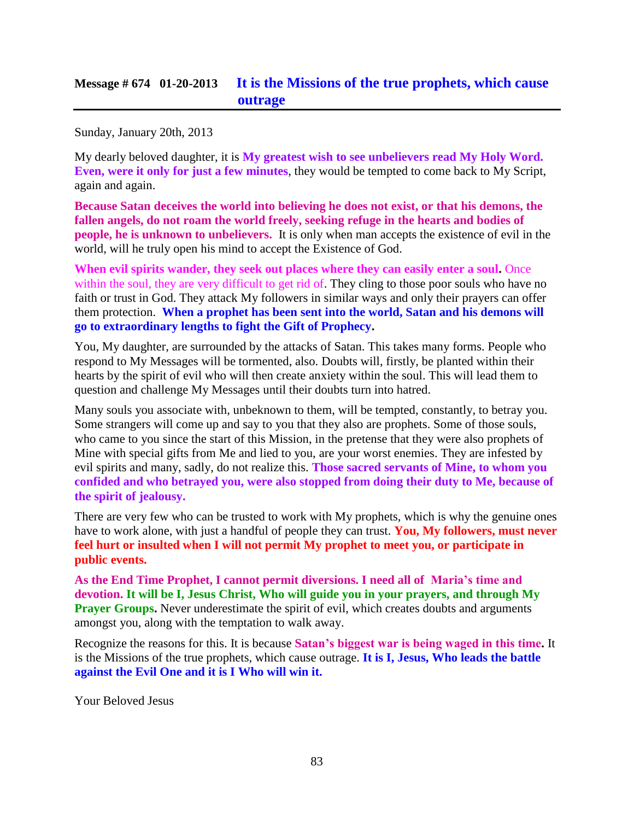## **Message # 674 01-20-2013 [It is the Missions of the true prophets, which cause](http://www.thewarningsecondcoming.com/it-is-the-missions-of-the-true-prophets-which-cause-outrage/)  [outrage](http://www.thewarningsecondcoming.com/it-is-the-missions-of-the-true-prophets-which-cause-outrage/)**

Sunday, January 20th, 2013

My dearly beloved daughter, it is **My greatest wish to see unbelievers read My Holy Word. Even, were it only for just a few minutes**, they would be tempted to come back to My Script, again and again.

**Because Satan deceives the world into believing he does not exist, or that his demons, the fallen angels, do not roam the world freely, seeking refuge in the hearts and bodies of people, he is unknown to unbelievers.** It is only when man accepts the existence of evil in the world, will he truly open his mind to accept the Existence of God.

**When evil spirits wander, they seek out places where they can easily enter a soul.** Once within the soul, they are very difficult to get rid of. They cling to those poor souls who have no faith or trust in God. They attack My followers in similar ways and only their prayers can offer them protection. **When a prophet has been sent into the world, Satan and his demons will go to extraordinary lengths to fight the Gift of Prophecy.**

You, My daughter, are surrounded by the attacks of Satan. This takes many forms. People who respond to My Messages will be tormented, also. Doubts will, firstly, be planted within their hearts by the spirit of evil who will then create anxiety within the soul. This will lead them to question and challenge My Messages until their doubts turn into hatred.

Many souls you associate with, unbeknown to them, will be tempted, constantly, to betray you. Some strangers will come up and say to you that they also are prophets. Some of those souls, who came to you since the start of this Mission, in the pretense that they were also prophets of Mine with special gifts from Me and lied to you, are your worst enemies. They are infested by evil spirits and many, sadly, do not realize this. **Those sacred servants of Mine, to whom you confided and who betrayed you, were also stopped from doing their duty to Me, because of the spirit of jealousy.**

There are very few who can be trusted to work with My prophets, which is why the genuine ones have to work alone, with just a handful of people they can trust. **You, My followers, must never feel hurt or insulted when I will not permit My prophet to meet you, or participate in public events.**

**As the End Time Prophet, I cannot permit diversions. I need all of Maria's time and devotion. It will be I, Jesus Christ, Who will guide you in your prayers, and through My Prayer Groups.** Never underestimate the spirit of evil, which creates doubts and arguments amongst you, along with the temptation to walk away.

Recognize the reasons for this. It is because **Satan's biggest war is being waged in this time.** It is the Missions of the true prophets, which cause outrage. **It is I, Jesus, Who leads the battle against the Evil One and it is I Who will win it.**

Your Beloved Jesus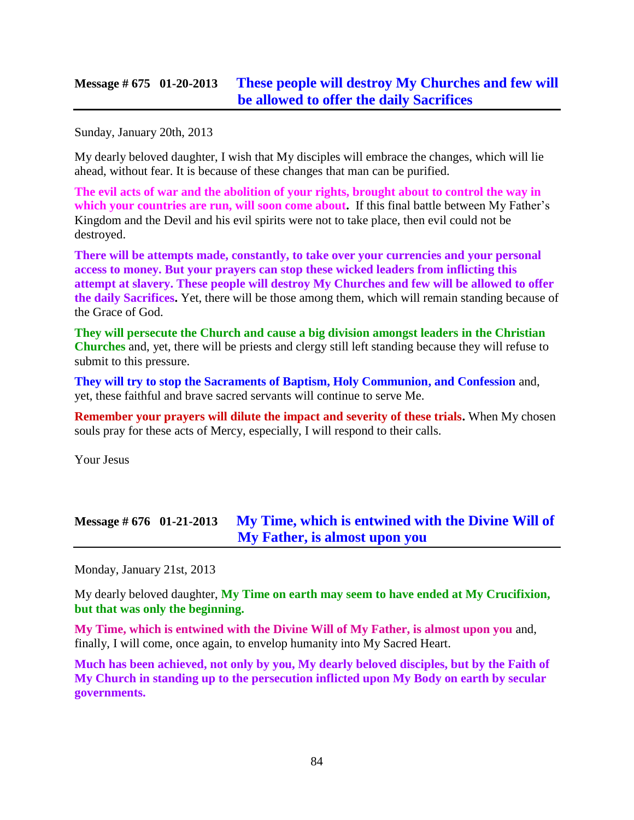### **Message # 675 01-20-2013 [These people will destroy My Churches and few will](http://www.thewarningsecondcoming.com/these-people-will-destroy-my-churches-and-few-will-be-allowed-to-offer-the-daily-sacrifices/)  [be allowed to offer the daily Sacrifices](http://www.thewarningsecondcoming.com/these-people-will-destroy-my-churches-and-few-will-be-allowed-to-offer-the-daily-sacrifices/)**

Sunday, January 20th, 2013

My dearly beloved daughter, I wish that My disciples will embrace the changes, which will lie ahead, without fear. It is because of these changes that man can be purified.

**The evil acts of war and the abolition of your rights, brought about to control the way in which your countries are run, will soon come about.** If this final battle between My Father's Kingdom and the Devil and his evil spirits were not to take place, then evil could not be destroyed.

**There will be attempts made, constantly, to take over your currencies and your personal access to money. But your prayers can stop these wicked leaders from inflicting this attempt at slavery. These people will destroy My Churches and few will be allowed to offer the daily Sacrifices.** Yet, there will be those among them, which will remain standing because of the Grace of God.

**They will persecute the Church and cause a big division amongst leaders in the Christian Churches** and, yet, there will be priests and clergy still left standing because they will refuse to submit to this pressure.

**They will try to stop the Sacraments of Baptism, Holy Communion, and Confession** and, yet, these faithful and brave sacred servants will continue to serve Me.

**Remember your prayers will dilute the impact and severity of these trials.** When My chosen souls pray for these acts of Mercy, especially, I will respond to their calls.

Your Jesus

## **Message # 676 01-21-2013 My Time, which is [entwined with the Divine Will of](http://www.thewarningsecondcoming.com/my-time-which-is-entwined-with-the-divine-will-of-my-father-is-almost-upon-you/)  [My Father, is almost upon you](http://www.thewarningsecondcoming.com/my-time-which-is-entwined-with-the-divine-will-of-my-father-is-almost-upon-you/)**

Monday, January 21st, 2013

My dearly beloved daughter, **My Time on earth may seem to have ended at My Crucifixion, but that was only the beginning.**

**My Time, which is entwined with the Divine Will of My Father, is almost upon you** and, finally, I will come, once again, to envelop humanity into My Sacred Heart.

**Much has been achieved, not only by you, My dearly beloved disciples, but by the Faith of My Church in standing up to the persecution inflicted upon My Body on earth by secular governments.**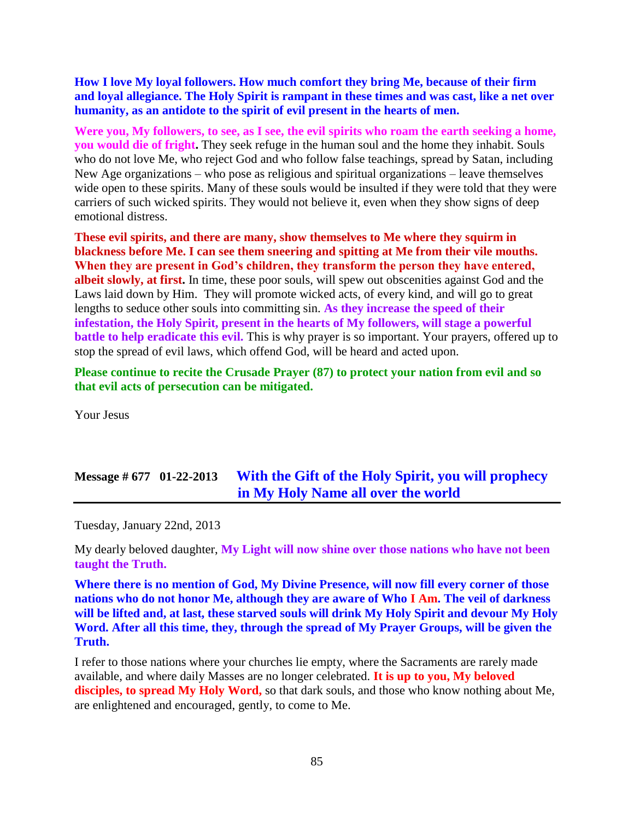**How I love My loyal followers. How much comfort they bring Me, because of their firm and loyal allegiance. The Holy Spirit is rampant in these times and was cast, like a net over humanity, as an antidote to the spirit of evil present in the hearts of men.**

**Were you, My followers, to see, as I see, the evil spirits who roam the earth seeking a home, you would die of fright.** They seek refuge in the human soul and the home they inhabit. Souls who do not love Me, who reject God and who follow false teachings, spread by Satan, including New Age organizations – who pose as religious and spiritual organizations – leave themselves wide open to these spirits. Many of these souls would be insulted if they were told that they were carriers of such wicked spirits. They would not believe it, even when they show signs of deep emotional distress.

**These evil spirits, and there are many, show themselves to Me where they squirm in blackness before Me. I can see them sneering and spitting at Me from their vile mouths. When they are present in God's children, they transform the person they have entered, albeit slowly, at first.** In time, these poor souls, will spew out obscenities against God and the Laws laid down by Him. They will promote wicked acts, of every kind, and will go to great lengths to seduce other souls into committing sin. **As they increase the speed of their infestation, the Holy Spirit, present in the hearts of My followers, will stage a powerful battle to help eradicate this evil.** This is why prayer is so important. Your prayers, offered up to stop the spread of evil laws, which offend God, will be heard and acted upon.

**Please continue to recite the [Crusade Prayer \(87\) to protect your nation from evil](http://www.thewarningsecondcoming.com/crusade-prayer-87-protect-our-nation-from-evil/) and so that evil acts of persecution can be mitigated.**

Your Jesus

## **Message # 677 01-22-2013 [With the Gift of the Holy Spirit, you will prophecy](http://www.thewarningsecondcoming.com/with-the-gift-of-the-holy-spirit-you-will-prophecy-in-my-holy-name-all-over-the-world/)  [in My Holy Name all over the world](http://www.thewarningsecondcoming.com/with-the-gift-of-the-holy-spirit-you-will-prophecy-in-my-holy-name-all-over-the-world/)**

Tuesday, January 22nd, 2013

My dearly beloved daughter, **My Light will now shine over those nations who have not been taught the Truth.**

**Where there is no mention of God, My Divine Presence, will now fill every corner of those nations who do not honor Me, although they are aware of Who I Am. The veil of darkness will be lifted and, at last, these starved souls will drink My Holy Spirit and devour My Holy Word. After all this time, they, through the spread of My Prayer Groups, will be given the Truth.**

I refer to those nations where your churches lie empty, where the Sacraments are rarely made available, and where daily Masses are no longer celebrated. **It is up to you, My beloved**  disciples, to spread My Holy Word, so that dark souls, and those who know nothing about Me, are enlightened and encouraged, gently, to come to Me.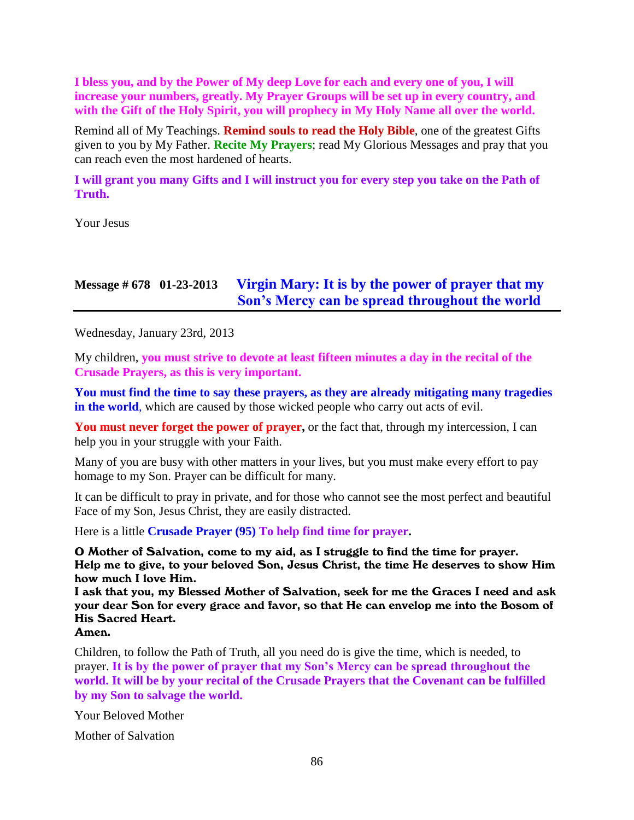**I bless you, and by the Power of My deep Love for each and every one of you, I will increase your numbers, greatly. My Prayer Groups will be set up in every country, and with the Gift of the Holy Spirit, you will prophecy in My Holy Name all over the world.**

Remind all of My Teachings. **Remind souls to read the Holy Bible**, one of the greatest Gifts given to you by My Father. **Recite My Prayers**; read My Glorious Messages and pray that you can reach even the most hardened of hearts.

**I will grant you many Gifts and I will instruct you for every step you take on the Path of Truth.**

Your Jesus

## **Message # 678 01-23-2013 [Virgin Mary: It is by the power of prayer that my](http://www.thewarningsecondcoming.com/virgin-mary-it-is-by-the-power-of-prayer-that-my-sons-mercy-can-be-spread-throughout-the-world/)  [Son's Mercy can be spread throughout the world](http://www.thewarningsecondcoming.com/virgin-mary-it-is-by-the-power-of-prayer-that-my-sons-mercy-can-be-spread-throughout-the-world/)**

Wednesday, January 23rd, 2013

My children, **you must strive to devote at least fifteen minutes a day in the recital of the Crusade Prayers, as this is very important.**

**You must find the time to say these prayers, as they are already mitigating many tragedies in the world**, which are caused by those wicked people who carry out acts of evil.

**You must never forget the power of prayer,** or the fact that, through my intercession, I can help you in your struggle with your Faith.

Many of you are busy with other matters in your lives, but you must make every effort to pay homage to my Son. Prayer can be difficult for many.

It can be difficult to pray in private, and for those who cannot see the most perfect and beautiful Face of my Son, Jesus Christ, they are easily distracted.

Here is a little **Crusade Prayer (95) To help find time for prayer.**

O Mother of Salvation, come to my aid, as I struggle to find the time for prayer. Help me to give, to your beloved Son, Jesus Christ, the time He deserves to show Him how much I love Him.

I ask that you, my Blessed Mother of Salvation, seek for me the Graces I need and ask your dear Son for every grace and favor, so that He can envelop me into the Bosom of His Sacred Heart.

Amen.

Children, to follow the Path of Truth, all you need do is give the time, which is needed, to prayer. **It is by the power of prayer that my Son's Mercy can be spread throughout the world. It will be by your recital of the Crusade Prayers that the Covenant can be fulfilled by my Son to salvage the world.**

Your Beloved Mother

Mother of Salvation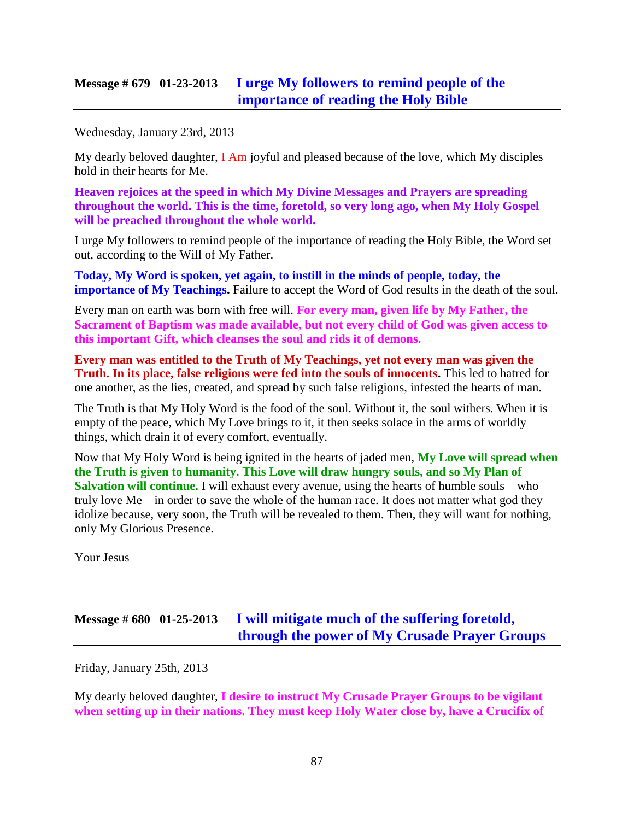## **Message # 679 01-23-2013 [I urge My followers to remind people of the](http://www.thewarningsecondcoming.com/i-urge-my-followers-to-remind-people-of-the-importance-of-reading-the-holy-bible/)  [importance of reading the Holy Bible](http://www.thewarningsecondcoming.com/i-urge-my-followers-to-remind-people-of-the-importance-of-reading-the-holy-bible/)**

Wednesday, January 23rd, 2013

My dearly beloved daughter,  $I$  Am joyful and pleased because of the love, which My disciples hold in their hearts for Me.

**Heaven rejoices at the speed in which My Divine Messages and Prayers are spreading throughout the world. This is the time, foretold, so very long ago, when My Holy Gospel will be preached throughout the whole world.**

I urge My followers to remind people of the importance of reading the Holy Bible, the Word set out, according to the Will of My Father.

**Today, My Word is spoken, yet again, to instill in the minds of people, today, the importance of My Teachings.** Failure to accept the Word of God results in the death of the soul.

Every man on earth was born with free will. **For every man, given life by My Father, the Sacrament of Baptism was made available, but not every child of God was given access to this important Gift, which cleanses the soul and rids it of demons.**

**Every man was entitled to the Truth of My Teachings, yet not every man was given the Truth. In its place, false religions were fed into the souls of innocents.** This led to hatred for one another, as the lies, created, and spread by such false religions, infested the hearts of man.

The Truth is that My Holy Word is the food of the soul. Without it, the soul withers. When it is empty of the peace, which My Love brings to it, it then seeks solace in the arms of worldly things, which drain it of every comfort, eventually.

Now that My Holy Word is being ignited in the hearts of jaded men, **My Love will spread when the Truth is given to humanity. This Love will draw hungry souls, and so My Plan of Salvation will continue.** I will exhaust every avenue, using the hearts of humble souls – who truly love Me – in order to save the whole of the human race. It does not matter what god they idolize because, very soon, the Truth will be revealed to them. Then, they will want for nothing, only My Glorious Presence.

Your Jesus

# **Message # 680 01-25-2013 [I will mitigate much of the suffering foretold,](http://www.thewarningsecondcoming.com/i-will-mitigate-much-of-the-suffering-foretold-through-the-power-of-my-crusade-prayer-groups/)  [through the power of My Crusade Prayer Groups](http://www.thewarningsecondcoming.com/i-will-mitigate-much-of-the-suffering-foretold-through-the-power-of-my-crusade-prayer-groups/)**

Friday, January 25th, 2013

My dearly beloved daughter, **I desire to instruct My Crusade Prayer Groups to be vigilant when setting up in their nations. They must keep Holy Water close by, have a Crucifix of**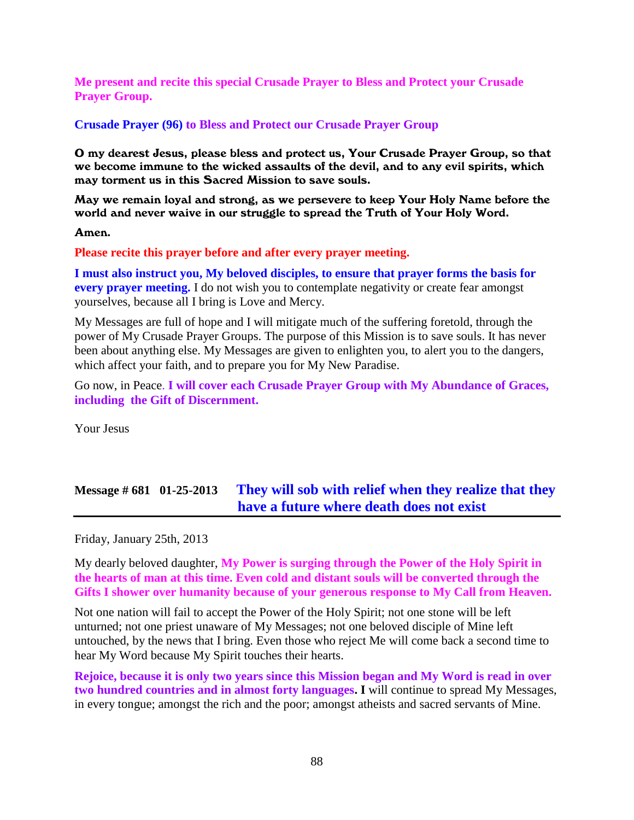**Me present and recite this special Crusade Prayer to Bless and Protect your Crusade Prayer Group.**

#### **Crusade Prayer (96) to Bless and Protect our Crusade Prayer Group**

O my dearest Jesus, please bless and protect us, Your Crusade Prayer Group, so that we become immune to the wicked assaults of the devil, and to any evil spirits, which may torment us in this Sacred Mission to save souls.

May we remain loyal and strong, as we persevere to keep Your Holy Name before the world and never waive in our struggle to spread the Truth of Your Holy Word.

Amen.

**Please recite this prayer before and after every prayer meeting.**

**I must also instruct you, My beloved disciples, to ensure that prayer forms the basis for every prayer meeting.** I do not wish you to contemplate negativity or create fear amongst yourselves, because all I bring is Love and Mercy.

My Messages are full of hope and I will mitigate much of the suffering foretold, through the power of My Crusade Prayer Groups. The purpose of this Mission is to save souls. It has never been about anything else. My Messages are given to enlighten you, to alert you to the dangers, which affect your faith, and to prepare you for My New Paradise.

Go now, in Peace. **I will cover each Crusade Prayer Group with My Abundance of Graces, including the Gift of Discernment.**

Your Jesus

## **Message # 681 01-25-2013 [They will sob with relief when they realize that they](http://www.thewarningsecondcoming.com/they-will-sob-with-relief-when-they-realise-that-they-have-a-future-where-death-does-not-exist/)  [have a future where death does not exist](http://www.thewarningsecondcoming.com/they-will-sob-with-relief-when-they-realise-that-they-have-a-future-where-death-does-not-exist/)**

Friday, January 25th, 2013

My dearly beloved daughter, **My Power is surging through the Power of the Holy Spirit in the hearts of man at this time. Even cold and distant souls will be converted through the Gifts I shower over humanity because of your generous response to My Call from Heaven.**

Not one nation will fail to accept the Power of the Holy Spirit; not one stone will be left unturned; not one priest unaware of My Messages; not one beloved disciple of Mine left untouched, by the news that I bring. Even those who reject Me will come back a second time to hear My Word because My Spirit touches their hearts.

**Rejoice, because it is only two years since this Mission began and My Word is read in over two hundred countries and in almost forty languages. I** will continue to spread My Messages, in every tongue; amongst the rich and the poor; amongst atheists and sacred servants of Mine.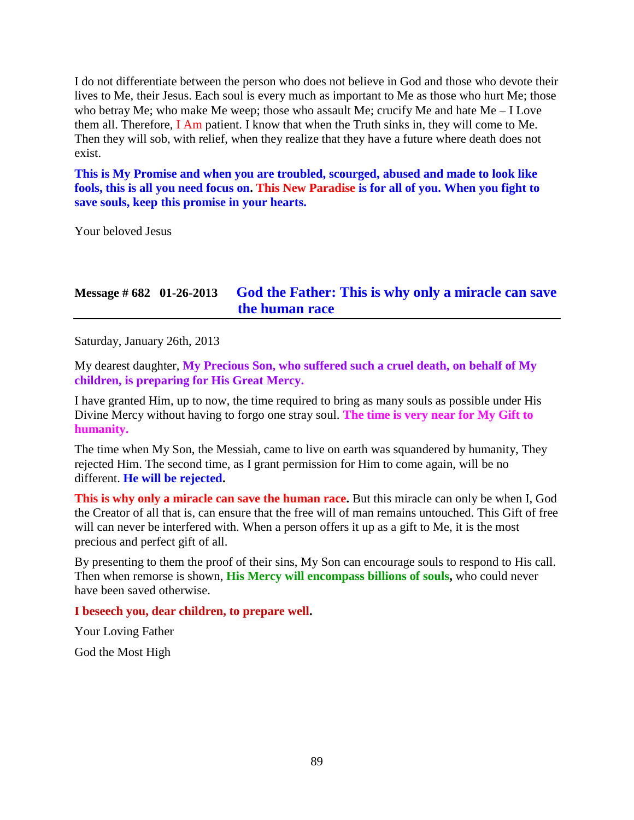I do not differentiate between the person who does not believe in God and those who devote their lives to Me, their Jesus. Each soul is every much as important to Me as those who hurt Me; those who betray Me; who make Me weep; those who assault Me; crucify Me and hate Me – I Love them all. Therefore, I Am patient. I know that when the Truth sinks in, they will come to Me. Then they will sob, with relief, when they realize that they have a future where death does not exist.

**This is My Promise and when you are troubled, scourged, abused and made to look like fools, this is all you need focus on. This New Paradise is for all of you. When you fight to save souls, keep this promise in your hearts.**

Your beloved Jesus

# **Message # 682 01-26-2013 [God the Father: This is why only a miracle can save](http://www.thewarningsecondcoming.com/god-the-father-this-is-why-only-a-miracle-can-save-the-human-race/)  [the human race](http://www.thewarningsecondcoming.com/god-the-father-this-is-why-only-a-miracle-can-save-the-human-race/)**

Saturday, January 26th, 2013

My dearest daughter, **My Precious Son, who suffered such a cruel death, on behalf of My children, is preparing for His Great Mercy.**

I have granted Him, up to now, the time required to bring as many souls as possible under His Divine Mercy without having to forgo one stray soul. **The time is very near for My Gift to humanity.**

The time when My Son, the Messiah, came to live on earth was squandered by humanity, They rejected Him. The second time, as I grant permission for Him to come again, will be no different. **He will be rejected.**

**This is why only a miracle can save the human race.** But this miracle can only be when I, God the Creator of all that is, can ensure that the free will of man remains untouched. This Gift of free will can never be interfered with. When a person offers it up as a gift to Me, it is the most precious and perfect gift of all.

By presenting to them the proof of their sins, My Son can encourage souls to respond to His call. Then when remorse is shown, **His Mercy will encompass billions of souls,** who could never have been saved otherwise.

**I beseech you, dear children, to prepare well.**

Your Loving Father

God the Most High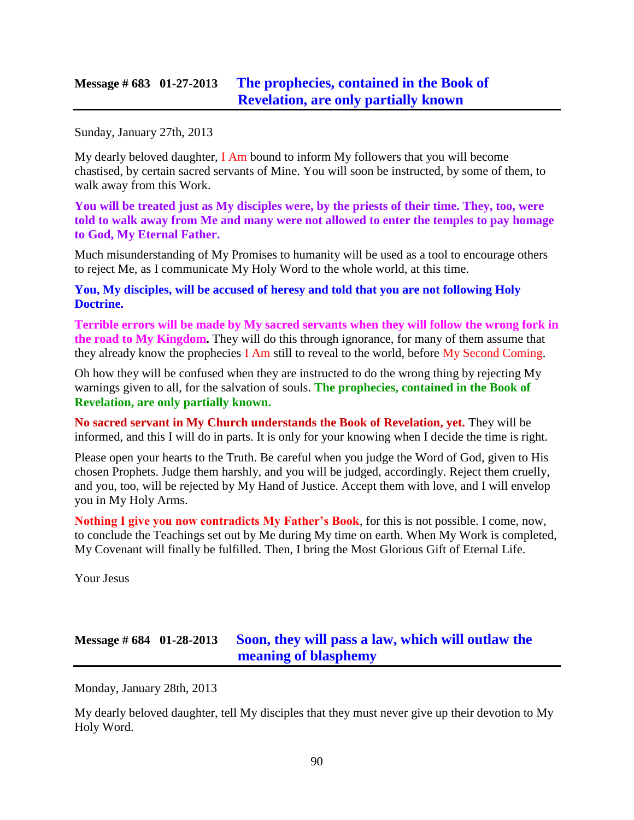## **Message # 683 01-27-2013 [The prophecies, contained in the Book of](http://www.thewarningsecondcoming.com/the-prophecies-contained-in-the-book-of-revelation-are-only-partially-known/)  [Revelation, are only partially known](http://www.thewarningsecondcoming.com/the-prophecies-contained-in-the-book-of-revelation-are-only-partially-known/)**

Sunday, January 27th, 2013

My dearly beloved daughter, I Am bound to inform My followers that you will become chastised, by certain sacred servants of Mine. You will soon be instructed, by some of them, to walk away from this Work.

**You will be treated just as My disciples were, by the priests of their time. They, too, were told to walk away from Me and many were not allowed to enter the temples to pay homage to God, My Eternal Father.**

Much misunderstanding of My Promises to humanity will be used as a tool to encourage others to reject Me, as I communicate My Holy Word to the whole world, at this time.

**You, My disciples, will be accused of heresy and told that you are not following Holy Doctrine.**

**Terrible errors will be made by My sacred servants when they will follow the wrong fork in the road to My Kingdom.** They will do this through ignorance, for many of them assume that they already know the prophecies I Am still to reveal to the world, before My Second Coming.

Oh how they will be confused when they are instructed to do the wrong thing by rejecting My warnings given to all, for the salvation of souls. **The prophecies, contained in the Book of Revelation, are only partially known.**

**No sacred servant in My Church understands the Book of Revelation, yet.** They will be informed, and this I will do in parts. It is only for your knowing when I decide the time is right.

Please open your hearts to the Truth. Be careful when you judge the Word of God, given to His chosen Prophets. Judge them harshly, and you will be judged, accordingly. Reject them cruelly, and you, too, will be rejected by My Hand of Justice. Accept them with love, and I will envelop you in My Holy Arms.

**Nothing I give you now contradicts My Father's Book**, for this is not possible. I come, now, to conclude the Teachings set out by Me during My time on earth. When My Work is completed, My Covenant will finally be fulfilled. Then, I bring the Most Glorious Gift of Eternal Life.

Your Jesus

# **Message # 684 01-28-2013 [Soon, they will pass a law, which will outlaw the](http://www.thewarningsecondcoming.com/soon-they-will-pass-a-law-which-will-outlaw-the-meaning-of-blasphemy/)  [meaning of blasphemy](http://www.thewarningsecondcoming.com/soon-they-will-pass-a-law-which-will-outlaw-the-meaning-of-blasphemy/)**

Monday, January 28th, 2013

My dearly beloved daughter, tell My disciples that they must never give up their devotion to My Holy Word.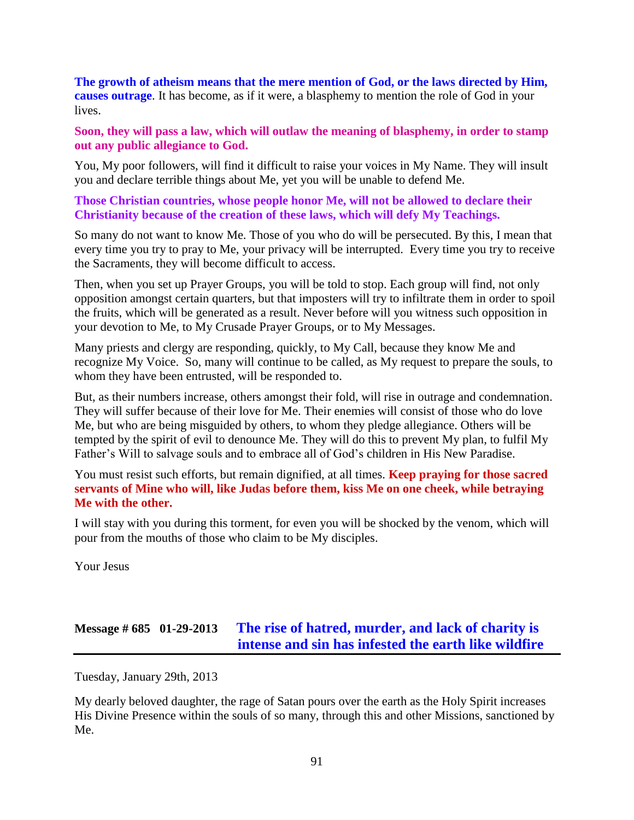**The growth of atheism means that the mere mention of God, or the laws directed by Him, causes outrage**. It has become, as if it were, a blasphemy to mention the role of God in your lives.

**Soon, they will pass a law, which will outlaw the meaning of blasphemy, in order to stamp out any public allegiance to God.**

You, My poor followers, will find it difficult to raise your voices in My Name. They will insult you and declare terrible things about Me, yet you will be unable to defend Me.

**Those Christian countries, whose people honor Me, will not be allowed to declare their Christianity because of the creation of these laws, which will defy My Teachings.**

So many do not want to know Me. Those of you who do will be persecuted. By this, I mean that every time you try to pray to Me, your privacy will be interrupted. Every time you try to receive the Sacraments, they will become difficult to access.

Then, when you set up Prayer Groups, you will be told to stop. Each group will find, not only opposition amongst certain quarters, but that imposters will try to infiltrate them in order to spoil the fruits, which will be generated as a result. Never before will you witness such opposition in your devotion to Me, to My Crusade Prayer Groups, or to My Messages.

Many priests and clergy are responding, quickly, to My Call, because they know Me and recognize My Voice. So, many will continue to be called, as My request to prepare the souls, to whom they have been entrusted, will be responded to.

But, as their numbers increase, others amongst their fold, will rise in outrage and condemnation. They will suffer because of their love for Me. Their enemies will consist of those who do love Me, but who are being misguided by others, to whom they pledge allegiance. Others will be tempted by the spirit of evil to denounce Me. They will do this to prevent My plan, to fulfil My Father's Will to salvage souls and to embrace all of God's children in His New Paradise.

You must resist such efforts, but remain dignified, at all times. **Keep praying for those sacred servants of Mine who will, like Judas before them, kiss Me on one cheek, while betraying Me with the other.**

I will stay with you during this torment, for even you will be shocked by the venom, which will pour from the mouths of those who claim to be My disciples.

Your Jesus

## **Message # 685 01-29-2013 [The rise of hatred, murder,](http://www.thewarningsecondcoming.com/the-rise-of-hatred-murder-and-lack-of-charity-is-intense-and-sin-has-infested-the-earth-like-wildfire/) and lack of charity is [intense and sin has infested the earth like wildfire](http://www.thewarningsecondcoming.com/the-rise-of-hatred-murder-and-lack-of-charity-is-intense-and-sin-has-infested-the-earth-like-wildfire/)**

Tuesday, January 29th, 2013

My dearly beloved daughter, the rage of Satan pours over the earth as the Holy Spirit increases His Divine Presence within the souls of so many, through this and other Missions, sanctioned by Me.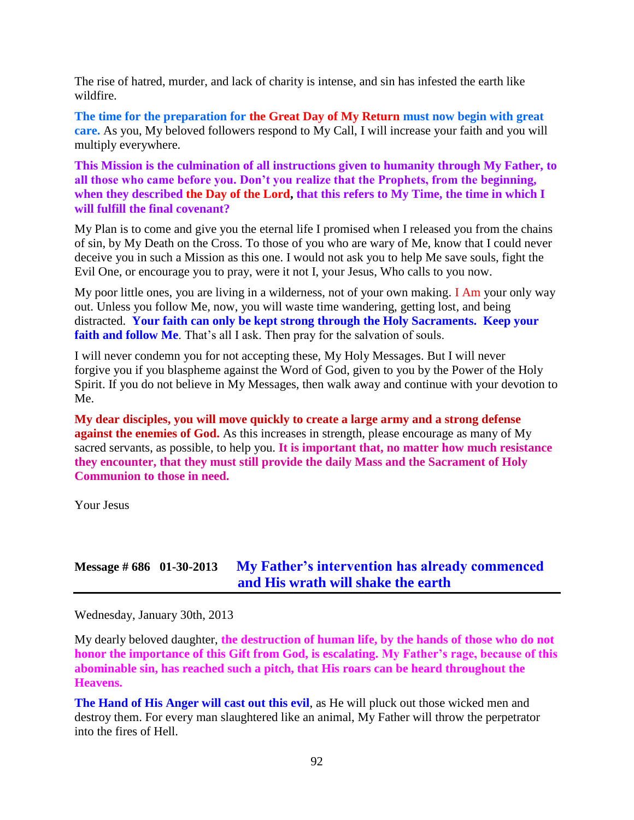The rise of hatred, murder, and lack of charity is intense, and sin has infested the earth like wildfire.

**The time for the preparation for the Great Day of My Return must now begin with great care.** As you, My beloved followers respond to My Call, I will increase your faith and you will multiply everywhere.

**This Mission is the culmination of all instructions given to humanity through My Father, to all those who came before you. Don't you realize that the Prophets, from the beginning, when they described the Day of the Lord, that this refers to My Time, the time in which I will fulfill the final covenant?**

My Plan is to come and give you the eternal life I promised when I released you from the chains of sin, by My Death on the Cross. To those of you who are wary of Me, know that I could never deceive you in such a Mission as this one. I would not ask you to help Me save souls, fight the Evil One, or encourage you to pray, were it not I, your Jesus, Who calls to you now.

My poor little ones, you are living in a wilderness, not of your own making. I Am your only way out. Unless you follow Me, now, you will waste time wandering, getting lost, and being distracted. **Your faith can only be kept strong through the Holy Sacraments. Keep your faith and follow Me**. That's all I ask. Then pray for the salvation of souls.

I will never condemn you for not accepting these, My Holy Messages. But I will never forgive you if you blaspheme against the Word of God, given to you by the Power of the Holy Spirit. If you do not believe in My Messages, then walk away and continue with your devotion to Me.

**My dear disciples, you will move quickly to create a large army and a strong defense against the enemies of God.** As this increases in strength, please encourage as many of My sacred servants, as possible, to help you. **It is important that, no matter how much resistance they encounter, that they must still provide the daily Mass and the Sacrament of Holy Communion to those in need.**

Your Jesus

## **Message # 686 01-30-2013 [My Father's intervention has already commenced](http://www.thewarningsecondcoming.com/my-fathers-intervention-has-already-commenced-and-his-wrath-will-shake-the-earth/)  [and His wrath will shake the earth](http://www.thewarningsecondcoming.com/my-fathers-intervention-has-already-commenced-and-his-wrath-will-shake-the-earth/)**

Wednesday, January 30th, 2013

My dearly beloved daughter, **the destruction of human life, by the hands of those who do not honor the importance of this Gift from God, is escalating. My Father's rage, because of this abominable sin, has reached such a pitch, that His roars can be heard throughout the Heavens.**

**The Hand of His Anger will cast out this evil**, as He will pluck out those wicked men and destroy them. For every man slaughtered like an animal, My Father will throw the perpetrator into the fires of Hell.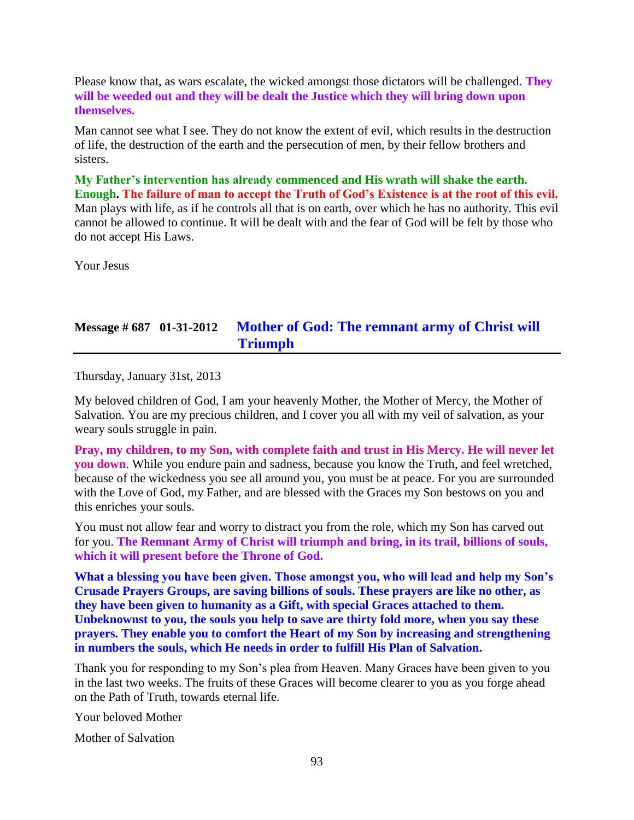Please know that, as wars escalate, the wicked amongst those dictators will be challenged. **They will be weeded out and they will be dealt the Justice which they will bring down upon themselves.**

Man cannot see what I see. They do not know the extent of evil, which results in the destruction of life, the destruction of the earth and the persecution of men, by their fellow brothers and sisters.

**My Father's intervention has already commenced and His wrath will shake the earth. Enough. The failure of man to accept the Truth of God's Existence is at the root of this evil.** Man plays with life, as if he controls all that is on earth, over which he has no authority. This evil cannot be allowed to continue. It will be dealt with and the fear of God will be felt by those who do not accept His Laws.

Your Jesus

## **Message # 687 01-31-2012 [Mother of God: The remnant army of Christ will](http://www.thewarningsecondcoming.com/mother-of-god-the-remnant-army-of-christ-will-triumph/)  [Triumph](http://www.thewarningsecondcoming.com/mother-of-god-the-remnant-army-of-christ-will-triumph/)**

Thursday, January 31st, 2013

My beloved children of God, I am your heavenly Mother, the Mother of Mercy, the Mother of Salvation. You are my precious children, and I cover you all with my veil of salvation, as your weary souls struggle in pain.

**Pray, my children, to my Son, with complete faith and trust in His Mercy. He will never let you down**. While you endure pain and sadness, because you know the Truth, and feel wretched, because of the wickedness you see all around you, you must be at peace. For you are surrounded with the Love of God, my Father, and are blessed with the Graces my Son bestows on you and this enriches your souls.

You must not allow fear and worry to distract you from the role, which my Son has carved out for you. **The Remnant Army of Christ will triumph and bring, in its trail, billions of souls, which it will present before the Throne of God.**

**What a blessing you have been given. Those amongst you, who will lead and help my Son's Crusade Prayers Groups, are saving billions of souls. These prayers are like no other, as they have been given to humanity as a Gift, with special Graces attached to them. Unbeknownst to you, the souls you help to save are thirty fold more, when you say these prayers. They enable you to comfort the Heart of my Son by increasing and strengthening in numbers the souls, which He needs in order to fulfill His Plan of Salvation.**

Thank you for responding to my Son's plea from Heaven. Many Graces have been given to you in the last two weeks. The fruits of these Graces will become clearer to you as you forge ahead on the Path of Truth, towards eternal life.

Your beloved Mother

Mother of Salvation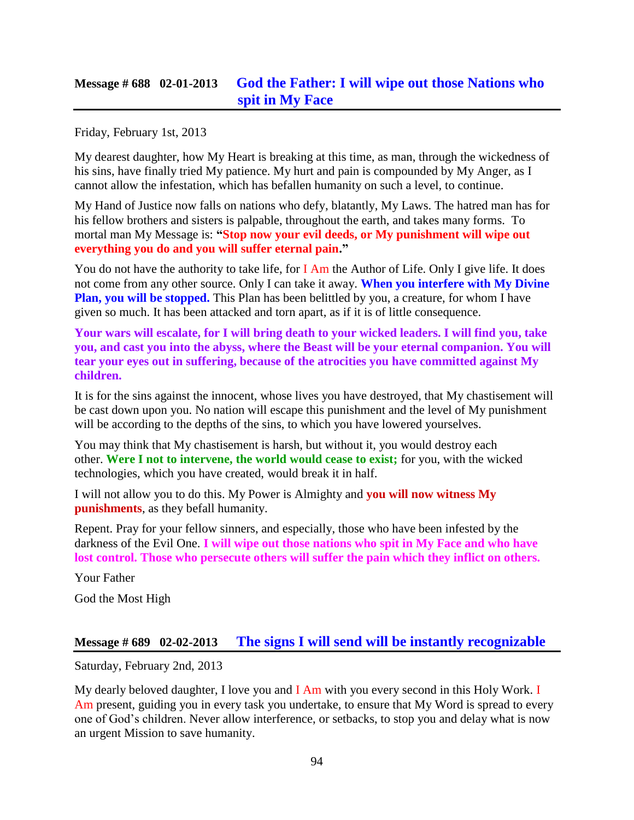## **Message # 688 02-01-2013 [God the Father: I will wipe out those Nations who](http://www.thewarningsecondcoming.com/god-the-father-i-will-wipe-out-those-nations-who-spit-in-my-face/)  [spit in My Face](http://www.thewarningsecondcoming.com/god-the-father-i-will-wipe-out-those-nations-who-spit-in-my-face/)**

Friday, February 1st, 2013

My dearest daughter, how My Heart is breaking at this time, as man, through the wickedness of his sins, have finally tried My patience. My hurt and pain is compounded by My Anger, as I cannot allow the infestation, which has befallen humanity on such a level, to continue.

My Hand of Justice now falls on nations who defy, blatantly, My Laws. The hatred man has for his fellow brothers and sisters is palpable, throughout the earth, and takes many forms. To mortal man My Message is: **"Stop now your evil deeds, or My punishment will wipe out everything you do and you will suffer eternal pain."**

You do not have the authority to take life, for I Am the Author of Life. Only I give life. It does not come from any other source. Only I can take it away. **When you interfere with My Divine Plan, you will be stopped.** This Plan has been belittled by you, a creature, for whom I have given so much. It has been attacked and torn apart, as if it is of little consequence.

**Your wars will escalate, for I will bring death to your wicked leaders. I will find you, take you, and cast you into the abyss, where the Beast will be your eternal companion. You will tear your eyes out in suffering, because of the atrocities you have committed against My children.**

It is for the sins against the innocent, whose lives you have destroyed, that My chastisement will be cast down upon you. No nation will escape this punishment and the level of My punishment will be according to the depths of the sins, to which you have lowered yourselves.

You may think that My chastisement is harsh, but without it, you would destroy each other. **Were I not to intervene, the world would cease to exist;** for you, with the wicked technologies, which you have created, would break it in half.

I will not allow you to do this. My Power is Almighty and **you will now witness My punishments**, as they befall humanity.

Repent. Pray for your fellow sinners, and especially, those who have been infested by the darkness of the Evil One. **I will wipe out those nations who spit in My Face and who have lost control. Those who persecute others will suffer the pain which they inflict on others.**

Your Father

God the Most High

#### **Message # 689 02-02-2013 [The signs I will send will be instantly recognizable](http://www.thewarningsecondcoming.com/the-signs-i-will-send-will-be-instantly-recognisable/)**

Saturday, February 2nd, 2013

My dearly beloved daughter, I love you and I Am with you every second in this Holy Work. I Am present, guiding you in every task you undertake, to ensure that My Word is spread to every one of God's children. Never allow interference, or setbacks, to stop you and delay what is now an urgent Mission to save humanity.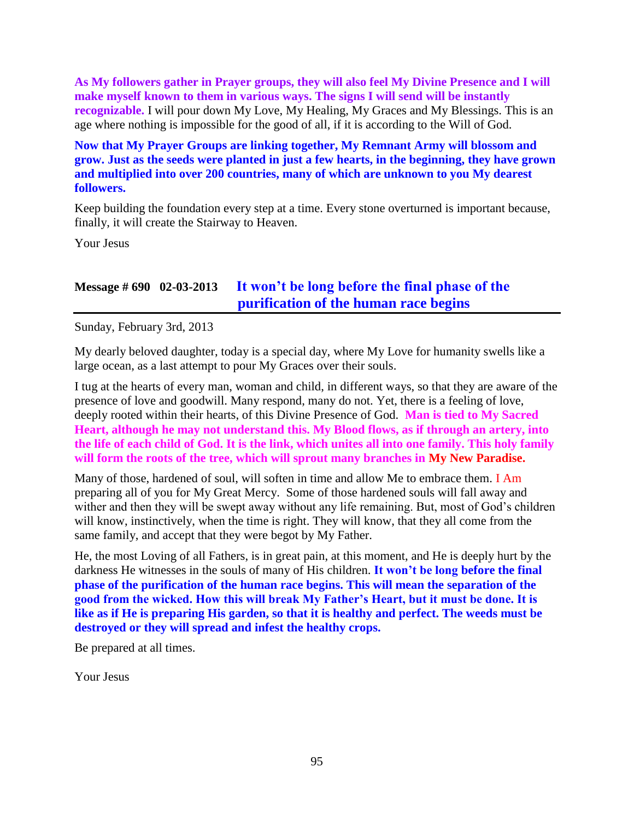**As My followers gather in Prayer groups, they will also feel My Divine Presence and I will make myself known to them in various ways. The signs I will send will be instantly recognizable.** I will pour down My Love, My Healing, My Graces and My Blessings. This is an age where nothing is impossible for the good of all, if it is according to the Will of God.

**Now that My Prayer Groups are linking together, My Remnant Army will blossom and grow. Just as the seeds were planted in just a few hearts, in the beginning, they have grown and multiplied into over 200 countries, many of which are unknown to you My dearest followers.**

Keep building the foundation every step at a time. Every stone overturned is important because, finally, it will create the Stairway to Heaven.

Your Jesus

## **Message # 690 02-03-2013 [It won't be long before the final phase of the](http://www.thewarningsecondcoming.com/it-wont-be-long-before-the-final-phase-of-the-purification-of-the-human-race-begins/)  [purification of the human race begins](http://www.thewarningsecondcoming.com/it-wont-be-long-before-the-final-phase-of-the-purification-of-the-human-race-begins/)**

Sunday, February 3rd, 2013

My dearly beloved daughter, today is a special day, where My Love for humanity swells like a large ocean, as a last attempt to pour My Graces over their souls.

I tug at the hearts of every man, woman and child, in different ways, so that they are aware of the presence of love and goodwill. Many respond, many do not. Yet, there is a feeling of love, deeply rooted within their hearts, of this Divine Presence of God. **Man is tied to My Sacred Heart, although he may not understand this. My Blood flows, as if through an artery, into the life of each child of God. It is the link, which unites all into one family. This holy family will form the roots of the tree, which will sprout many branches in My New Paradise.**

Many of those, hardened of soul, will soften in time and allow Me to embrace them. I Am preparing all of you for My Great Mercy. Some of those hardened souls will fall away and wither and then they will be swept away without any life remaining. But, most of God's children will know, instinctively, when the time is right. They will know, that they all come from the same family, and accept that they were begot by My Father.

He, the most Loving of all Fathers, is in great pain, at this moment, and He is deeply hurt by the darkness He witnesses in the souls of many of His children. **It won't be long before the final phase of the purification of the human race begins. This will mean the separation of the good from the wicked. How this will break My Father's Heart, but it must be done. It is like as if He is preparing His garden, so that it is healthy and perfect. The weeds must be destroyed or they will spread and infest the healthy crops.**

Be prepared at all times.

Your Jesus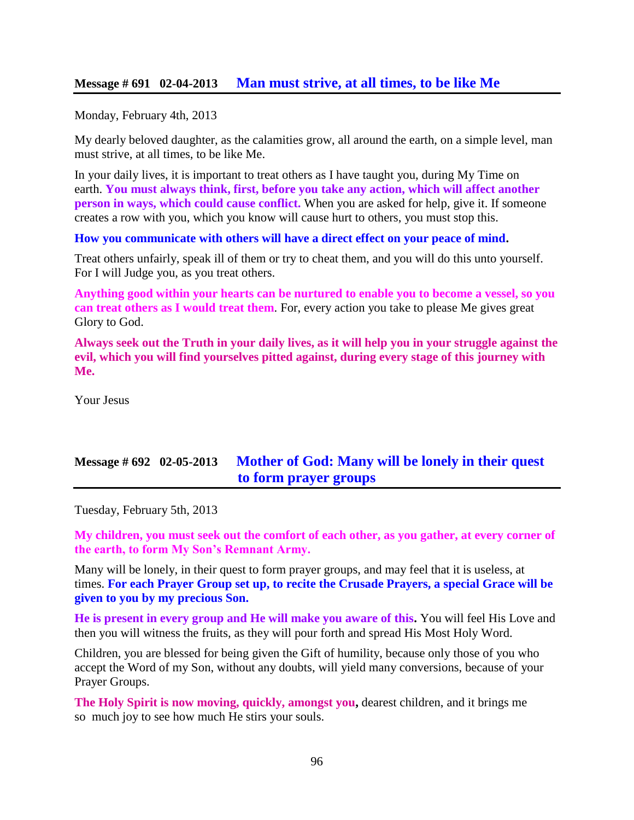Monday, February 4th, 2013

My dearly beloved daughter, as the calamities grow, all around the earth, on a simple level, man must strive, at all times, to be like Me.

In your daily lives, it is important to treat others as I have taught you, during My Time on earth. **You must always think, first, before you take any action, which will affect another person in ways, which could cause conflict.** When you are asked for help, give it. If someone creates a row with you, which you know will cause hurt to others, you must stop this.

**How you communicate with others will have a direct effect on your peace of mind.**

Treat others unfairly, speak ill of them or try to cheat them, and you will do this unto yourself. For I will Judge you, as you treat others.

**Anything good within your hearts can be nurtured to enable you to become a vessel, so you can treat others as I would treat them**. For, every action you take to please Me gives great Glory to God.

**Always seek out the Truth in your daily lives, as it will help you in your struggle against the evil, which you will find yourselves pitted against, during every stage of this journey with Me.**

Your Jesus

# **Message # 692 02-05-2013 [Mother of God: Many will be lonely in their quest](http://www.thewarningsecondcoming.com/mother-of-god-many-will-be-lonely-in-their-quest-to-form-prayer-groups/)  [to form prayer groups](http://www.thewarningsecondcoming.com/mother-of-god-many-will-be-lonely-in-their-quest-to-form-prayer-groups/)**

Tuesday, February 5th, 2013

**My children, you must seek out the comfort of each other, as you gather, at every corner of the earth, to form My Son's Remnant Army.**

Many will be lonely, in their quest to form prayer groups, and may feel that it is useless, at times. **For each Prayer Group set up, to recite the Crusade Prayers, a special Grace will be given to you by my precious Son.**

**He is present in every group and He will make you aware of this.** You will feel His Love and then you will witness the fruits, as they will pour forth and spread His Most Holy Word.

Children, you are blessed for being given the Gift of humility, because only those of you who accept the Word of my Son, without any doubts, will yield many conversions, because of your Prayer Groups.

**The Holy Spirit is now moving, quickly, amongst you,** dearest children, and it brings me so much joy to see how much He stirs your souls.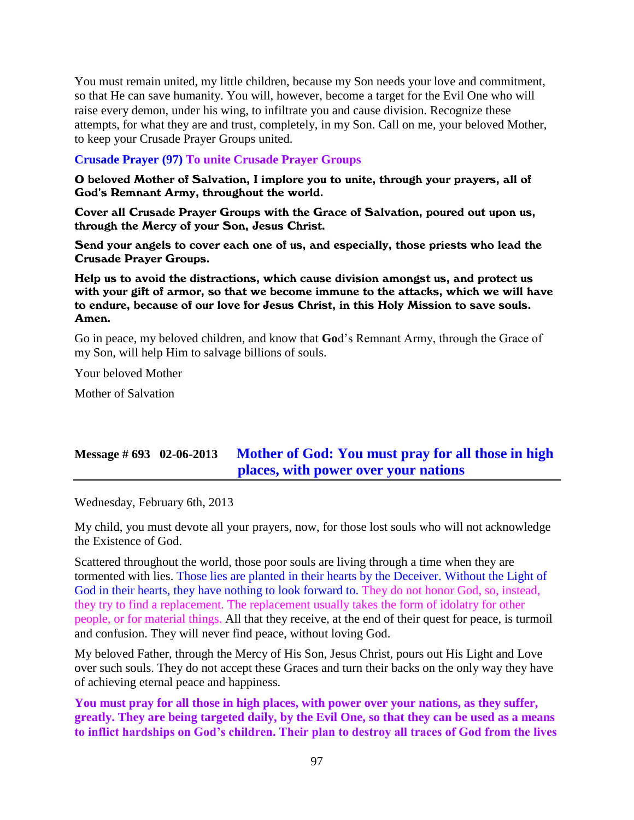You must remain united, my little children, because my Son needs your love and commitment, so that He can save humanity. You will, however, become a target for the Evil One who will raise every demon, under his wing, to infiltrate you and cause division. Recognize these attempts, for what they are and trust, completely, in my Son. Call on me, your beloved Mother, to keep your Crusade Prayer Groups united.

#### **Crusade Prayer (97) To unite Crusade Prayer Groups**

O beloved Mother of Salvation, I implore you to unite, through your prayers, all of God's Remnant Army, throughout the world.

Cover all Crusade Prayer Groups with the Grace of Salvation, poured out upon us, through the Mercy of your Son, Jesus Christ.

Send your angels to cover each one of us, and especially, those priests who lead the Crusade Prayer Groups.

Help us to avoid the distractions, which cause division amongst us, and protect us with your gift of armor, so that we become immune to the attacks, which we will have to endure, because of our love for Jesus Christ, in this Holy Mission to save souls. Amen.

Go in peace, my beloved children, and know that **Go**d's Remnant Army, through the Grace of my Son, will help Him to salvage billions of souls.

Your beloved Mother

Mother of Salvation

## **Message # 693 02-06-2013 [Mother of God: You must pray for all those in high](http://www.thewarningsecondcoming.com/mother-of-god-you-must-pray-for-all-those-in-high-places-with-power-over-your-nations/)  [places, with power over your nations](http://www.thewarningsecondcoming.com/mother-of-god-you-must-pray-for-all-those-in-high-places-with-power-over-your-nations/)**

Wednesday, February 6th, 2013

My child, you must devote all your prayers, now, for those lost souls who will not acknowledge the Existence of God.

Scattered throughout the world, those poor souls are living through a time when they are tormented with lies. Those lies are planted in their hearts by the Deceiver. Without the Light of God in their hearts, they have nothing to look forward to. They do not honor God, so, instead, they try to find a replacement. The replacement usually takes the form of idolatry for other people, or for material things. All that they receive, at the end of their quest for peace, is turmoil and confusion. They will never find peace, without loving God.

My beloved Father, through the Mercy of His Son, Jesus Christ, pours out His Light and Love over such souls. They do not accept these Graces and turn their backs on the only way they have of achieving eternal peace and happiness.

**You must pray for all those in high places, with power over your nations, as they suffer, greatly. They are being targeted daily, by the Evil One, so that they can be used as a means to inflict hardships on God's children. Their plan to destroy all traces of God from the lives**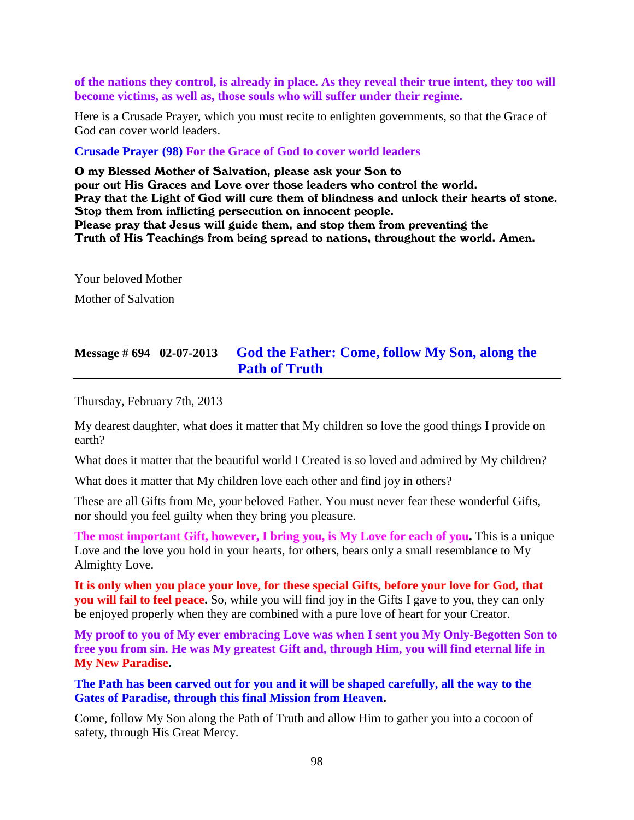**of the nations they control, is already in place. As they reveal their true intent, they too will become victims, as well as, those souls who will suffer under their regime.**

Here is a Crusade Prayer, which you must recite to enlighten governments, so that the Grace of God can cover world leaders.

**Crusade Prayer (98) For the Grace of God to cover world leaders**

O my Blessed Mother of Salvation, please ask your Son to pour out His Graces and Love over those leaders who control the world. Pray that the Light of God will cure them of blindness and unlock their hearts of stone. Stop them from inflicting persecution on innocent people. Please pray that Jesus will guide them, and stop them from preventing the Truth of His Teachings from being spread to nations, throughout the world. Amen.

Your beloved Mother

Mother of Salvation

#### **Message # 694 02-07-2013 [God the Father: Come, follow My Son, along the](http://www.thewarningsecondcoming.com/god-the-father-come-follow-my-son-along-the-path-of-truth/)  [Path of Truth](http://www.thewarningsecondcoming.com/god-the-father-come-follow-my-son-along-the-path-of-truth/)**

Thursday, February 7th, 2013

My dearest daughter, what does it matter that My children so love the good things I provide on earth?

What does it matter that the beautiful world I Created is so loved and admired by My children?

What does it matter that My children love each other and find joy in others?

These are all Gifts from Me, your beloved Father. You must never fear these wonderful Gifts, nor should you feel guilty when they bring you pleasure.

**The most important Gift, however, I bring you, is My Love for each of you.** This is a unique Love and the love you hold in your hearts, for others, bears only a small resemblance to My Almighty Love.

**It is only when you place your love, for these special Gifts, before your love for God, that you will fail to feel peace.** So, while you will find joy in the Gifts I gave to you, they can only be enjoyed properly when they are combined with a pure love of heart for your Creator.

**My proof to you of My ever embracing Love was when I sent you My Only-Begotten Son to free you from sin. He was My greatest Gift and, through Him, you will find eternal life in My New Paradise.**

**The Path has been carved out for you and it will be shaped carefully, all the way to the Gates of Paradise, through this final Mission from Heaven.**

Come, follow My Son along the Path of Truth and allow Him to gather you into a cocoon of safety, through His Great Mercy.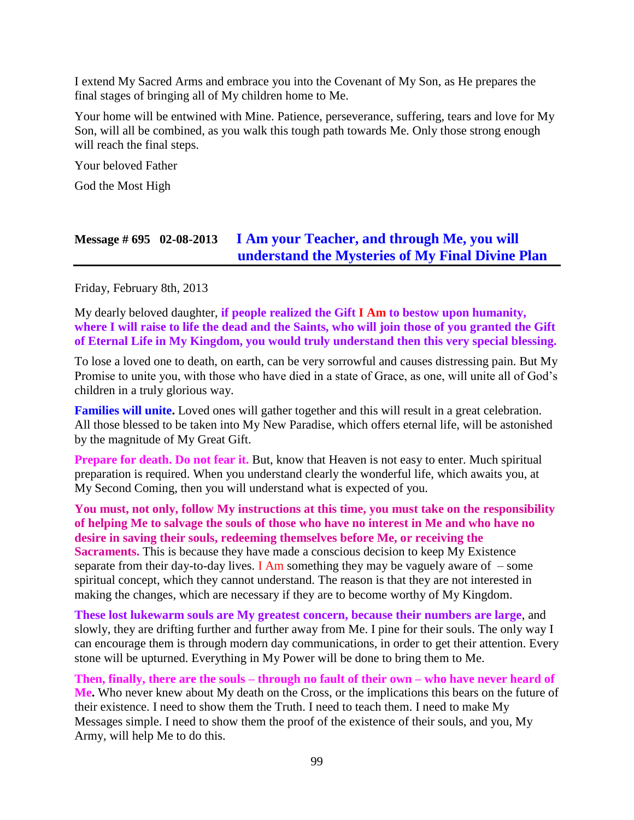I extend My Sacred Arms and embrace you into the Covenant of My Son, as He prepares the final stages of bringing all of My children home to Me.

Your home will be entwined with Mine. Patience, perseverance, suffering, tears and love for My Son, will all be combined, as you walk this tough path towards Me. Only those strong enough will reach the final steps.

Your beloved Father

God the Most High

## **Message # 695 02-08-2013 [I Am your Teacher, and through Me, you will](http://www.thewarningsecondcoming.com/i-am-your-teacher-and-through-me-you-will-understand-the-mysteries-of-my-final-divine-plan/)  [understand the Mysteries of My Final Divine Plan](http://www.thewarningsecondcoming.com/i-am-your-teacher-and-through-me-you-will-understand-the-mysteries-of-my-final-divine-plan/)**

Friday, February 8th, 2013

My dearly beloved daughter, **if people realized the Gift I Am to bestow upon humanity, where I will raise to life the dead and the Saints, who will join those of you granted the Gift of Eternal Life in My Kingdom, you would truly understand then this very special blessing.**

To lose a loved one to death, on earth, can be very sorrowful and causes distressing pain. But My Promise to unite you, with those who have died in a state of Grace, as one, will unite all of God's children in a truly glorious way.

**Families will unite.** Loved ones will gather together and this will result in a great celebration. All those blessed to be taken into My New Paradise, which offers eternal life, will be astonished by the magnitude of My Great Gift.

**Prepare for death. Do not fear it.** But, know that Heaven is not easy to enter. Much spiritual preparation is required. When you understand clearly the wonderful life, which awaits you, at My Second Coming, then you will understand what is expected of you.

**You must, not only, follow My instructions at this time, you must take on the responsibility of helping Me to salvage the souls of those who have no interest in Me and who have no desire in saving their souls, redeeming themselves before Me, or receiving the Sacraments.** This is because they have made a conscious decision to keep My Existence separate from their day-to-day lives. I Am something they may be vaguely aware of  $-$  some spiritual concept, which they cannot understand. The reason is that they are not interested in making the changes, which are necessary if they are to become worthy of My Kingdom.

**These lost lukewarm souls are My greatest concern, because their numbers are large**, and slowly, they are drifting further and further away from Me. I pine for their souls. The only way I can encourage them is through modern day communications, in order to get their attention. Every stone will be upturned. Everything in My Power will be done to bring them to Me.

**Then, finally, there are the souls – through no fault of their own – who have never heard of Me.** Who never knew about My death on the Cross, or the implications this bears on the future of their existence. I need to show them the Truth. I need to teach them. I need to make My Messages simple. I need to show them the proof of the existence of their souls, and you, My Army, will help Me to do this.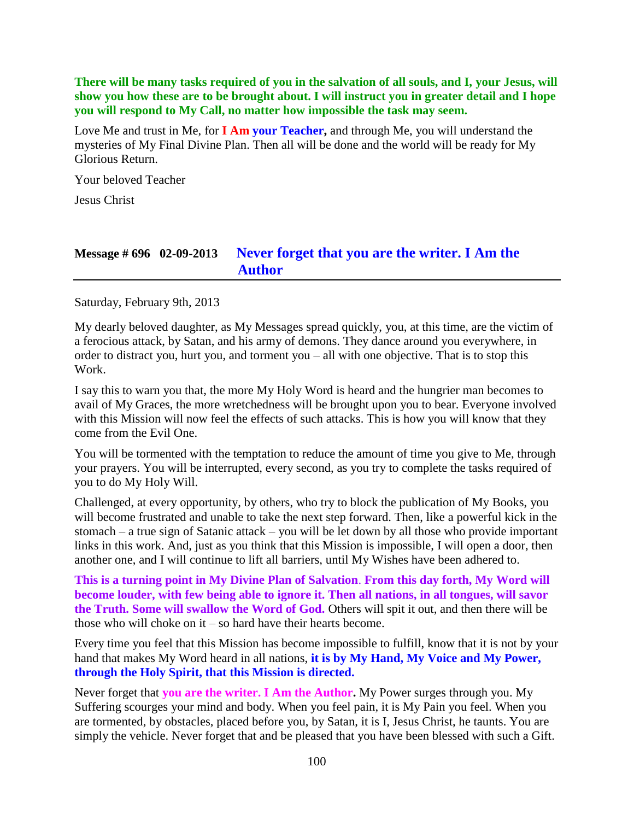**There will be many tasks required of you in the salvation of all souls, and I, your Jesus, will show you how these are to be brought about. I will instruct you in greater detail and I hope you will respond to My Call, no matter how impossible the task may seem.**

Love Me and trust in Me, for **I Am your Teacher,** and through Me, you will understand the mysteries of My Final Divine Plan. Then all will be done and the world will be ready for My Glorious Return.

Your beloved Teacher

Jesus Christ

## **Message # 696 02-09-2013 [Never forget that you are the writer. I](http://www.thewarningsecondcoming.com/never-forget-that-you-are-the-writer-i-am-the-author/) Am the [Author](http://www.thewarningsecondcoming.com/never-forget-that-you-are-the-writer-i-am-the-author/)**

Saturday, February 9th, 2013

My dearly beloved daughter, as My Messages spread quickly, you, at this time, are the victim of a ferocious attack, by Satan, and his army of demons. They dance around you everywhere, in order to distract you, hurt you, and torment you – all with one objective. That is to stop this Work.

I say this to warn you that, the more My Holy Word is heard and the hungrier man becomes to avail of My Graces, the more wretchedness will be brought upon you to bear. Everyone involved with this Mission will now feel the effects of such attacks. This is how you will know that they come from the Evil One.

You will be tormented with the temptation to reduce the amount of time you give to Me, through your prayers. You will be interrupted, every second, as you try to complete the tasks required of you to do My Holy Will.

Challenged, at every opportunity, by others, who try to block the publication of My Books, you will become frustrated and unable to take the next step forward. Then, like a powerful kick in the stomach – a true sign of Satanic attack – you will be let down by all those who provide important links in this work. And, just as you think that this Mission is impossible, I will open a door, then another one, and I will continue to lift all barriers, until My Wishes have been adhered to.

**This is a turning point in My Divine Plan of Salvation**. **From this day forth, My Word will become louder, with few being able to ignore it. Then all nations, in all tongues, will savor the Truth. Some will swallow the Word of God.** Others will spit it out, and then there will be those who will choke on it – so hard have their hearts become.

Every time you feel that this Mission has become impossible to fulfill, know that it is not by your hand that makes My Word heard in all nations, **it is by My Hand, My Voice and My Power, through the Holy Spirit, that this Mission is directed.**

Never forget that **you are the writer. I Am the Author.** My Power surges through you. My Suffering scourges your mind and body. When you feel pain, it is My Pain you feel. When you are tormented, by obstacles, placed before you, by Satan, it is I, Jesus Christ, he taunts. You are simply the vehicle. Never forget that and be pleased that you have been blessed with such a Gift.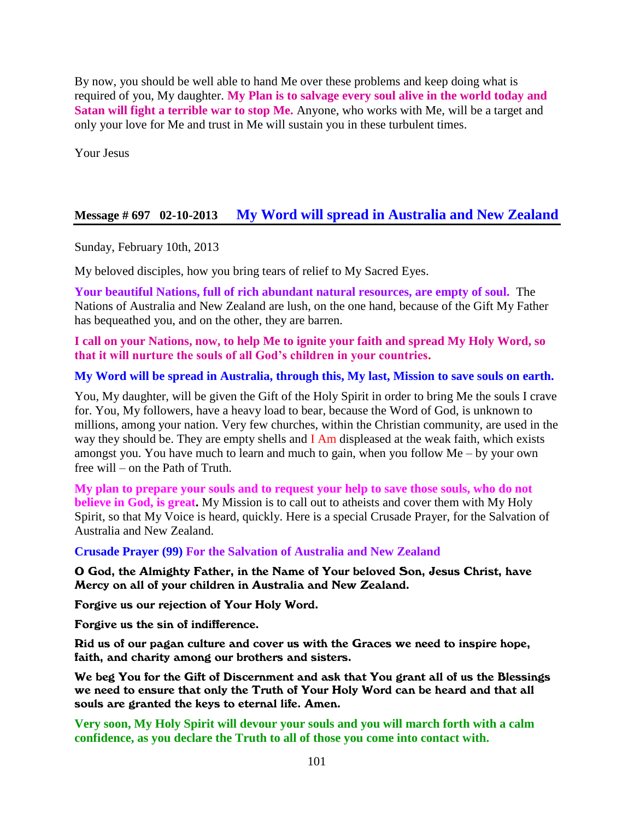By now, you should be well able to hand Me over these problems and keep doing what is required of you, My daughter. **My Plan is to salvage every soul alive in the world today and Satan will fight a terrible war to stop Me.** Anyone, who works with Me, will be a target and only your love for Me and trust in Me will sustain you in these turbulent times.

Your Jesus

## **Message # 697 02-10-2013 [My Word will spread in Australia and New Zealand](http://www.thewarningsecondcoming.com/my-word-will-spread-in-australia-and-new-zealand/)**

Sunday, February 10th, 2013

My beloved disciples, how you bring tears of relief to My Sacred Eyes.

**Your beautiful Nations, full of rich abundant natural resources, are empty of soul.** The Nations of Australia and New Zealand are lush, on the one hand, because of the Gift My Father has bequeathed you, and on the other, they are barren.

**I call on your Nations, now, to help Me to ignite your faith and spread My Holy Word, so that it will nurture the souls of all God's children in your countries.**

#### **My Word will be spread in Australia, through this, My last, Mission to save souls on earth.**

You, My daughter, will be given the Gift of the Holy Spirit in order to bring Me the souls I crave for. You, My followers, have a heavy load to bear, because the Word of God, is unknown to millions, among your nation. Very few churches, within the Christian community, are used in the way they should be. They are empty shells and I Am displeased at the weak faith, which exists amongst you. You have much to learn and much to gain, when you follow Me – by your own free will – on the Path of Truth.

**My plan to prepare your souls and to request your help to save those souls, who do not believe in God, is great.** My Mission is to call out to atheists and cover them with My Holy Spirit, so that My Voice is heard, quickly. Here is a special Crusade Prayer, for the Salvation of Australia and New Zealand.

**Crusade Prayer (99) For the Salvation of Australia and New Zealand**

O God, the Almighty Father, in the Name of Your beloved Son, Jesus Christ, have Mercy on all of your children in Australia and New Zealand.

Forgive us our rejection of Your Holy Word.

Forgive us the sin of indifference.

Rid us of our pagan culture and cover us with the Graces we need to inspire hope, faith, and charity among our brothers and sisters.

We beg You for the Gift of Discernment and ask that You grant all of us the Blessings we need to ensure that only the Truth of Your Holy Word can be heard and that all souls are granted the keys to eternal life. Amen.

**Very soon, My Holy Spirit will devour your souls and you will march forth with a calm confidence, as you declare the Truth to all of those you come into contact with.**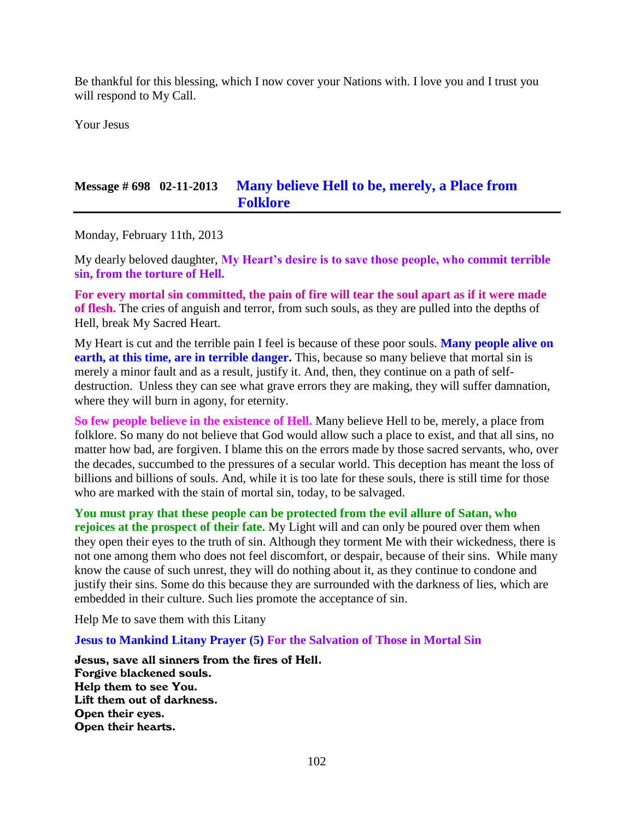Be thankful for this blessing, which I now cover your Nations with. I love you and I trust you will respond to My Call.

Your Jesus

## **Message # 698 02-11-2013 [Many believe Hell to be, merely, a Place from](http://www.thewarningsecondcoming.com/many-believe-hell-to-be-merely-a-place-from-folklore/)  [Folklore](http://www.thewarningsecondcoming.com/many-believe-hell-to-be-merely-a-place-from-folklore/)**

Monday, February 11th, 2013

My dearly beloved daughter, **My Heart's desire is to save those people, who commit terrible sin, from the torture of Hell.**

**For every mortal sin committed, the pain of fire will tear the soul apart as if it were made of flesh.** The cries of anguish and terror, from such souls, as they are pulled into the depths of Hell, break My Sacred Heart.

My Heart is cut and the terrible pain I feel is because of these poor souls. **Many people alive on earth, at this time, are in terrible danger.** This, because so many believe that mortal sin is merely a minor fault and as a result, justify it. And, then, they continue on a path of selfdestruction. Unless they can see what grave errors they are making, they will suffer damnation, where they will burn in agony, for eternity.

**So few people believe in the existence of Hell.** Many believe Hell to be, merely, a place from folklore. So many do not believe that God would allow such a place to exist, and that all sins, no matter how bad, are forgiven. I blame this on the errors made by those sacred servants, who, over the decades, succumbed to the pressures of a secular world. This deception has meant the loss of billions and billions of souls. And, while it is too late for these souls, there is still time for those who are marked with the stain of mortal sin, today, to be salvaged.

**You must pray that these people can be protected from the evil allure of Satan, who rejoices at the prospect of their fate.** My Light will and can only be poured over them when they open their eyes to the truth of sin. Although they torment Me with their wickedness, there is not one among them who does not feel discomfort, or despair, because of their sins. While many know the cause of such unrest, they will do nothing about it, as they continue to condone and justify their sins. Some do this because they are surrounded with the darkness of lies, which are embedded in their culture. Such lies promote the acceptance of sin.

Help Me to save them with this Litany

**Jesus to Mankind Litany Prayer (5) For the Salvation of Those in Mortal Sin**

Jesus, save all sinners from the fires of Hell. Forgive blackened souls. Help them to see You. Lift them out of darkness. Open their eyes. Open their hearts.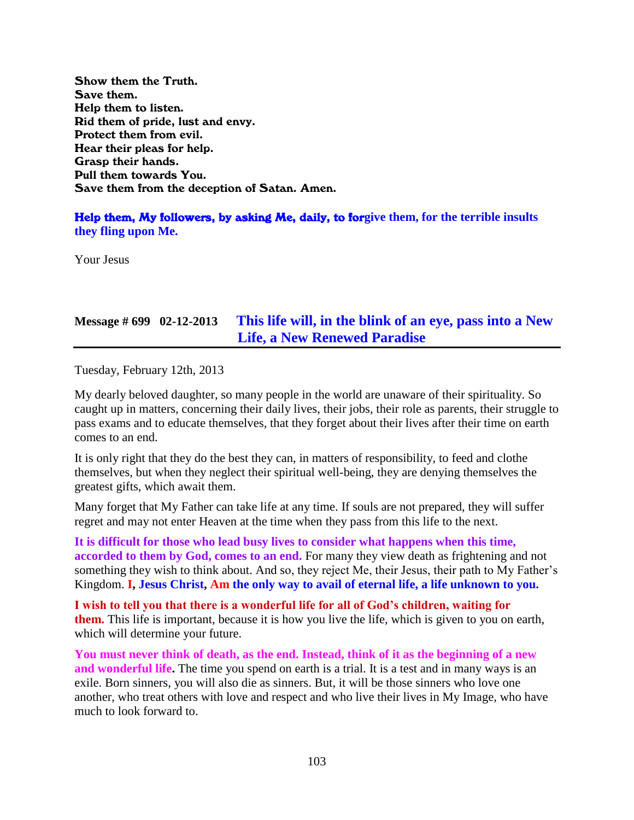Show them the Truth. Save them. Help them to listen. Rid them of pride, lust and envy. Protect them from evil. Hear their pleas for help. Grasp their hands. Pull them towards You. Save them from the deception of Satan. Amen.

Help them, My followers, by asking Me, daily, to for**give them, for the terrible insults they fling upon Me.**

Your Jesus

# **Message # 699 02-12-2013 [This life will, in the blink of an eye, pass into a New](http://www.thewarningsecondcoming.com/this-life-will-in-the-blink-of-an-eye-pass-into-a-new-life-a-new-renewed-paradise/)  [Life, a New Renewed Paradise](http://www.thewarningsecondcoming.com/this-life-will-in-the-blink-of-an-eye-pass-into-a-new-life-a-new-renewed-paradise/)**

Tuesday, February 12th, 2013

My dearly beloved daughter, so many people in the world are unaware of their spirituality. So caught up in matters, concerning their daily lives, their jobs, their role as parents, their struggle to pass exams and to educate themselves, that they forget about their lives after their time on earth comes to an end.

It is only right that they do the best they can, in matters of responsibility, to feed and clothe themselves, but when they neglect their spiritual well-being, they are denying themselves the greatest gifts, which await them.

Many forget that My Father can take life at any time. If souls are not prepared, they will suffer regret and may not enter Heaven at the time when they pass from this life to the next.

**It is difficult for those who lead busy lives to consider what happens when this time, accorded to them by God, comes to an end.** For many they view death as frightening and not something they wish to think about. And so, they reject Me, their Jesus, their path to My Father's Kingdom. **I, Jesus Christ, Am the only way to avail of eternal life, a life unknown to you.**

**I wish to tell you that there is a wonderful life for all of God's children, waiting for them.** This life is important, because it is how you live the life, which is given to you on earth, which will determine your future.

**You must never think of death, as the end. Instead, think of it as the beginning of a new and wonderful life.** The time you spend on earth is a trial. It is a test and in many ways is an exile. Born sinners, you will also die as sinners. But, it will be those sinners who love one another, who treat others with love and respect and who live their lives in My Image, who have much to look forward to.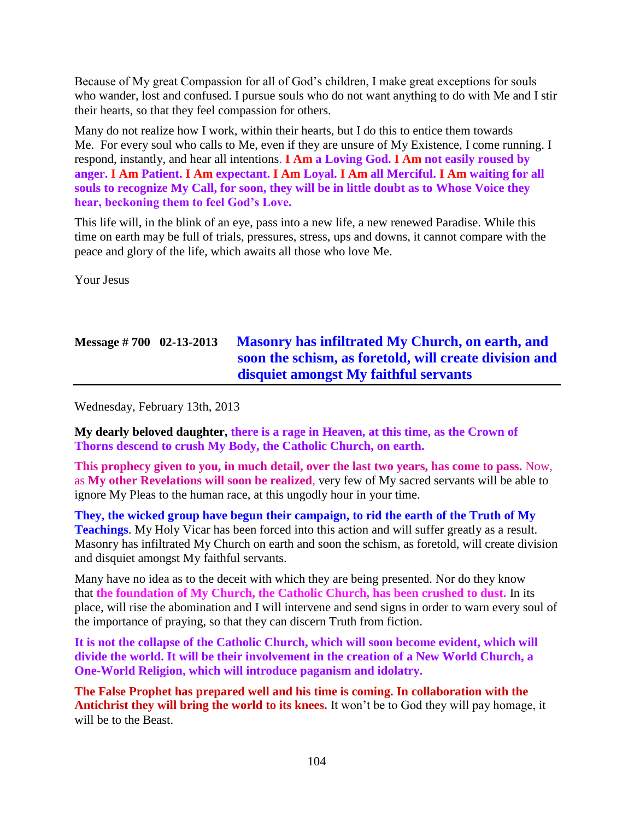Because of My great Compassion for all of God's children, I make great exceptions for souls who wander, lost and confused. I pursue souls who do not want anything to do with Me and I stir their hearts, so that they feel compassion for others.

Many do not realize how I work, within their hearts, but I do this to entice them towards Me. For every soul who calls to Me, even if they are unsure of My Existence, I come running. I respond, instantly, and hear all intentions. **I Am a Loving God. I Am not easily roused by anger. I Am Patient. I Am expectant. I Am Loyal. I Am all Merciful. I Am waiting for all souls to recognize My Call, for soon, they will be in little doubt as to Whose Voice they hear, beckoning them to feel God's Love.**

This life will, in the blink of an eye, pass into a new life, a new renewed Paradise. While this time on earth may be full of trials, pressures, stress, ups and downs, it cannot compare with the peace and glory of the life, which awaits all those who love Me.

Your Jesus

# **Message # 700 02-13-2013 [Masonry has infiltrated My Church, on earth, and](http://www.thewarningsecondcoming.com/masonry-has-infiltrated-my-church-on-earth-and-soon-the-schism-as-foretold-will-create-division-and-disquiet-amongst-my-faithful-servants/)  [soon the schism, as foretold, will create division and](http://www.thewarningsecondcoming.com/masonry-has-infiltrated-my-church-on-earth-and-soon-the-schism-as-foretold-will-create-division-and-disquiet-amongst-my-faithful-servants/)  [disquiet amongst My faithful servants](http://www.thewarningsecondcoming.com/masonry-has-infiltrated-my-church-on-earth-and-soon-the-schism-as-foretold-will-create-division-and-disquiet-amongst-my-faithful-servants/)**

Wednesday, February 13th, 2013

**My dearly beloved daughter, there is a rage in Heaven, at this time, as the Crown of Thorns descend to crush My Body, the Catholic Church, on earth.**

**This prophecy given to you, in much detail, over the last two years, has come to pass.** Now, as **My other Revelations will soon be realized**, very few of My sacred servants will be able to ignore My Pleas to the human race, at this ungodly hour in your time.

**They, the wicked group have begun their campaign, to rid the earth of the Truth of My Teachings**. My Holy Vicar has been forced into this action and will suffer greatly as a result. Masonry has infiltrated My Church on earth and soon the schism, as foretold, will create division and disquiet amongst My faithful servants.

Many have no idea as to the deceit with which they are being presented. Nor do they know that **the foundation of My Church, the Catholic Church, has been crushed to dust.** In its place, will rise the abomination and I will intervene and send signs in order to warn every soul of the importance of praying, so that they can discern Truth from fiction.

**It is not the collapse of the Catholic Church, which will soon become evident, which will divide the world. It will be their involvement in the creation of a New World Church, a One-World Religion, which will introduce paganism and idolatry.**

**The False Prophet has prepared well and his time is coming. In collaboration with the Antichrist they will bring the world to its knees.** It won't be to God they will pay homage, it will be to the Beast.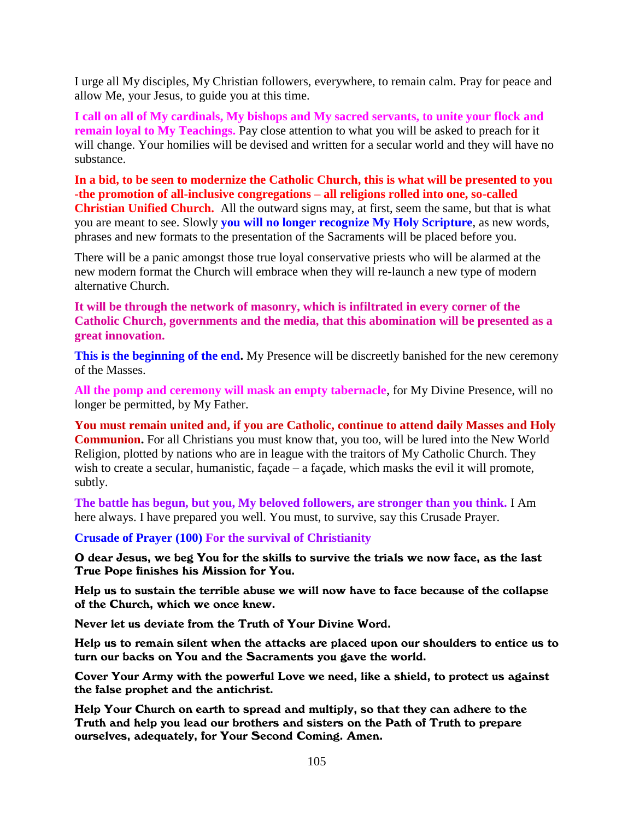I urge all My disciples, My Christian followers, everywhere, to remain calm. Pray for peace and allow Me, your Jesus, to guide you at this time.

**I call on all of My cardinals, My bishops and My sacred servants, to unite your flock and remain loyal to My Teachings.** Pay close attention to what you will be asked to preach for it will change. Your homilies will be devised and written for a secular world and they will have no substance.

**In a bid, to be seen to modernize the Catholic Church, this is what will be presented to you -the promotion of all-inclusive congregations – all religions rolled into one, so-called Christian Unified Church.** All the outward signs may, at first, seem the same, but that is what you are meant to see. Slowly **you will no longer recognize My Holy Scripture**, as new words, phrases and new formats to the presentation of the Sacraments will be placed before you.

There will be a panic amongst those true loyal conservative priests who will be alarmed at the new modern format the Church will embrace when they will re-launch a new type of modern alternative Church.

**It will be through the network of masonry, which is infiltrated in every corner of the Catholic Church, governments and the media, that this abomination will be presented as a great innovation.**

**This is the beginning of the end.** My Presence will be discreetly banished for the new ceremony of the Masses.

**All the pomp and ceremony will mask an empty tabernacle**, for My Divine Presence, will no longer be permitted, by My Father.

**You must remain united and, if you are Catholic, continue to attend daily Masses and Holy Communion.** For all Christians you must know that, you too, will be lured into the New World Religion, plotted by nations who are in league with the traitors of My Catholic Church. They wish to create a secular, humanistic, façade – a façade, which masks the evil it will promote, subtly.

**The battle has begun, but you, My beloved followers, are stronger than you think.** I Am here always. I have prepared you well. You must, to survive, say this Crusade Prayer.

**Crusade of Prayer (100) For the survival of Christianity**

O dear Jesus, we beg You for the skills to survive the trials we now face, as the last True Pope finishes his Mission for You.

Help us to sustain the terrible abuse we will now have to face because of the collapse of the Church, which we once knew.

Never let us deviate from the Truth of Your Divine Word.

Help us to remain silent when the attacks are placed upon our shoulders to entice us to turn our backs on You and the Sacraments you gave the world.

Cover Your Army with the powerful Love we need, like a shield, to protect us against the false prophet and the antichrist.

Help Your Church on earth to spread and multiply, so that they can adhere to the Truth and help you lead our brothers and sisters on the Path of Truth to prepare ourselves, adequately, for Your Second Coming. Amen.